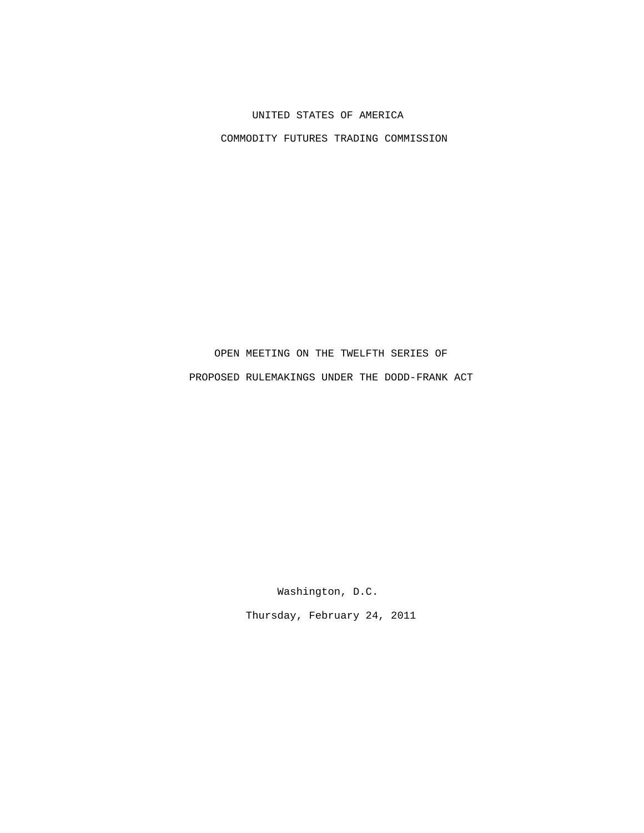## UNITED STATES OF AMERICA

COMMODITY FUTURES TRADING COMMISSION

## OPEN MEETING ON THE TWELFTH SERIES OF PROPOSED RULEMAKINGS UNDER THE DODD-FRANK ACT

Washington, D.C.

Thursday, February 24, 2011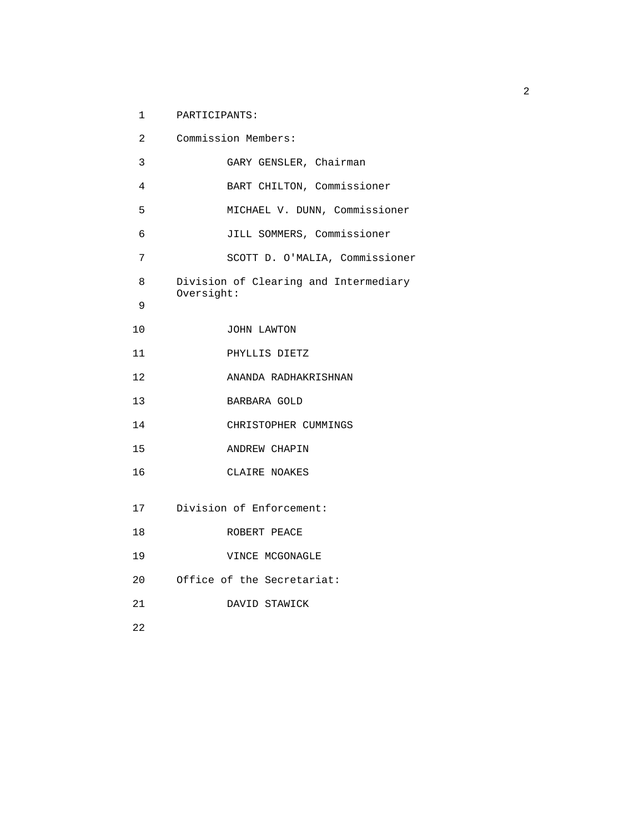1 PARTICIPANTS:

| 2  | Commission Members:                                 |
|----|-----------------------------------------------------|
| 3  | GARY GENSLER, Chairman                              |
| 4  | BART CHILTON, Commissioner                          |
| 5  | MICHAEL V. DUNN, Commissioner                       |
| 6  | JILL SOMMERS, Commissioner                          |
| 7  | SCOTT D. O'MALIA, Commissioner                      |
| 8  | Division of Clearing and Intermediary<br>Oversight: |
| 9  |                                                     |
| 10 | JOHN LAWTON                                         |
| 11 | PHYLLIS DIETZ                                       |
| 12 | ANANDA RADHAKRISHNAN                                |
| 13 | BARBARA GOLD                                        |
| 14 | CHRISTOPHER CUMMINGS                                |
| 15 | ANDREW CHAPIN                                       |
| 16 | CLAIRE NOAKES                                       |
| 17 | Division of Enforcement:                            |
| 18 | ROBERT PEACE                                        |
| 19 | VINCE MCGONAGLE                                     |
| 20 | Office of the Secretariat:                          |
| 21 | DAVID STAWICK                                       |
| 22 |                                                     |
|    |                                                     |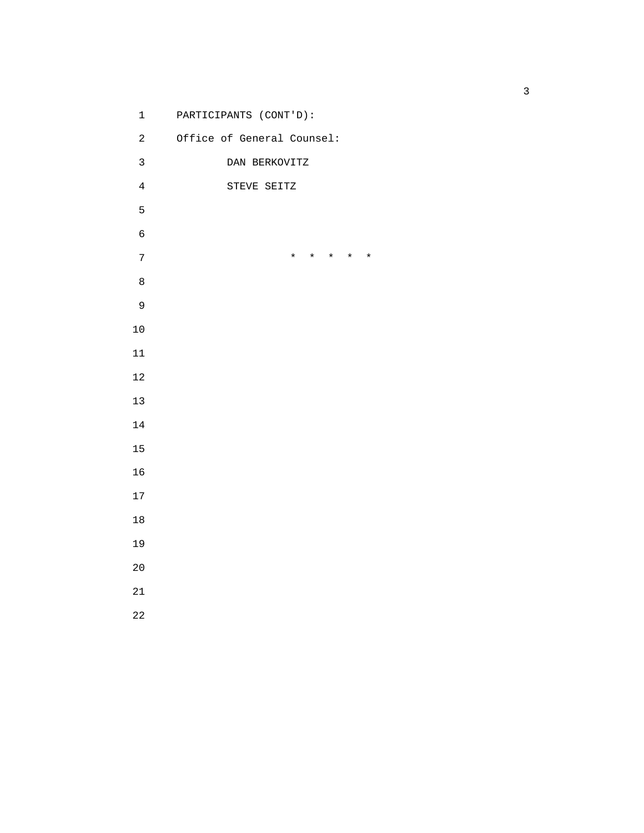1 PARTICIPANTS (CONT'D): 2 Office of General Counsel: 3 DAN BERKOVITZ 4 STEVE SEITZ 7 \* \* \* \* \*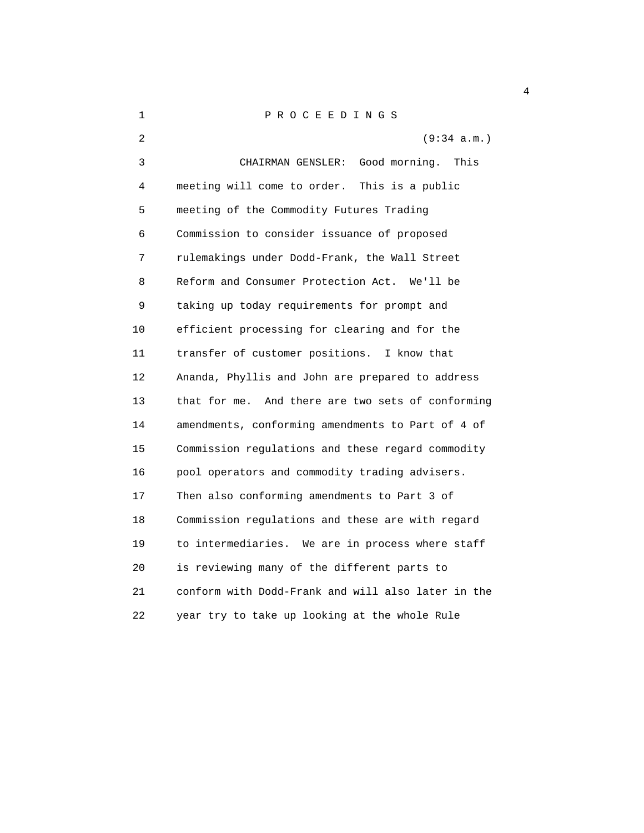1 P R O C E E D I N G S 2 (9:34 a.m.) 3 CHAIRMAN GENSLER: Good morning. This 4 meeting will come to order. This is a public 5 meeting of the Commodity Futures Trading 6 Commission to consider issuance of proposed 7 rulemakings under Dodd-Frank, the Wall Street 8 Reform and Consumer Protection Act. We'll be 9 taking up today requirements for prompt and 10 efficient processing for clearing and for the 11 transfer of customer positions. I know that 12 Ananda, Phyllis and John are prepared to address 13 that for me. And there are two sets of conforming 14 amendments, conforming amendments to Part of 4 of 15 Commission regulations and these regard commodity 16 pool operators and commodity trading advisers. 17 Then also conforming amendments to Part 3 of 18 Commission regulations and these are with regard 19 to intermediaries. We are in process where staff 20 is reviewing many of the different parts to 21 conform with Dodd-Frank and will also later in the 22 year try to take up looking at the whole Rule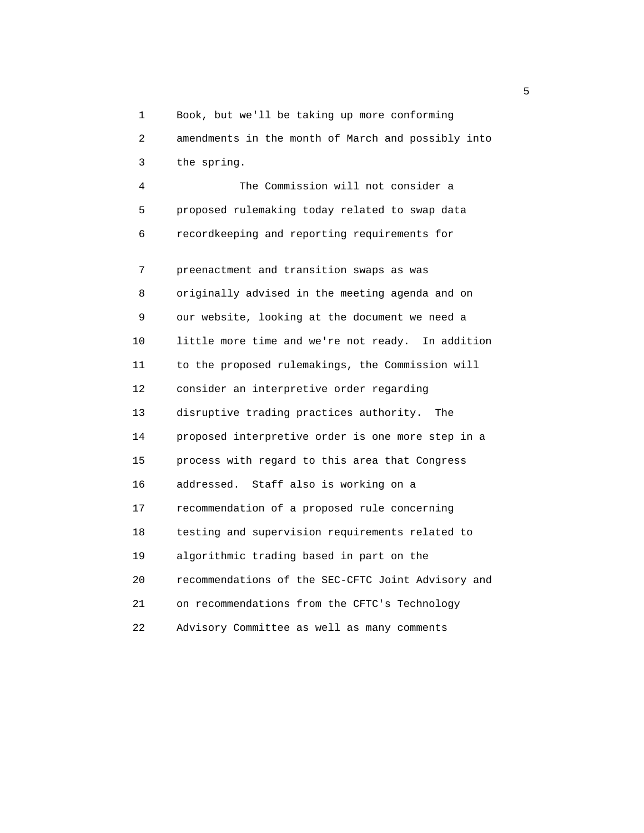1 Book, but we'll be taking up more conforming

 2 amendments in the month of March and possibly into 3 the spring.

 4 The Commission will not consider a 5 proposed rulemaking today related to swap data 6 recordkeeping and reporting requirements for

 7 preenactment and transition swaps as was 8 originally advised in the meeting agenda and on 9 our website, looking at the document we need a 10 little more time and we're not ready. In addition 11 to the proposed rulemakings, the Commission will 12 consider an interpretive order regarding 13 disruptive trading practices authority. The 14 proposed interpretive order is one more step in a 15 process with regard to this area that Congress 16 addressed. Staff also is working on a 17 recommendation of a proposed rule concerning 18 testing and supervision requirements related to 19 algorithmic trading based in part on the 20 recommendations of the SEC-CFTC Joint Advisory and 21 on recommendations from the CFTC's Technology 22 Advisory Committee as well as many comments

the contract of the contract of the contract of the contract of the contract of the contract of the contract o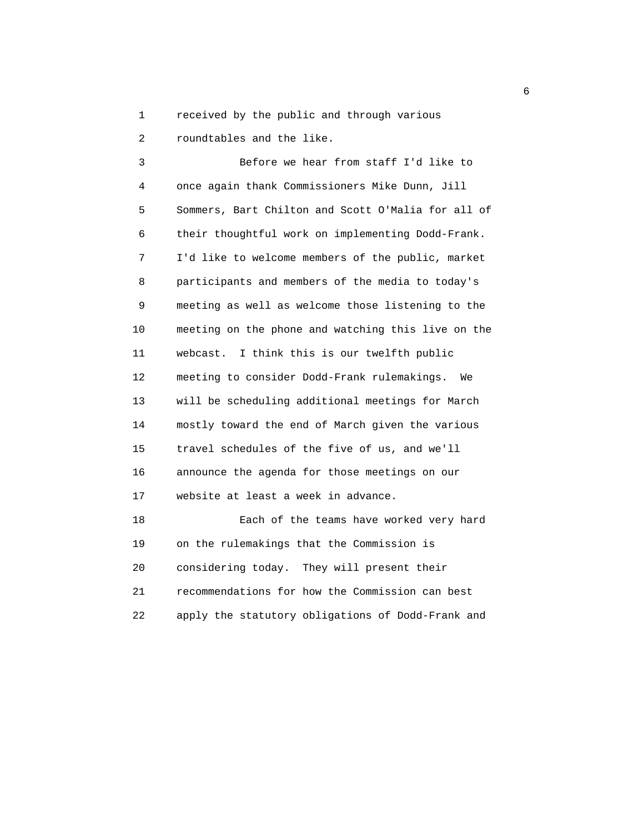1 received by the public and through various

2 roundtables and the like.

 3 Before we hear from staff I'd like to 4 once again thank Commissioners Mike Dunn, Jill 5 Sommers, Bart Chilton and Scott O'Malia for all of 6 their thoughtful work on implementing Dodd-Frank. 7 I'd like to welcome members of the public, market 8 participants and members of the media to today's 9 meeting as well as welcome those listening to the 10 meeting on the phone and watching this live on the 11 webcast. I think this is our twelfth public 12 meeting to consider Dodd-Frank rulemakings. We 13 will be scheduling additional meetings for March 14 mostly toward the end of March given the various 15 travel schedules of the five of us, and we'll 16 announce the agenda for those meetings on our 17 website at least a week in advance. 18 Each of the teams have worked very hard 19 on the rulemakings that the Commission is 20 considering today. They will present their 21 recommendations for how the Commission can best

22 apply the statutory obligations of Dodd-Frank and

entration of the contract of the contract of the contract of the contract of the contract of the contract of the contract of the contract of the contract of the contract of the contract of the contract of the contract of t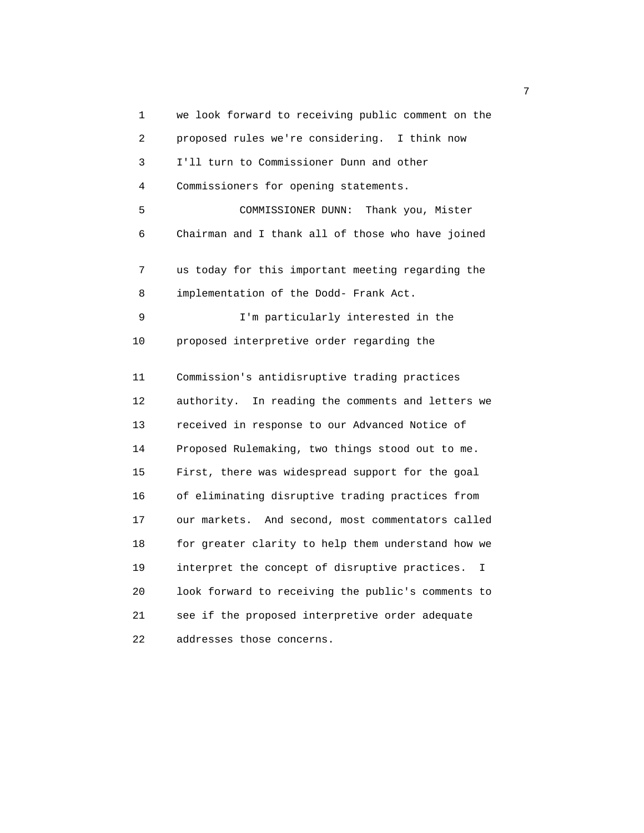1 we look forward to receiving public comment on the 2 proposed rules we're considering. I think now 3 I'll turn to Commissioner Dunn and other 4 Commissioners for opening statements. 5 COMMISSIONER DUNN: Thank you, Mister 6 Chairman and I thank all of those who have joined 7 us today for this important meeting regarding the 8 implementation of the Dodd- Frank Act. 9 I'm particularly interested in the 10 proposed interpretive order regarding the 11 Commission's antidisruptive trading practices 12 authority. In reading the comments and letters we 13 received in response to our Advanced Notice of 14 Proposed Rulemaking, two things stood out to me. 15 First, there was widespread support for the goal 16 of eliminating disruptive trading practices from 17 our markets. And second, most commentators called 18 for greater clarity to help them understand how we 19 interpret the concept of disruptive practices. I 20 look forward to receiving the public's comments to 21 see if the proposed interpretive order adequate 22 addresses those concerns.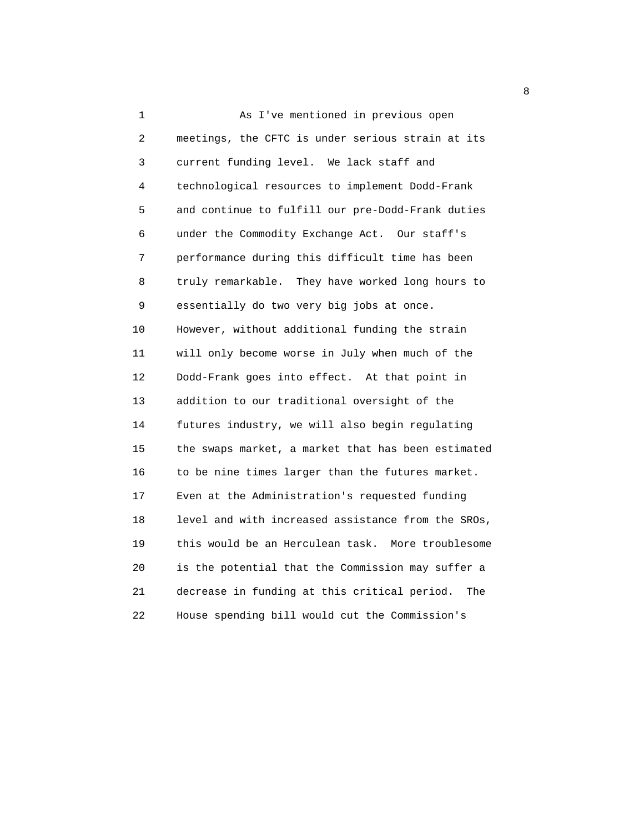1 As I've mentioned in previous open 2 meetings, the CFTC is under serious strain at its 3 current funding level. We lack staff and 4 technological resources to implement Dodd-Frank 5 and continue to fulfill our pre-Dodd-Frank duties 6 under the Commodity Exchange Act. Our staff's 7 performance during this difficult time has been 8 truly remarkable. They have worked long hours to 9 essentially do two very big jobs at once. 10 However, without additional funding the strain 11 will only become worse in July when much of the 12 Dodd-Frank goes into effect. At that point in 13 addition to our traditional oversight of the 14 futures industry, we will also begin regulating 15 the swaps market, a market that has been estimated 16 to be nine times larger than the futures market. 17 Even at the Administration's requested funding 18 level and with increased assistance from the SROs, 19 this would be an Herculean task. More troublesome 20 is the potential that the Commission may suffer a 21 decrease in funding at this critical period. The 22 House spending bill would cut the Commission's

en andere en de la provincia de la provincia de la provincia de la provincia de la provincia de la provincia d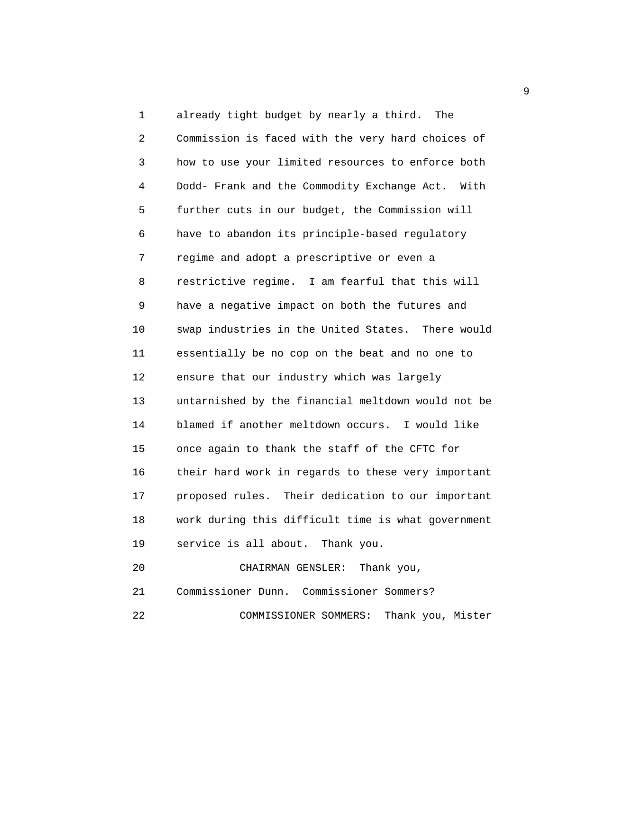1 already tight budget by nearly a third. The 2 Commission is faced with the very hard choices of 3 how to use your limited resources to enforce both 4 Dodd- Frank and the Commodity Exchange Act. With 5 further cuts in our budget, the Commission will 6 have to abandon its principle-based regulatory 7 regime and adopt a prescriptive or even a 8 restrictive regime. I am fearful that this will 9 have a negative impact on both the futures and 10 swap industries in the United States. There would 11 essentially be no cop on the beat and no one to 12 ensure that our industry which was largely 13 untarnished by the financial meltdown would not be 14 blamed if another meltdown occurs. I would like 15 once again to thank the staff of the CFTC for 16 their hard work in regards to these very important 17 proposed rules. Their dedication to our important 18 work during this difficult time is what government 19 service is all about. Thank you. 20 CHAIRMAN GENSLER: Thank you,

21 Commissioner Dunn. Commissioner Sommers?

22 COMMISSIONER SOMMERS: Thank you, Mister

 $\sim$  9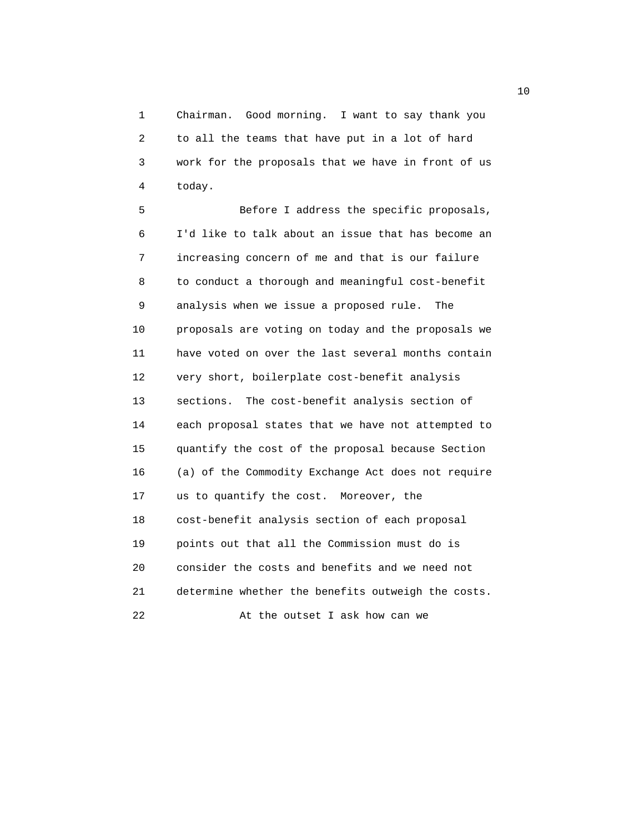1 Chairman. Good morning. I want to say thank you 2 to all the teams that have put in a lot of hard 3 work for the proposals that we have in front of us 4 today.

 5 Before I address the specific proposals, 6 I'd like to talk about an issue that has become an 7 increasing concern of me and that is our failure 8 to conduct a thorough and meaningful cost-benefit 9 analysis when we issue a proposed rule. The 10 proposals are voting on today and the proposals we 11 have voted on over the last several months contain 12 very short, boilerplate cost-benefit analysis 13 sections. The cost-benefit analysis section of 14 each proposal states that we have not attempted to 15 quantify the cost of the proposal because Section 16 (a) of the Commodity Exchange Act does not require 17 us to quantify the cost. Moreover, the 18 cost-benefit analysis section of each proposal 19 points out that all the Commission must do is 20 consider the costs and benefits and we need not 21 determine whether the benefits outweigh the costs. 22 At the outset I ask how can we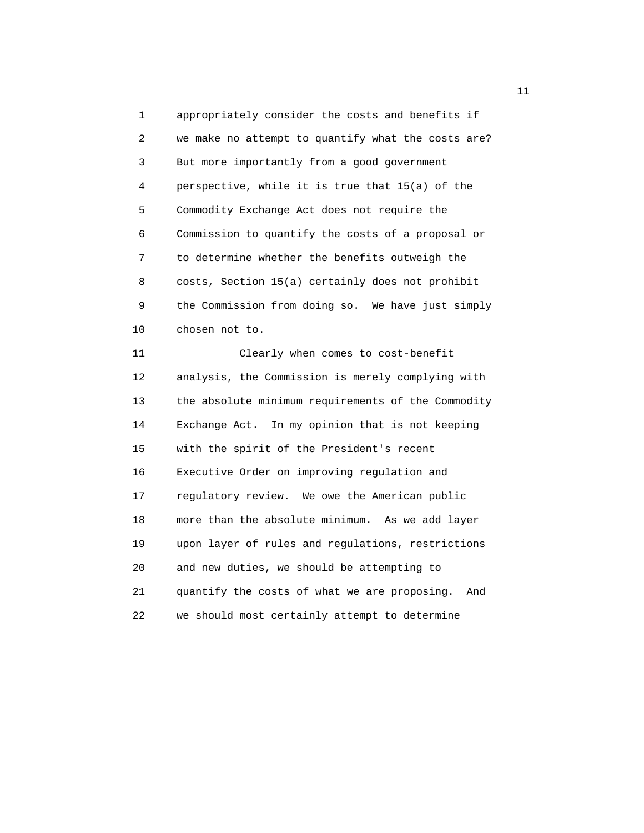1 appropriately consider the costs and benefits if 2 we make no attempt to quantify what the costs are? 3 But more importantly from a good government 4 perspective, while it is true that 15(a) of the 5 Commodity Exchange Act does not require the 6 Commission to quantify the costs of a proposal or 7 to determine whether the benefits outweigh the 8 costs, Section 15(a) certainly does not prohibit 9 the Commission from doing so. We have just simply 10 chosen not to. 11 Clearly when comes to cost-benefit 12 analysis, the Commission is merely complying with 13 the absolute minimum requirements of the Commodity 14 Exchange Act. In my opinion that is not keeping 15 with the spirit of the President's recent 16 Executive Order on improving regulation and 17 regulatory review. We owe the American public

18 more than the absolute minimum. As we add layer

19 upon layer of rules and regulations, restrictions

21 quantify the costs of what we are proposing. And

22 we should most certainly attempt to determine

20 and new duties, we should be attempting to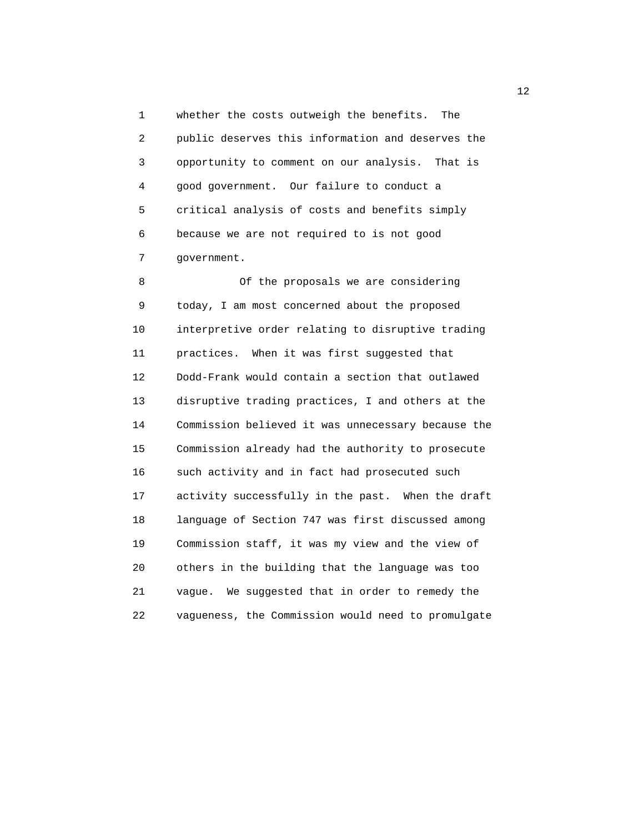1 whether the costs outweigh the benefits. The 2 public deserves this information and deserves the 3 opportunity to comment on our analysis. That is 4 good government. Our failure to conduct a 5 critical analysis of costs and benefits simply 6 because we are not required to is not good 7 government.

 8 Of the proposals we are considering 9 today, I am most concerned about the proposed 10 interpretive order relating to disruptive trading 11 practices. When it was first suggested that 12 Dodd-Frank would contain a section that outlawed 13 disruptive trading practices, I and others at the 14 Commission believed it was unnecessary because the 15 Commission already had the authority to prosecute 16 such activity and in fact had prosecuted such 17 activity successfully in the past. When the draft 18 language of Section 747 was first discussed among 19 Commission staff, it was my view and the view of 20 others in the building that the language was too 21 vague. We suggested that in order to remedy the 22 vagueness, the Commission would need to promulgate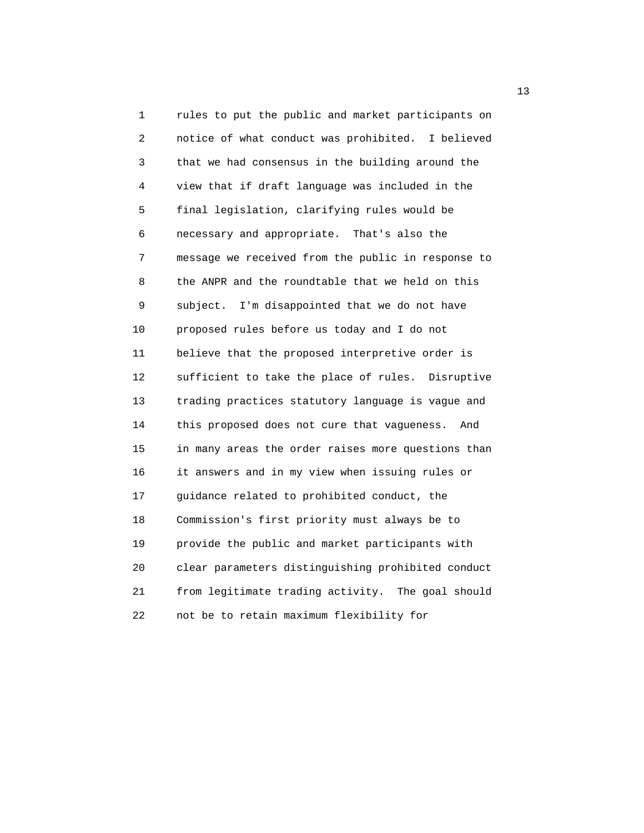1 rules to put the public and market participants on 2 notice of what conduct was prohibited. I believed 3 that we had consensus in the building around the 4 view that if draft language was included in the 5 final legislation, clarifying rules would be 6 necessary and appropriate. That's also the 7 message we received from the public in response to 8 the ANPR and the roundtable that we held on this 9 subject. I'm disappointed that we do not have 10 proposed rules before us today and I do not 11 believe that the proposed interpretive order is 12 sufficient to take the place of rules. Disruptive 13 trading practices statutory language is vague and 14 this proposed does not cure that vagueness. And 15 in many areas the order raises more questions than 16 it answers and in my view when issuing rules or 17 guidance related to prohibited conduct, the 18 Commission's first priority must always be to 19 provide the public and market participants with 20 clear parameters distinguishing prohibited conduct 21 from legitimate trading activity. The goal should 22 not be to retain maximum flexibility for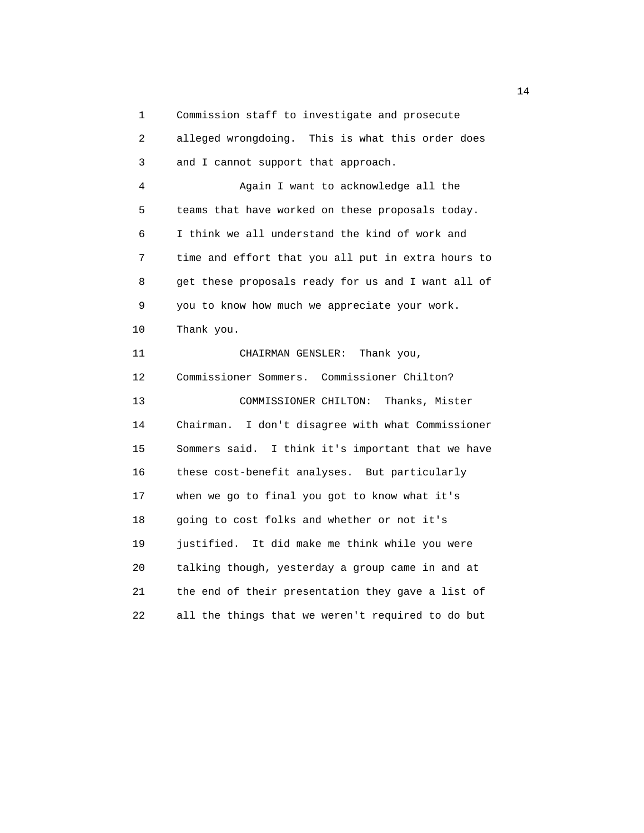1 Commission staff to investigate and prosecute

| $\overline{c}$ | alleged wrongdoing. This is what this order does   |
|----------------|----------------------------------------------------|
| 3              | and I cannot support that approach.                |
| 4              | Again I want to acknowledge all the                |
| 5              | teams that have worked on these proposals today.   |
| 6              | I think we all understand the kind of work and     |
| 7              | time and effort that you all put in extra hours to |
| 8              | get these proposals ready for us and I want all of |
| 9              | you to know how much we appreciate your work.      |
| 10             | Thank you.                                         |
| 11             | Thank you,<br>CHAIRMAN GENSLER:                    |
| 12             | Commissioner Sommers. Commissioner Chilton?        |
| 13             | COMMISSIONER CHILTON:<br>Thanks, Mister            |
| 14             | Chairman. I don't disagree with what Commissioner  |
| 15             | Sommers said. I think it's important that we have  |
| 16             | these cost-benefit analyses. But particularly      |
| 17             | when we go to final you got to know what it's      |
| 18             | going to cost folks and whether or not it's        |
| 19             | justified. It did make me think while you were     |
| 20             | talking though, yesterday a group came in and at   |
| 21             | the end of their presentation they gave a list of  |
| 22             | all the things that we weren't required to do but  |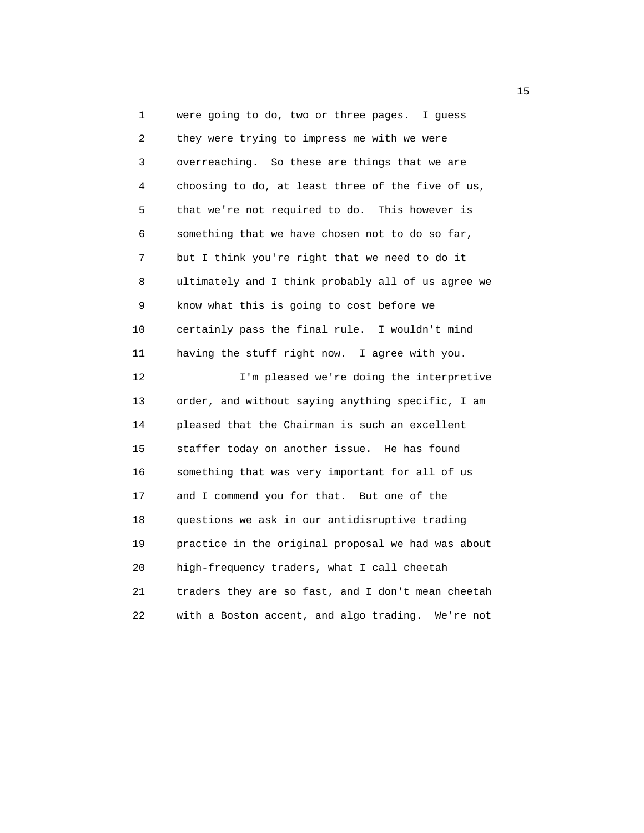1 were going to do, two or three pages. I guess 2 they were trying to impress me with we were 3 overreaching. So these are things that we are 4 choosing to do, at least three of the five of us, 5 that we're not required to do. This however is 6 something that we have chosen not to do so far, 7 but I think you're right that we need to do it 8 ultimately and I think probably all of us agree we 9 know what this is going to cost before we 10 certainly pass the final rule. I wouldn't mind 11 having the stuff right now. I agree with you. 12 I'm pleased we're doing the interpretive 13 order, and without saying anything specific, I am 14 pleased that the Chairman is such an excellent 15 staffer today on another issue. He has found 16 something that was very important for all of us 17 and I commend you for that. But one of the 18 questions we ask in our antidisruptive trading 19 practice in the original proposal we had was about 20 high-frequency traders, what I call cheetah 21 traders they are so fast, and I don't mean cheetah 22 with a Boston accent, and algo trading. We're not

the contract of the contract of the contract of the contract of the contract of the contract of the contract of the contract of the contract of the contract of the contract of the contract of the contract of the contract o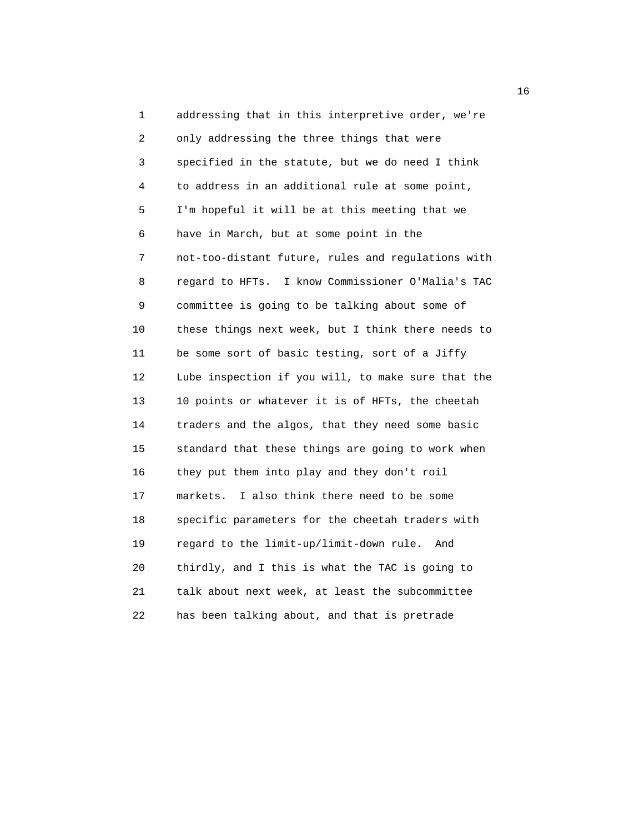1 addressing that in this interpretive order, we're 2 only addressing the three things that were 3 specified in the statute, but we do need I think 4 to address in an additional rule at some point, 5 I'm hopeful it will be at this meeting that we 6 have in March, but at some point in the 7 not-too-distant future, rules and regulations with 8 regard to HFTs. I know Commissioner O'Malia's TAC 9 committee is going to be talking about some of 10 these things next week, but I think there needs to 11 be some sort of basic testing, sort of a Jiffy 12 Lube inspection if you will, to make sure that the 13 10 points or whatever it is of HFTs, the cheetah 14 traders and the algos, that they need some basic 15 standard that these things are going to work when 16 they put them into play and they don't roil 17 markets. I also think there need to be some 18 specific parameters for the cheetah traders with 19 regard to the limit-up/limit-down rule. And 20 thirdly, and I this is what the TAC is going to 21 talk about next week, at least the subcommittee 22 has been talking about, and that is pretrade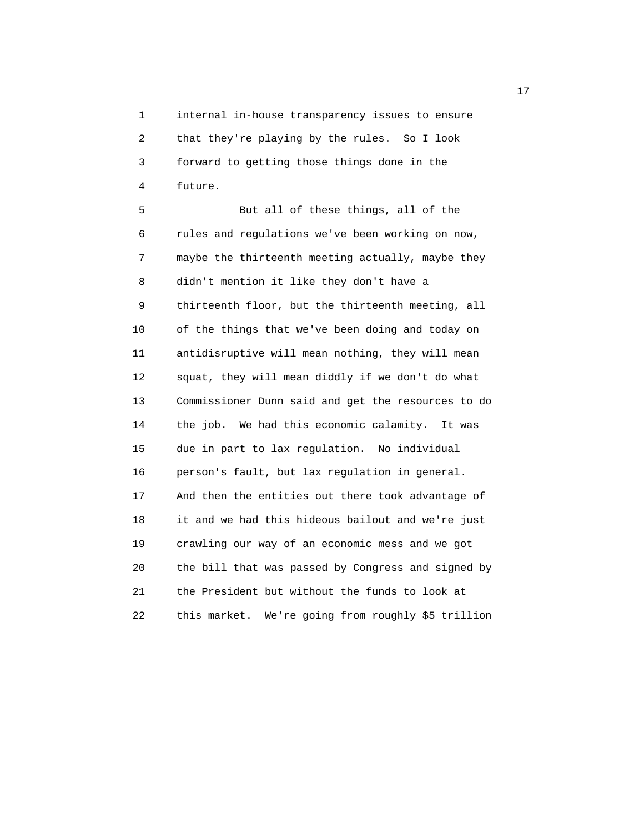1 internal in-house transparency issues to ensure 2 that they're playing by the rules. So I look 3 forward to getting those things done in the 4 future.

 5 But all of these things, all of the 6 rules and regulations we've been working on now, 7 maybe the thirteenth meeting actually, maybe they 8 didn't mention it like they don't have a 9 thirteenth floor, but the thirteenth meeting, all 10 of the things that we've been doing and today on 11 antidisruptive will mean nothing, they will mean 12 squat, they will mean diddly if we don't do what 13 Commissioner Dunn said and get the resources to do 14 the job. We had this economic calamity. It was 15 due in part to lax regulation. No individual 16 person's fault, but lax regulation in general. 17 And then the entities out there took advantage of 18 it and we had this hideous bailout and we're just 19 crawling our way of an economic mess and we got 20 the bill that was passed by Congress and signed by 21 the President but without the funds to look at 22 this market. We're going from roughly \$5 trillion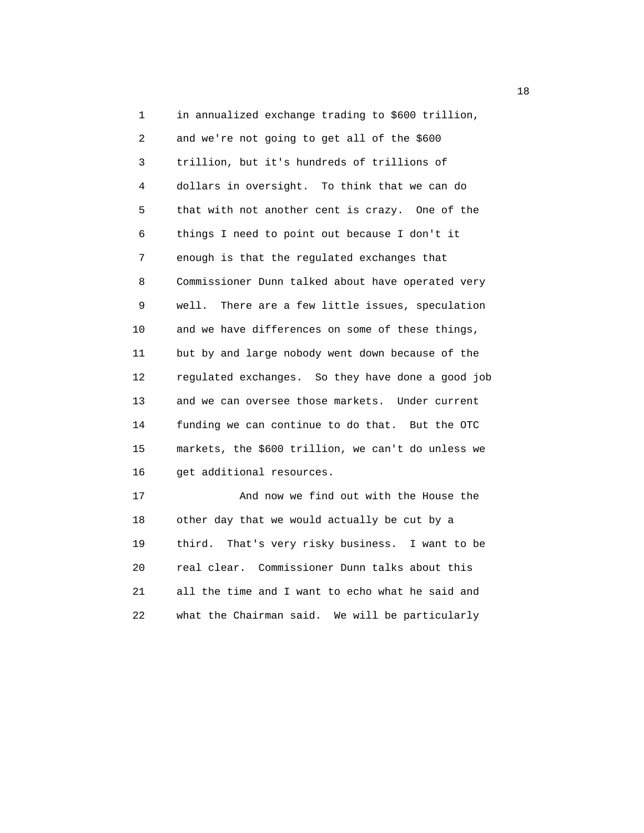1 in annualized exchange trading to \$600 trillion, 2 and we're not going to get all of the \$600 3 trillion, but it's hundreds of trillions of 4 dollars in oversight. To think that we can do 5 that with not another cent is crazy. One of the 6 things I need to point out because I don't it 7 enough is that the regulated exchanges that 8 Commissioner Dunn talked about have operated very 9 well. There are a few little issues, speculation 10 and we have differences on some of these things, 11 but by and large nobody went down because of the 12 regulated exchanges. So they have done a good job 13 and we can oversee those markets. Under current 14 funding we can continue to do that. But the OTC 15 markets, the \$600 trillion, we can't do unless we 16 get additional resources. 17 And now we find out with the House the 18 other day that we would actually be cut by a

 19 third. That's very risky business. I want to be 20 real clear. Commissioner Dunn talks about this 21 all the time and I want to echo what he said and 22 what the Chairman said. We will be particularly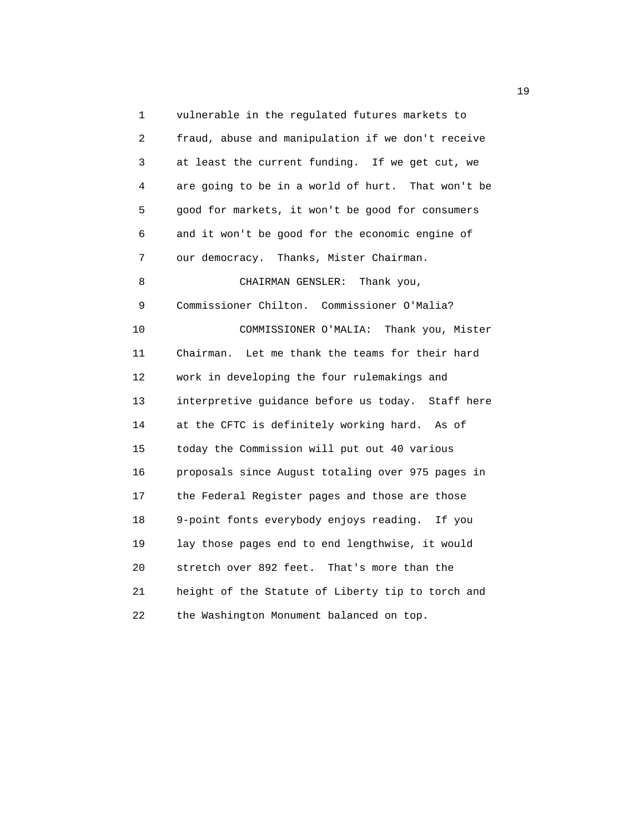1 vulnerable in the regulated futures markets to 2 fraud, abuse and manipulation if we don't receive 3 at least the current funding. If we get cut, we 4 are going to be in a world of hurt. That won't be 5 good for markets, it won't be good for consumers 6 and it won't be good for the economic engine of 7 our democracy. Thanks, Mister Chairman. 8 CHAIRMAN GENSLER: Thank you, 9 Commissioner Chilton. Commissioner O'Malia? 10 COMMISSIONER O'MALIA: Thank you, Mister 11 Chairman. Let me thank the teams for their hard 12 work in developing the four rulemakings and 13 interpretive guidance before us today. Staff here 14 at the CFTC is definitely working hard. As of 15 today the Commission will put out 40 various 16 proposals since August totaling over 975 pages in 17 the Federal Register pages and those are those 18 9-point fonts everybody enjoys reading. If you 19 lay those pages end to end lengthwise, it would 20 stretch over 892 feet. That's more than the 21 height of the Statute of Liberty tip to torch and 22 the Washington Monument balanced on top.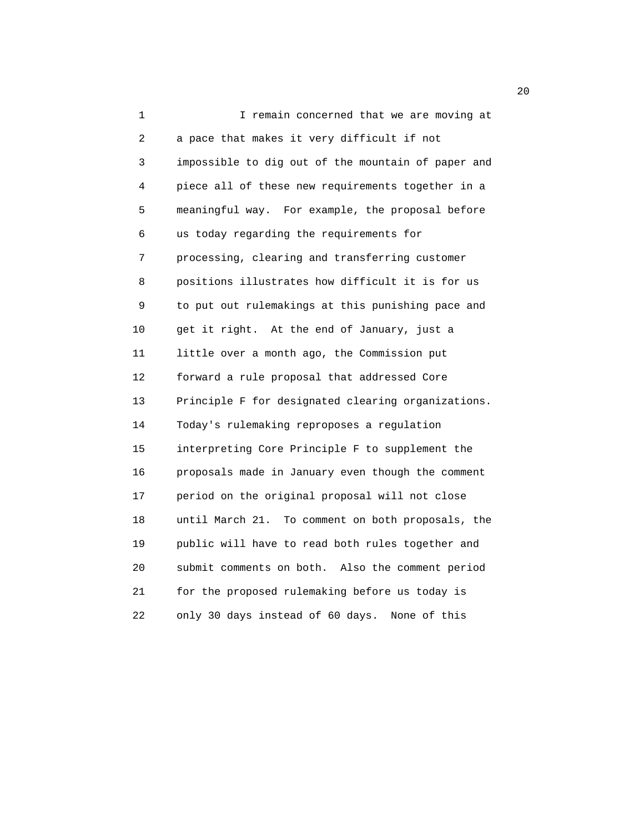1 I remain concerned that we are moving at 2 a pace that makes it very difficult if not 3 impossible to dig out of the mountain of paper and 4 piece all of these new requirements together in a 5 meaningful way. For example, the proposal before 6 us today regarding the requirements for 7 processing, clearing and transferring customer 8 positions illustrates how difficult it is for us 9 to put out rulemakings at this punishing pace and 10 get it right. At the end of January, just a 11 little over a month ago, the Commission put 12 forward a rule proposal that addressed Core 13 Principle F for designated clearing organizations. 14 Today's rulemaking reproposes a regulation 15 interpreting Core Principle F to supplement the 16 proposals made in January even though the comment 17 period on the original proposal will not close 18 until March 21. To comment on both proposals, the 19 public will have to read both rules together and 20 submit comments on both. Also the comment period 21 for the proposed rulemaking before us today is 22 only 30 days instead of 60 days. None of this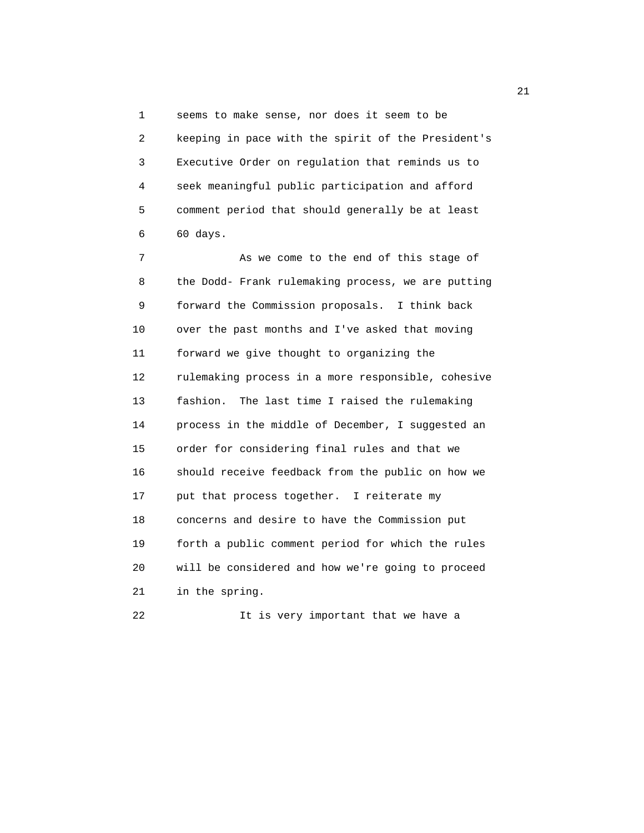1 seems to make sense, nor does it seem to be 2 keeping in pace with the spirit of the President's 3 Executive Order on regulation that reminds us to 4 seek meaningful public participation and afford 5 comment period that should generally be at least 6 60 days.

 7 As we come to the end of this stage of 8 the Dodd- Frank rulemaking process, we are putting 9 forward the Commission proposals. I think back 10 over the past months and I've asked that moving 11 forward we give thought to organizing the 12 rulemaking process in a more responsible, cohesive 13 fashion. The last time I raised the rulemaking 14 process in the middle of December, I suggested an 15 order for considering final rules and that we 16 should receive feedback from the public on how we 17 put that process together. I reiterate my 18 concerns and desire to have the Commission put 19 forth a public comment period for which the rules 20 will be considered and how we're going to proceed 21 in the spring.

22 1t is very important that we have a

21 and 21 and 22 and 22 and 22 and 22 and 22 and 22 and 22 and 22 and 22 and 22 and 22 and 22 and 22 and 22 and 22 and 22 and 22 and 22 and 22 and 22 and 22 and 22 and 22 and 22 and 22 and 22 and 22 and 22 and 22 and 22 an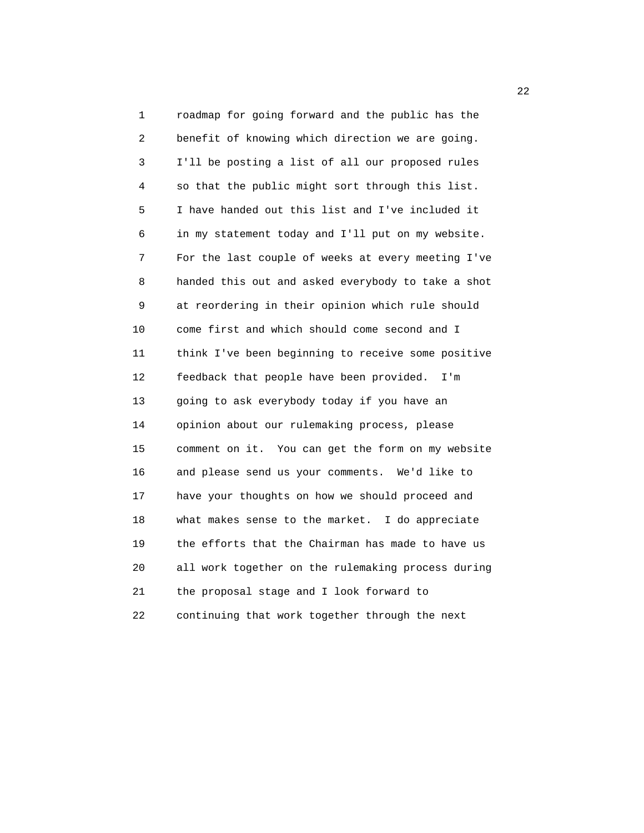1 roadmap for going forward and the public has the 2 benefit of knowing which direction we are going. 3 I'll be posting a list of all our proposed rules 4 so that the public might sort through this list. 5 I have handed out this list and I've included it 6 in my statement today and I'll put on my website. 7 For the last couple of weeks at every meeting I've 8 handed this out and asked everybody to take a shot 9 at reordering in their opinion which rule should 10 come first and which should come second and I 11 think I've been beginning to receive some positive 12 feedback that people have been provided. I'm 13 going to ask everybody today if you have an 14 opinion about our rulemaking process, please 15 comment on it. You can get the form on my website 16 and please send us your comments. We'd like to 17 have your thoughts on how we should proceed and 18 what makes sense to the market. I do appreciate 19 the efforts that the Chairman has made to have us 20 all work together on the rulemaking process during 21 the proposal stage and I look forward to 22 continuing that work together through the next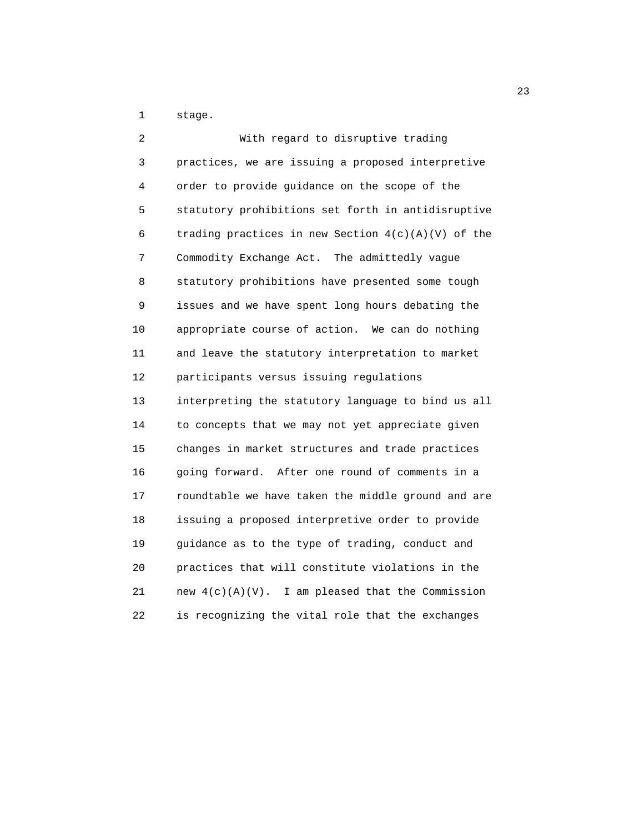1 stage.

 2 With regard to disruptive trading 3 practices, we are issuing a proposed interpretive 4 order to provide guidance on the scope of the 5 statutory prohibitions set forth in antidisruptive 6 trading practices in new Section  $4(c)(A)(V)$  of the 7 Commodity Exchange Act. The admittedly vague 8 statutory prohibitions have presented some tough 9 issues and we have spent long hours debating the 10 appropriate course of action. We can do nothing 11 and leave the statutory interpretation to market 12 participants versus issuing regulations 13 interpreting the statutory language to bind us all 14 to concepts that we may not yet appreciate given 15 changes in market structures and trade practices 16 going forward. After one round of comments in a 17 roundtable we have taken the middle ground and are 18 issuing a proposed interpretive order to provide 19 guidance as to the type of trading, conduct and 20 practices that will constitute violations in the 21 new  $4(c)(A)(V)$ . I am pleased that the Commission 22 is recognizing the vital role that the exchanges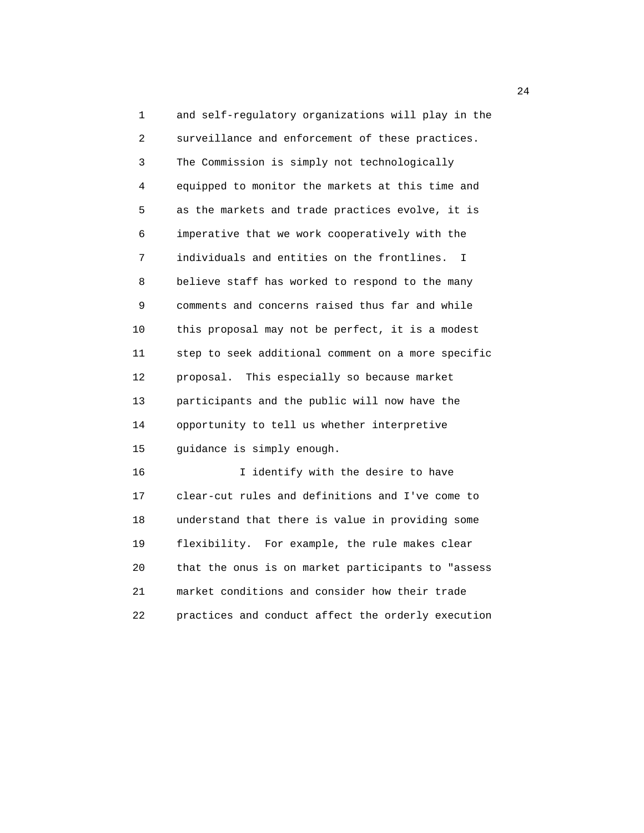1 and self-regulatory organizations will play in the 2 surveillance and enforcement of these practices. 3 The Commission is simply not technologically 4 equipped to monitor the markets at this time and 5 as the markets and trade practices evolve, it is 6 imperative that we work cooperatively with the 7 individuals and entities on the frontlines. I 8 believe staff has worked to respond to the many 9 comments and concerns raised thus far and while 10 this proposal may not be perfect, it is a modest 11 step to seek additional comment on a more specific 12 proposal. This especially so because market 13 participants and the public will now have the 14 opportunity to tell us whether interpretive 15 guidance is simply enough. 16 I identify with the desire to have

 17 clear-cut rules and definitions and I've come to 18 understand that there is value in providing some 19 flexibility. For example, the rule makes clear 20 that the onus is on market participants to "assess 21 market conditions and consider how their trade 22 practices and conduct affect the orderly execution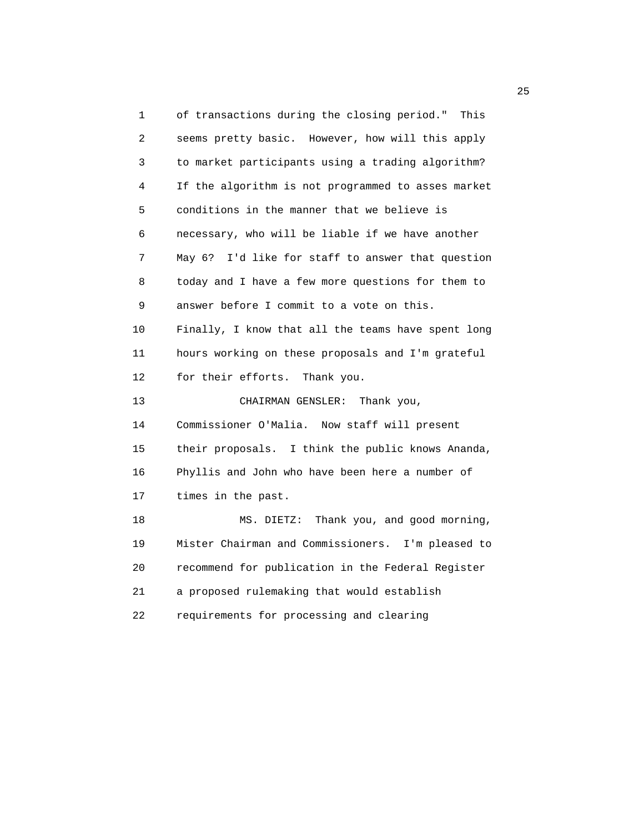1 of transactions during the closing period." This 2 seems pretty basic. However, how will this apply 3 to market participants using a trading algorithm? 4 If the algorithm is not programmed to asses market 5 conditions in the manner that we believe is 6 necessary, who will be liable if we have another 7 May 6? I'd like for staff to answer that question 8 today and I have a few more questions for them to 9 answer before I commit to a vote on this. 10 Finally, I know that all the teams have spent long 11 hours working on these proposals and I'm grateful 12 for their efforts. Thank you. 13 CHAIRMAN GENSLER: Thank you, 14 Commissioner O'Malia. Now staff will present 15 their proposals. I think the public knows Ananda, 16 Phyllis and John who have been here a number of 17 times in the past. 18 MS. DIETZ: Thank you, and good morning, 19 Mister Chairman and Commissioners. I'm pleased to 20 recommend for publication in the Federal Register 21 a proposed rulemaking that would establish 22 requirements for processing and clearing

25 and 25 and 25 and 25 and 25 and 25 and 25 and 25 and 25 and 25 and 25 and 25 and 25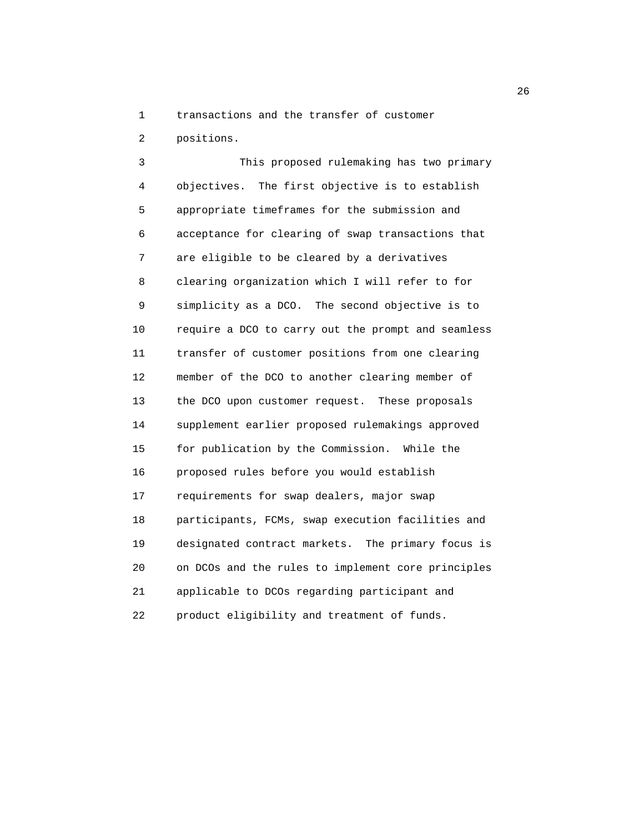1 transactions and the transfer of customer

2 positions.

 3 This proposed rulemaking has two primary 4 objectives. The first objective is to establish 5 appropriate timeframes for the submission and 6 acceptance for clearing of swap transactions that 7 are eligible to be cleared by a derivatives 8 clearing organization which I will refer to for 9 simplicity as a DCO. The second objective is to 10 require a DCO to carry out the prompt and seamless 11 transfer of customer positions from one clearing 12 member of the DCO to another clearing member of 13 the DCO upon customer request. These proposals 14 supplement earlier proposed rulemakings approved 15 for publication by the Commission. While the 16 proposed rules before you would establish 17 requirements for swap dealers, major swap 18 participants, FCMs, swap execution facilities and 19 designated contract markets. The primary focus is 20 on DCOs and the rules to implement core principles 21 applicable to DCOs regarding participant and 22 product eligibility and treatment of funds.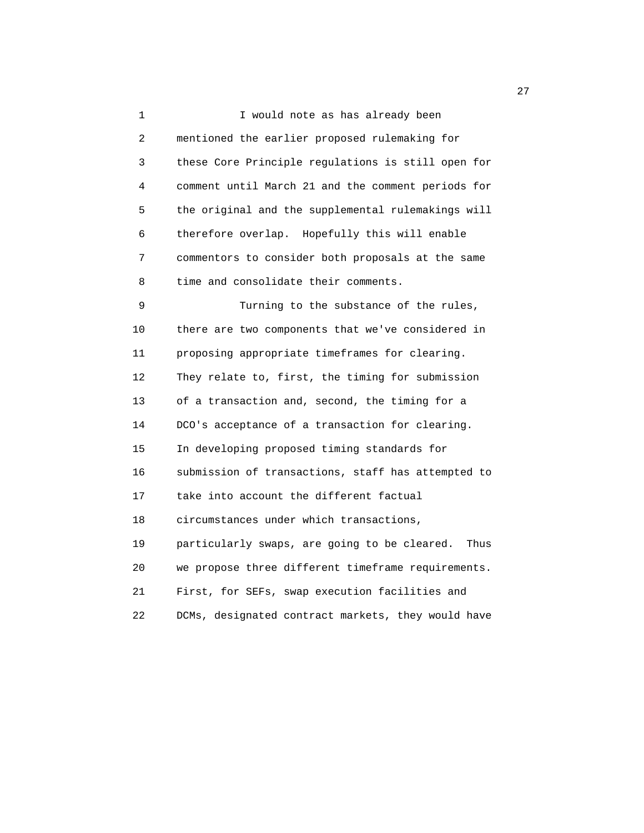1 I would note as has already been 2 mentioned the earlier proposed rulemaking for 3 these Core Principle regulations is still open for 4 comment until March 21 and the comment periods for 5 the original and the supplemental rulemakings will 6 therefore overlap. Hopefully this will enable 7 commentors to consider both proposals at the same 8 time and consolidate their comments. 9 Turning to the substance of the rules, 10 there are two components that we've considered in 11 proposing appropriate timeframes for clearing. 12 They relate to, first, the timing for submission 13 of a transaction and, second, the timing for a 14 DCO's acceptance of a transaction for clearing. 15 In developing proposed timing standards for 16 submission of transactions, staff has attempted to 17 take into account the different factual 18 circumstances under which transactions, 19 particularly swaps, are going to be cleared. Thus 20 we propose three different timeframe requirements. 21 First, for SEFs, swap execution facilities and 22 DCMs, designated contract markets, they would have

27 and 27 and 27 and 27 and 27 and 27 and 27 and 27 and 27 and 27 and 27 and 27 and 27 and 27 and 27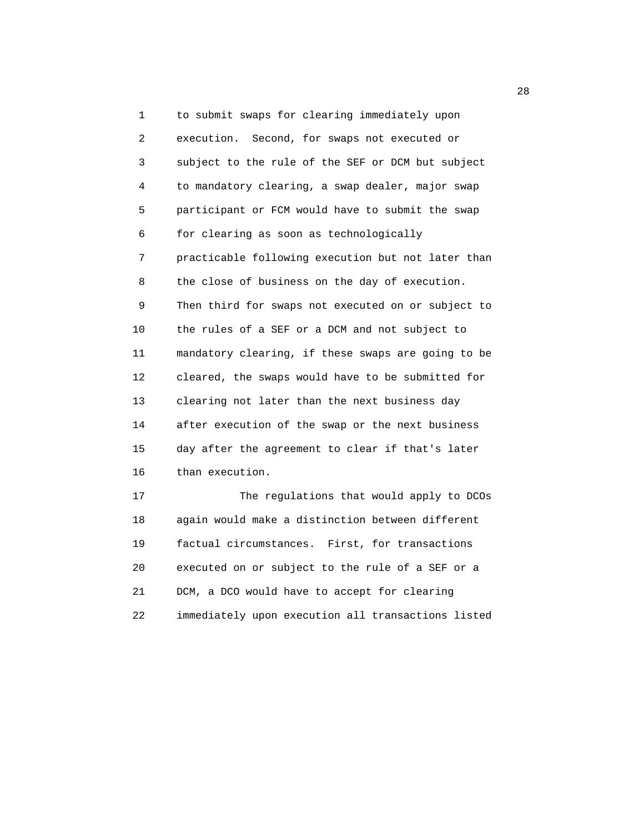1 to submit swaps for clearing immediately upon 2 execution. Second, for swaps not executed or 3 subject to the rule of the SEF or DCM but subject 4 to mandatory clearing, a swap dealer, major swap 5 participant or FCM would have to submit the swap 6 for clearing as soon as technologically 7 practicable following execution but not later than 8 the close of business on the day of execution. 9 Then third for swaps not executed on or subject to 10 the rules of a SEF or a DCM and not subject to 11 mandatory clearing, if these swaps are going to be 12 cleared, the swaps would have to be submitted for 13 clearing not later than the next business day 14 after execution of the swap or the next business 15 day after the agreement to clear if that's later 16 than execution. 17 The regulations that would apply to DCOs

 18 again would make a distinction between different 19 factual circumstances. First, for transactions 20 executed on or subject to the rule of a SEF or a 21 DCM, a DCO would have to accept for clearing 22 immediately upon execution all transactions listed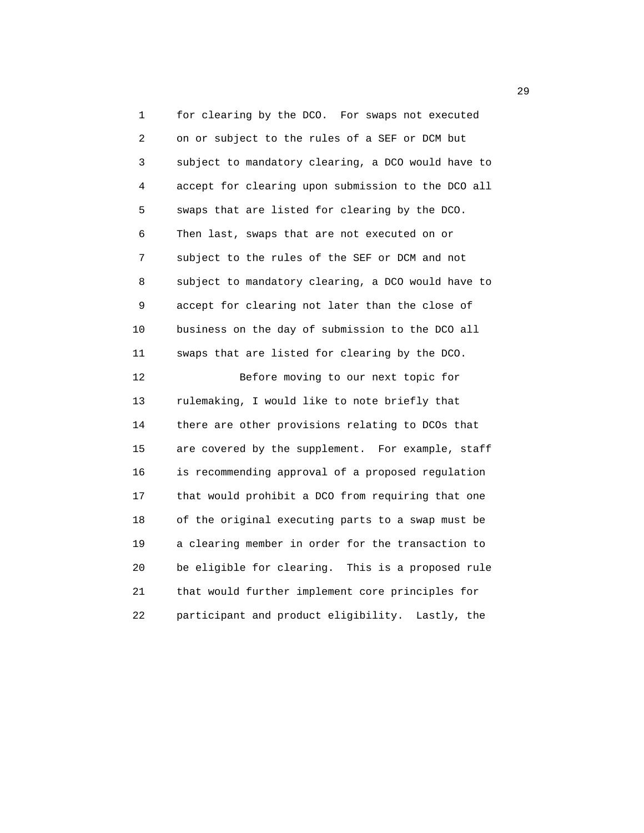1 for clearing by the DCO. For swaps not executed 2 on or subject to the rules of a SEF or DCM but 3 subject to mandatory clearing, a DCO would have to 4 accept for clearing upon submission to the DCO all 5 swaps that are listed for clearing by the DCO. 6 Then last, swaps that are not executed on or 7 subject to the rules of the SEF or DCM and not 8 subject to mandatory clearing, a DCO would have to 9 accept for clearing not later than the close of 10 business on the day of submission to the DCO all 11 swaps that are listed for clearing by the DCO. 12 Before moving to our next topic for 13 rulemaking, I would like to note briefly that 14 there are other provisions relating to DCOs that

 15 are covered by the supplement. For example, staff 16 is recommending approval of a proposed regulation 17 that would prohibit a DCO from requiring that one 18 of the original executing parts to a swap must be 19 a clearing member in order for the transaction to 20 be eligible for clearing. This is a proposed rule 21 that would further implement core principles for 22 participant and product eligibility. Lastly, the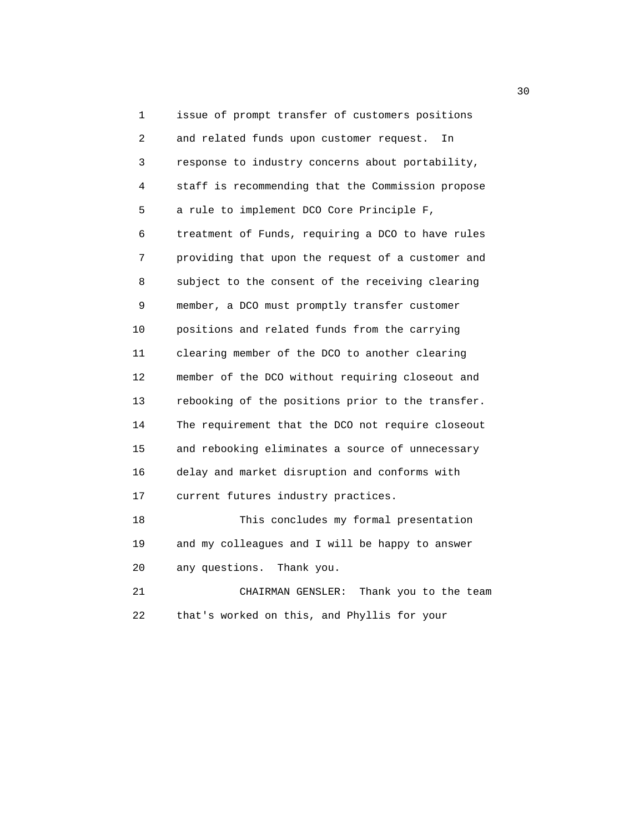1 issue of prompt transfer of customers positions 2 and related funds upon customer request. In 3 response to industry concerns about portability, 4 staff is recommending that the Commission propose 5 a rule to implement DCO Core Principle F, 6 treatment of Funds, requiring a DCO to have rules 7 providing that upon the request of a customer and 8 subject to the consent of the receiving clearing 9 member, a DCO must promptly transfer customer 10 positions and related funds from the carrying 11 clearing member of the DCO to another clearing 12 member of the DCO without requiring closeout and 13 rebooking of the positions prior to the transfer. 14 The requirement that the DCO not require closeout 15 and rebooking eliminates a source of unnecessary 16 delay and market disruption and conforms with 17 current futures industry practices. 18 This concludes my formal presentation 19 and my colleagues and I will be happy to answer 20 any questions. Thank you. 21 CHAIRMAN GENSLER: Thank you to the team 22 that's worked on this, and Phyllis for your

 $30<sup>2</sup>$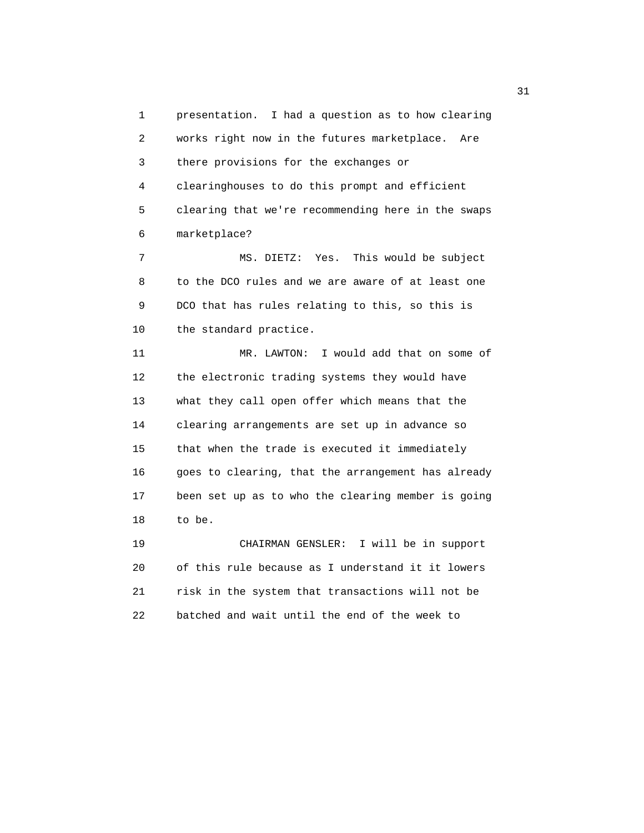1 presentation. I had a question as to how clearing 2 works right now in the futures marketplace. Are 3 there provisions for the exchanges or 4 clearinghouses to do this prompt and efficient 5 clearing that we're recommending here in the swaps 6 marketplace?

 7 MS. DIETZ: Yes. This would be subject 8 to the DCO rules and we are aware of at least one 9 DCO that has rules relating to this, so this is 10 the standard practice.

 11 MR. LAWTON: I would add that on some of 12 the electronic trading systems they would have 13 what they call open offer which means that the 14 clearing arrangements are set up in advance so 15 that when the trade is executed it immediately 16 goes to clearing, that the arrangement has already 17 been set up as to who the clearing member is going 18 to be.

 19 CHAIRMAN GENSLER: I will be in support 20 of this rule because as I understand it it lowers 21 risk in the system that transactions will not be 22 batched and wait until the end of the week to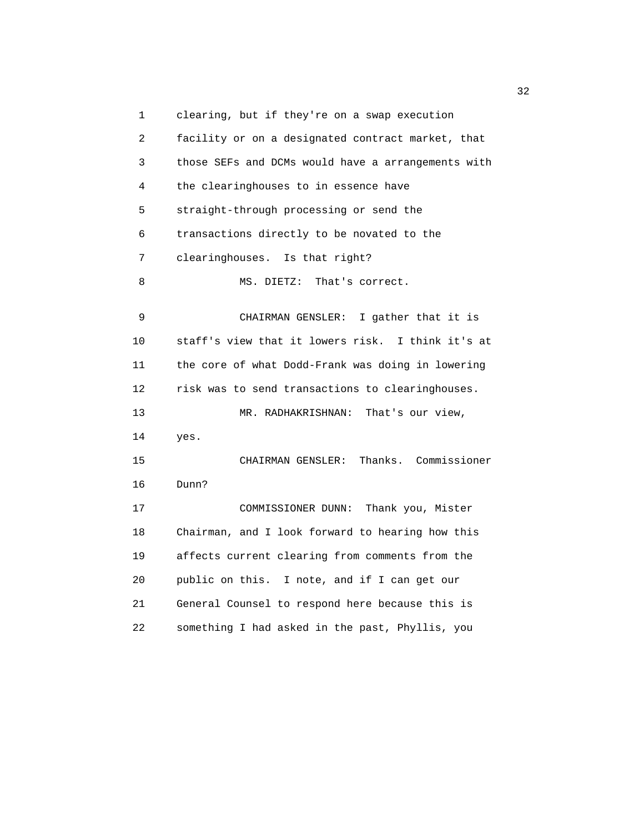1 clearing, but if they're on a swap execution 2 facility or on a designated contract market, that 3 those SEFs and DCMs would have a arrangements with 4 the clearinghouses to in essence have 5 straight-through processing or send the 6 transactions directly to be novated to the 7 clearinghouses. Is that right? 8 MS. DIETZ: That's correct. 9 CHAIRMAN GENSLER: I gather that it is 10 staff's view that it lowers risk. I think it's at 11 the core of what Dodd-Frank was doing in lowering 12 risk was to send transactions to clearinghouses. 13 MR. RADHAKRISHNAN: That's our view, 14 yes. 15 CHAIRMAN GENSLER: Thanks. Commissioner 16 Dunn? 17 COMMISSIONER DUNN: Thank you, Mister 18 Chairman, and I look forward to hearing how this 19 affects current clearing from comments from the 20 public on this. I note, and if I can get our 21 General Counsel to respond here because this is 22 something I had asked in the past, Phyllis, you

 $\frac{32}{2}$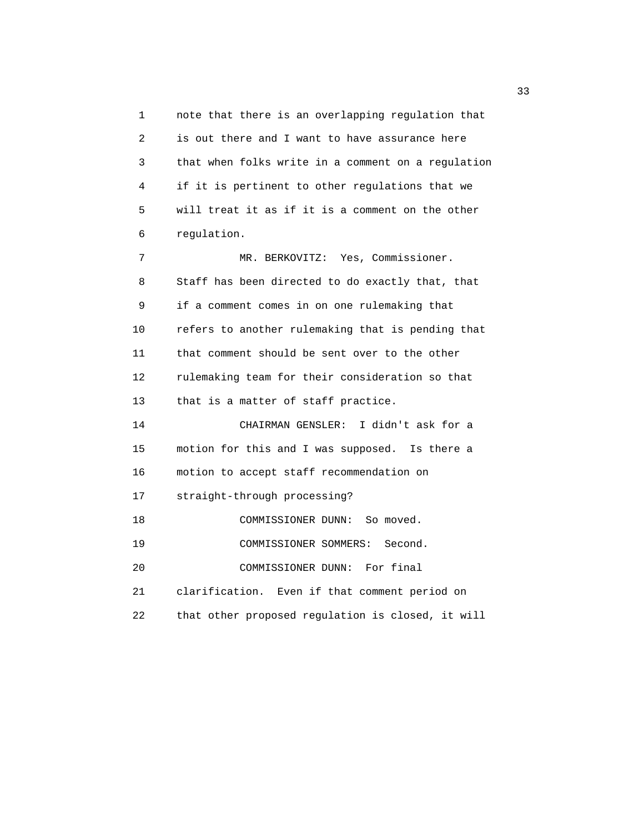1 note that there is an overlapping regulation that 2 is out there and I want to have assurance here 3 that when folks write in a comment on a regulation 4 if it is pertinent to other regulations that we 5 will treat it as if it is a comment on the other 6 regulation.

 7 MR. BERKOVITZ: Yes, Commissioner. 8 Staff has been directed to do exactly that, that 9 if a comment comes in on one rulemaking that 10 refers to another rulemaking that is pending that 11 that comment should be sent over to the other 12 rulemaking team for their consideration so that 13 that is a matter of staff practice.

 14 CHAIRMAN GENSLER: I didn't ask for a 15 motion for this and I was supposed. Is there a 16 motion to accept staff recommendation on 17 straight-through processing? 18 COMMISSIONER DUNN: So moved. 19 COMMISSIONER SOMMERS: Second. 20 COMMISSIONER DUNN: For final 21 clarification. Even if that comment period on

22 that other proposed regulation is closed, it will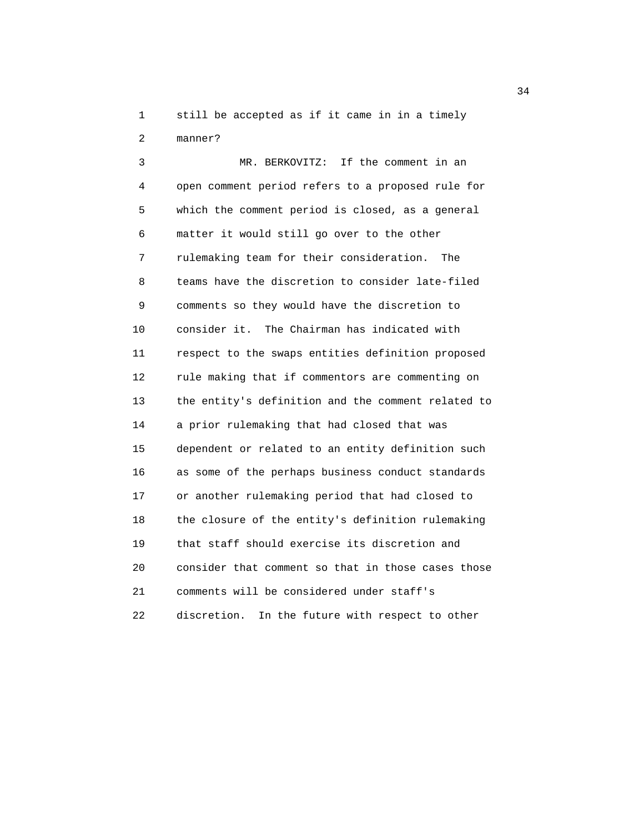1 still be accepted as if it came in in a timely 2 manner?

 3 MR. BERKOVITZ: If the comment in an 4 open comment period refers to a proposed rule for 5 which the comment period is closed, as a general 6 matter it would still go over to the other 7 rulemaking team for their consideration. The 8 teams have the discretion to consider late-filed 9 comments so they would have the discretion to 10 consider it. The Chairman has indicated with 11 respect to the swaps entities definition proposed 12 rule making that if commentors are commenting on 13 the entity's definition and the comment related to 14 a prior rulemaking that had closed that was 15 dependent or related to an entity definition such 16 as some of the perhaps business conduct standards 17 or another rulemaking period that had closed to 18 the closure of the entity's definition rulemaking 19 that staff should exercise its discretion and 20 consider that comment so that in those cases those 21 comments will be considered under staff's 22 discretion. In the future with respect to other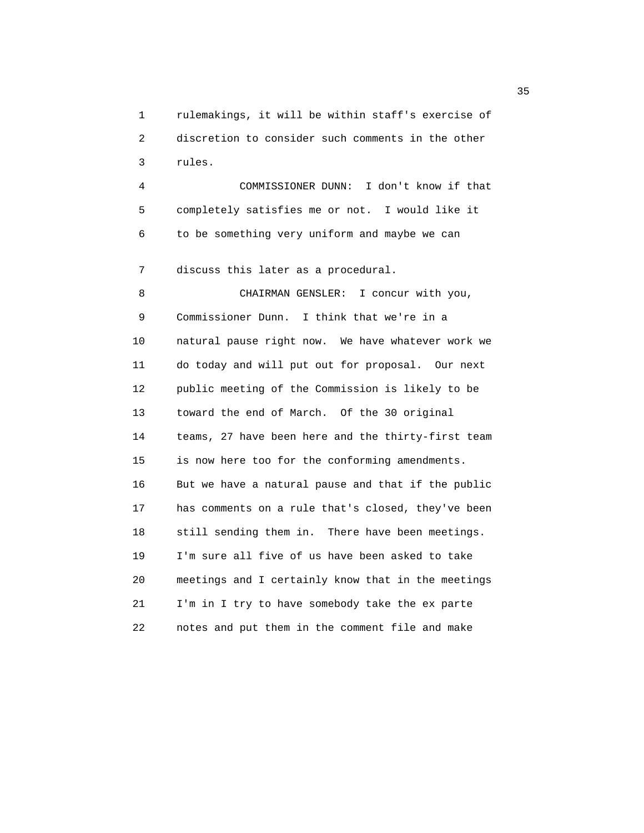1 rulemakings, it will be within staff's exercise of 2 discretion to consider such comments in the other 3 rules.

 4 COMMISSIONER DUNN: I don't know if that 5 completely satisfies me or not. I would like it 6 to be something very uniform and maybe we can

7 discuss this later as a procedural.

8 CHAIRMAN GENSLER: I concur with you, 9 Commissioner Dunn. I think that we're in a 10 natural pause right now. We have whatever work we 11 do today and will put out for proposal. Our next 12 public meeting of the Commission is likely to be 13 toward the end of March. Of the 30 original 14 teams, 27 have been here and the thirty-first team 15 is now here too for the conforming amendments. 16 But we have a natural pause and that if the public 17 has comments on a rule that's closed, they've been 18 still sending them in. There have been meetings. 19 I'm sure all five of us have been asked to take 20 meetings and I certainly know that in the meetings 21 I'm in I try to have somebody take the ex parte 22 notes and put them in the comment file and make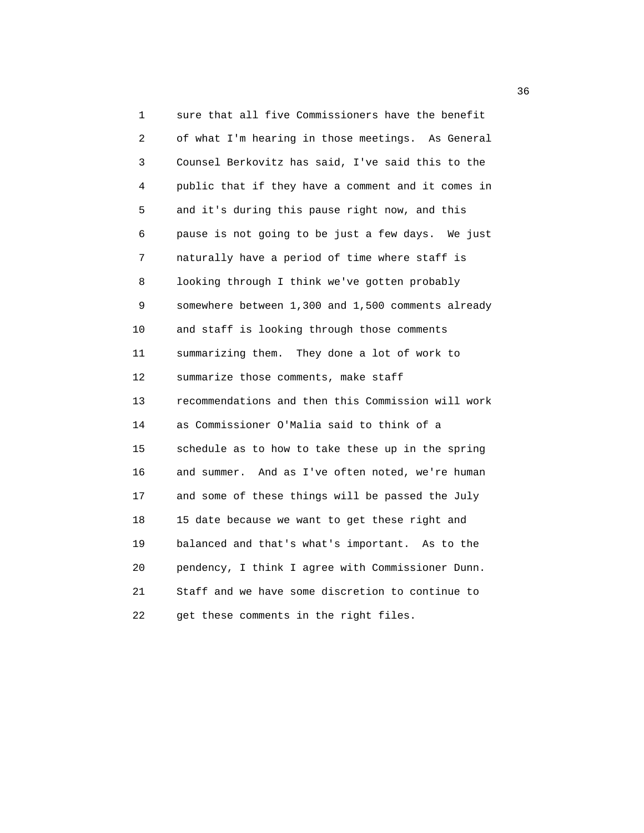1 sure that all five Commissioners have the benefit 2 of what I'm hearing in those meetings. As General 3 Counsel Berkovitz has said, I've said this to the 4 public that if they have a comment and it comes in 5 and it's during this pause right now, and this 6 pause is not going to be just a few days. We just 7 naturally have a period of time where staff is 8 looking through I think we've gotten probably 9 somewhere between 1,300 and 1,500 comments already 10 and staff is looking through those comments 11 summarizing them. They done a lot of work to 12 summarize those comments, make staff 13 recommendations and then this Commission will work 14 as Commissioner O'Malia said to think of a 15 schedule as to how to take these up in the spring 16 and summer. And as I've often noted, we're human 17 and some of these things will be passed the July 18 15 date because we want to get these right and 19 balanced and that's what's important. As to the 20 pendency, I think I agree with Commissioner Dunn. 21 Staff and we have some discretion to continue to 22 get these comments in the right files.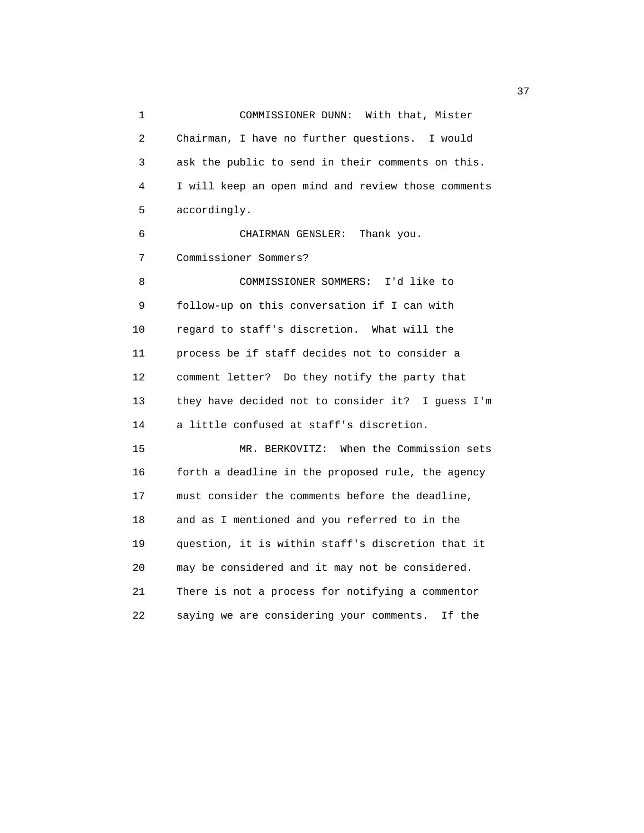1 COMMISSIONER DUNN: With that, Mister 2 Chairman, I have no further questions. I would 3 ask the public to send in their comments on this. 4 I will keep an open mind and review those comments 5 accordingly. 6 CHAIRMAN GENSLER: Thank you. 7 Commissioner Sommers? 8 COMMISSIONER SOMMERS: I'd like to 9 follow-up on this conversation if I can with 10 regard to staff's discretion. What will the 11 process be if staff decides not to consider a 12 comment letter? Do they notify the party that 13 they have decided not to consider it? I guess I'm 14 a little confused at staff's discretion. 15 MR. BERKOVITZ: When the Commission sets 16 forth a deadline in the proposed rule, the agency 17 must consider the comments before the deadline, 18 and as I mentioned and you referred to in the 19 question, it is within staff's discretion that it 20 may be considered and it may not be considered. 21 There is not a process for notifying a commentor 22 saying we are considering your comments. If the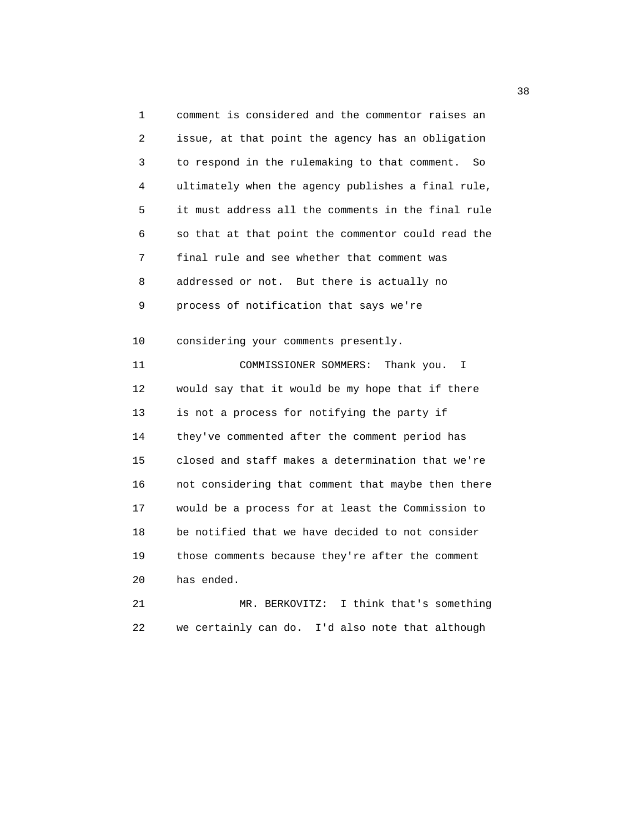1 comment is considered and the commentor raises an 2 issue, at that point the agency has an obligation 3 to respond in the rulemaking to that comment. So 4 ultimately when the agency publishes a final rule, 5 it must address all the comments in the final rule 6 so that at that point the commentor could read the 7 final rule and see whether that comment was 8 addressed or not. But there is actually no 9 process of notification that says we're 10 considering your comments presently. 11 COMMISSIONER SOMMERS: Thank you. I 12 would say that it would be my hope that if there 13 is not a process for notifying the party if 14 they've commented after the comment period has 15 closed and staff makes a determination that we're 16 not considering that comment that maybe then there 17 would be a process for at least the Commission to 18 be notified that we have decided to not consider 19 those comments because they're after the comment 20 has ended. 21 MR. BERKOVITZ: I think that's something

22 we certainly can do. I'd also note that although

 $38<sup>3</sup>$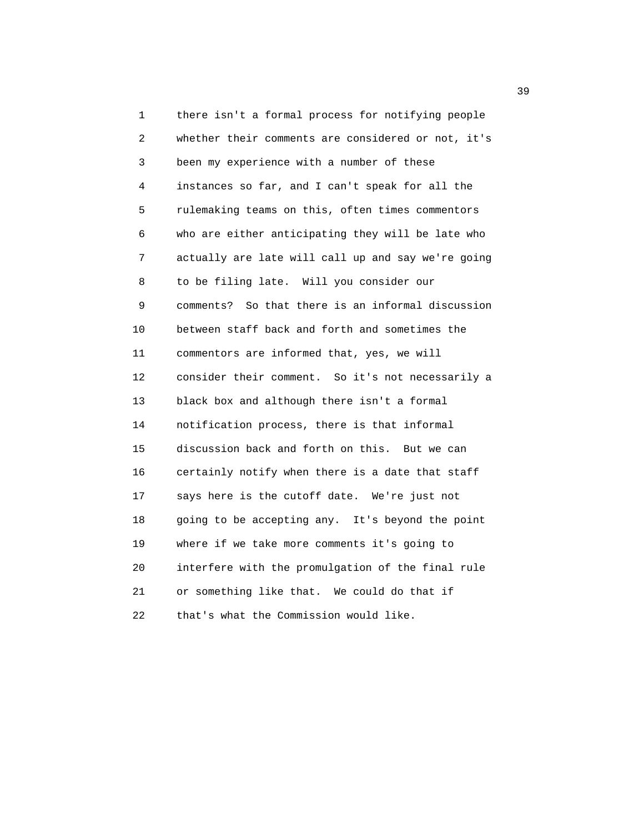1 there isn't a formal process for notifying people 2 whether their comments are considered or not, it's 3 been my experience with a number of these 4 instances so far, and I can't speak for all the 5 rulemaking teams on this, often times commentors 6 who are either anticipating they will be late who 7 actually are late will call up and say we're going 8 to be filing late. Will you consider our 9 comments? So that there is an informal discussion 10 between staff back and forth and sometimes the 11 commentors are informed that, yes, we will 12 consider their comment. So it's not necessarily a 13 black box and although there isn't a formal 14 notification process, there is that informal 15 discussion back and forth on this. But we can 16 certainly notify when there is a date that staff 17 says here is the cutoff date. We're just not 18 going to be accepting any. It's beyond the point 19 where if we take more comments it's going to 20 interfere with the promulgation of the final rule 21 or something like that. We could do that if 22 that's what the Commission would like.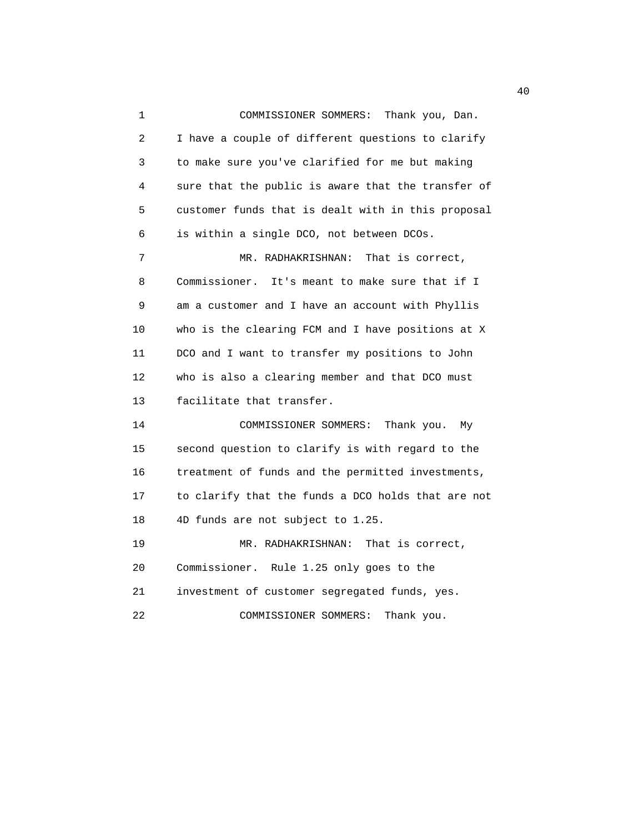1 COMMISSIONER SOMMERS: Thank you, Dan. 2 I have a couple of different questions to clarify 3 to make sure you've clarified for me but making 4 sure that the public is aware that the transfer of 5 customer funds that is dealt with in this proposal 6 is within a single DCO, not between DCOs. 7 MR. RADHAKRISHNAN: That is correct, 8 Commissioner. It's meant to make sure that if I 9 am a customer and I have an account with Phyllis 10 who is the clearing FCM and I have positions at X 11 DCO and I want to transfer my positions to John 12 who is also a clearing member and that DCO must 13 facilitate that transfer. 14 COMMISSIONER SOMMERS: Thank you. My 15 second question to clarify is with regard to the 16 treatment of funds and the permitted investments, 17 to clarify that the funds a DCO holds that are not 18 4D funds are not subject to 1.25. 19 MR. RADHAKRISHNAN: That is correct, 20 Commissioner. Rule 1.25 only goes to the 21 investment of customer segregated funds, yes. 22 COMMISSIONER SOMMERS: Thank you.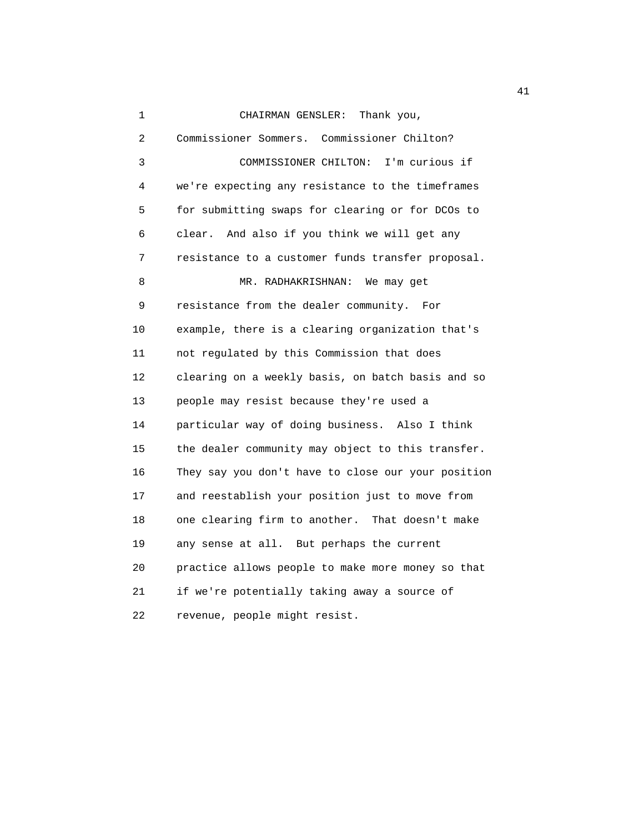1 CHAIRMAN GENSLER: Thank you,

| 2  | Commissioner Sommers. Commissioner Chilton?        |
|----|----------------------------------------------------|
| 3  | I'm curious if<br>COMMISSIONER CHILTON:            |
| 4  | we're expecting any resistance to the timeframes   |
| 5  | for submitting swaps for clearing or for DCOs to   |
| 6  | clear. And also if you think we will get any       |
| 7  | resistance to a customer funds transfer proposal.  |
| 8  | MR. RADHAKRISHNAN:<br>We may get                   |
| 9  | resistance from the dealer community. For          |
| 10 | example, there is a clearing organization that's   |
| 11 | not regulated by this Commission that does         |
| 12 | clearing on a weekly basis, on batch basis and so  |
| 13 | people may resist because they're used a           |
| 14 | particular way of doing business. Also I think     |
| 15 | the dealer community may object to this transfer.  |
| 16 | They say you don't have to close our your position |
| 17 | and reestablish your position just to move from    |
| 18 | one clearing firm to another. That doesn't make    |
| 19 | any sense at all. But perhaps the current          |
| 20 | practice allows people to make more money so that  |
| 21 | if we're potentially taking away a source of       |
| 22 | revenue, people might resist.                      |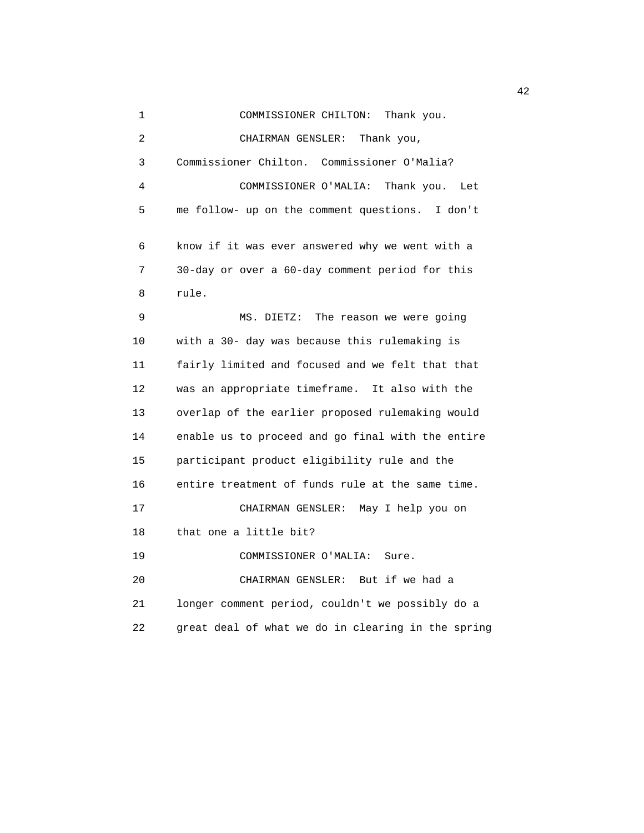1 COMMISSIONER CHILTON: Thank you. 2 CHAIRMAN GENSLER: Thank you, 3 Commissioner Chilton. Commissioner O'Malia? 4 COMMISSIONER O'MALIA: Thank you. Let 5 me follow- up on the comment questions. I don't 6 know if it was ever answered why we went with a 7 30-day or over a 60-day comment period for this 8 rule. 9 MS. DIETZ: The reason we were going 10 with a 30- day was because this rulemaking is 11 fairly limited and focused and we felt that that 12 was an appropriate timeframe. It also with the 13 overlap of the earlier proposed rulemaking would 14 enable us to proceed and go final with the entire 15 participant product eligibility rule and the 16 entire treatment of funds rule at the same time. 17 CHAIRMAN GENSLER: May I help you on 18 that one a little bit? 19 COMMISSIONER O'MALIA: Sure. 20 CHAIRMAN GENSLER: But if we had a 21 longer comment period, couldn't we possibly do a 22 great deal of what we do in clearing in the spring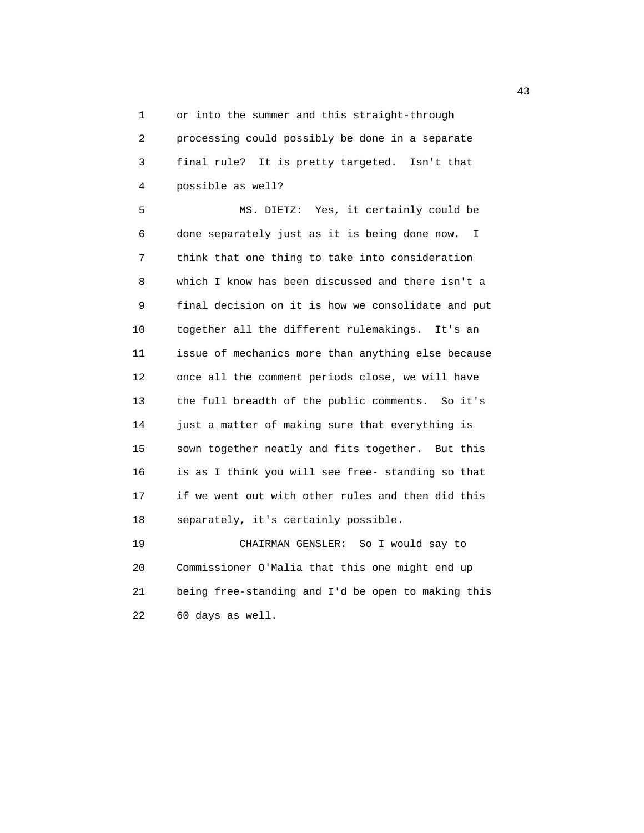1 or into the summer and this straight-through 2 processing could possibly be done in a separate 3 final rule? It is pretty targeted. Isn't that 4 possible as well?

 5 MS. DIETZ: Yes, it certainly could be 6 done separately just as it is being done now. I 7 think that one thing to take into consideration 8 which I know has been discussed and there isn't a 9 final decision on it is how we consolidate and put 10 together all the different rulemakings. It's an 11 issue of mechanics more than anything else because 12 once all the comment periods close, we will have 13 the full breadth of the public comments. So it's 14 just a matter of making sure that everything is 15 sown together neatly and fits together. But this 16 is as I think you will see free- standing so that 17 if we went out with other rules and then did this 18 separately, it's certainly possible.

 19 CHAIRMAN GENSLER: So I would say to 20 Commissioner O'Malia that this one might end up 21 being free-standing and I'd be open to making this 22 60 days as well.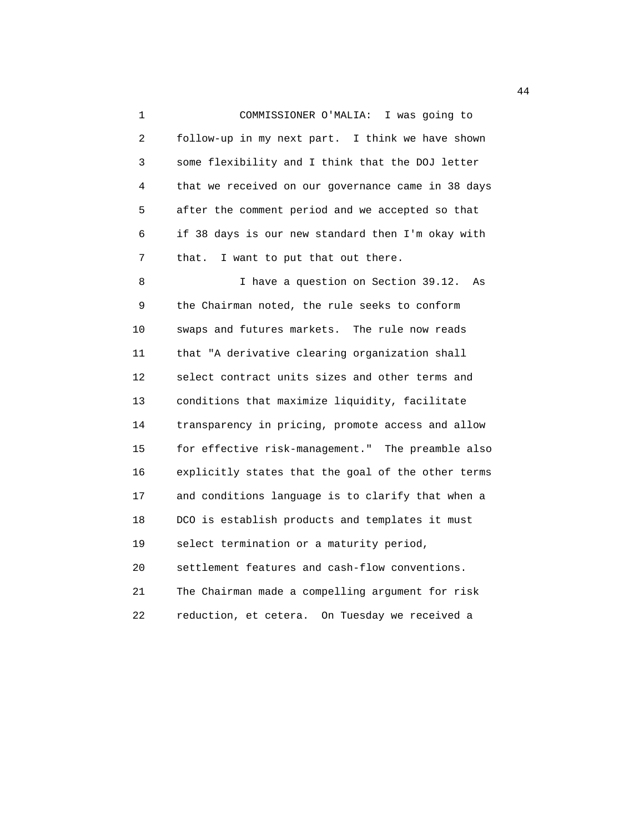1 COMMISSIONER O'MALIA: I was going to 2 follow-up in my next part. I think we have shown 3 some flexibility and I think that the DOJ letter 4 that we received on our governance came in 38 days 5 after the comment period and we accepted so that 6 if 38 days is our new standard then I'm okay with 7 that. I want to put that out there.

 8 I have a question on Section 39.12. As 9 the Chairman noted, the rule seeks to conform 10 swaps and futures markets. The rule now reads 11 that "A derivative clearing organization shall 12 select contract units sizes and other terms and 13 conditions that maximize liquidity, facilitate 14 transparency in pricing, promote access and allow 15 for effective risk-management." The preamble also 16 explicitly states that the goal of the other terms 17 and conditions language is to clarify that when a 18 DCO is establish products and templates it must 19 select termination or a maturity period, 20 settlement features and cash-flow conventions. 21 The Chairman made a compelling argument for risk

22 reduction, et cetera. On Tuesday we received a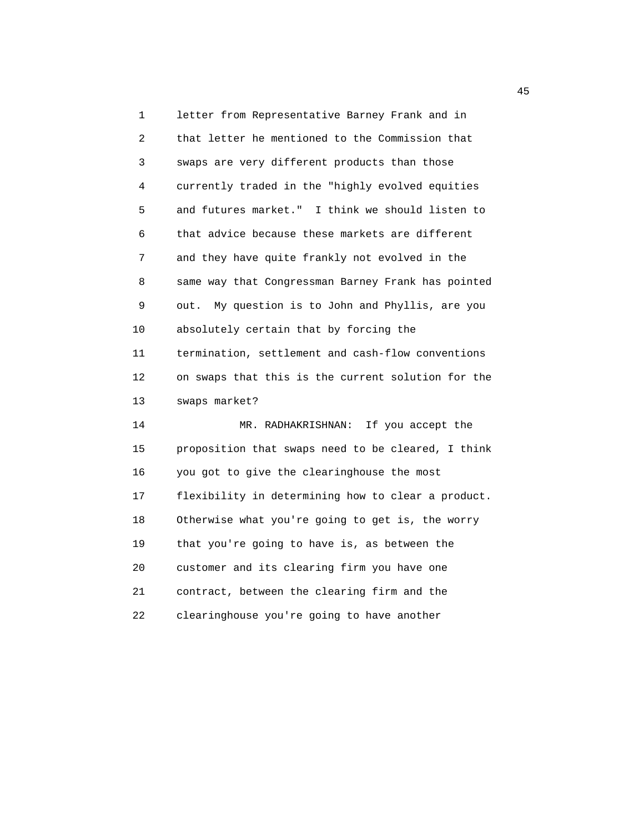1 letter from Representative Barney Frank and in 2 that letter he mentioned to the Commission that 3 swaps are very different products than those 4 currently traded in the "highly evolved equities 5 and futures market." I think we should listen to 6 that advice because these markets are different 7 and they have quite frankly not evolved in the 8 same way that Congressman Barney Frank has pointed 9 out. My question is to John and Phyllis, are you 10 absolutely certain that by forcing the 11 termination, settlement and cash-flow conventions 12 on swaps that this is the current solution for the 13 swaps market? 14 MR. RADHAKRISHNAN: If you accept the 15 proposition that swaps need to be cleared, I think 16 you got to give the clearinghouse the most 17 flexibility in determining how to clear a product. 18 Otherwise what you're going to get is, the worry 19 that you're going to have is, as between the 20 customer and its clearing firm you have one 21 contract, between the clearing firm and the

22 clearinghouse you're going to have another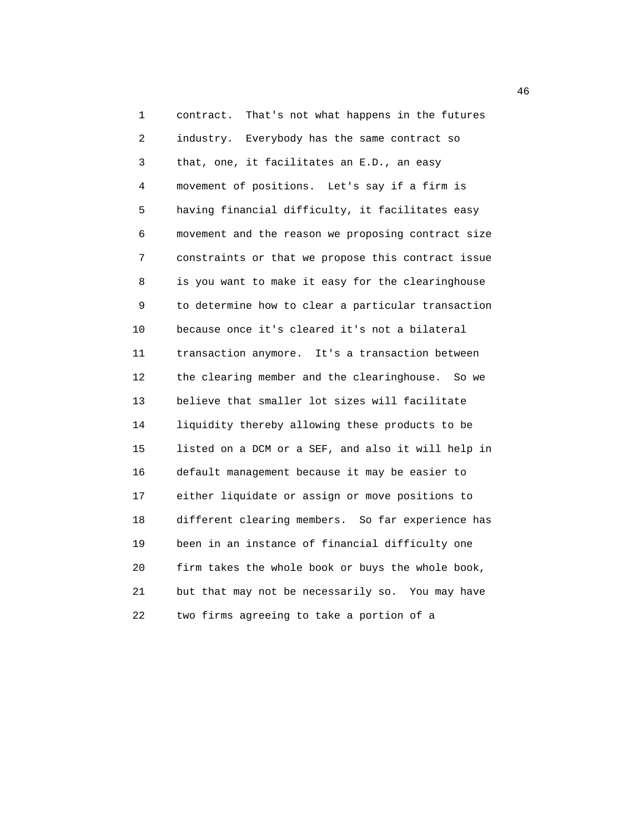1 contract. That's not what happens in the futures 2 industry. Everybody has the same contract so 3 that, one, it facilitates an E.D., an easy 4 movement of positions. Let's say if a firm is 5 having financial difficulty, it facilitates easy 6 movement and the reason we proposing contract size 7 constraints or that we propose this contract issue 8 is you want to make it easy for the clearinghouse 9 to determine how to clear a particular transaction 10 because once it's cleared it's not a bilateral 11 transaction anymore. It's a transaction between 12 the clearing member and the clearinghouse. So we 13 believe that smaller lot sizes will facilitate 14 liquidity thereby allowing these products to be 15 listed on a DCM or a SEF, and also it will help in 16 default management because it may be easier to 17 either liquidate or assign or move positions to 18 different clearing members. So far experience has 19 been in an instance of financial difficulty one 20 firm takes the whole book or buys the whole book, 21 but that may not be necessarily so. You may have 22 two firms agreeing to take a portion of a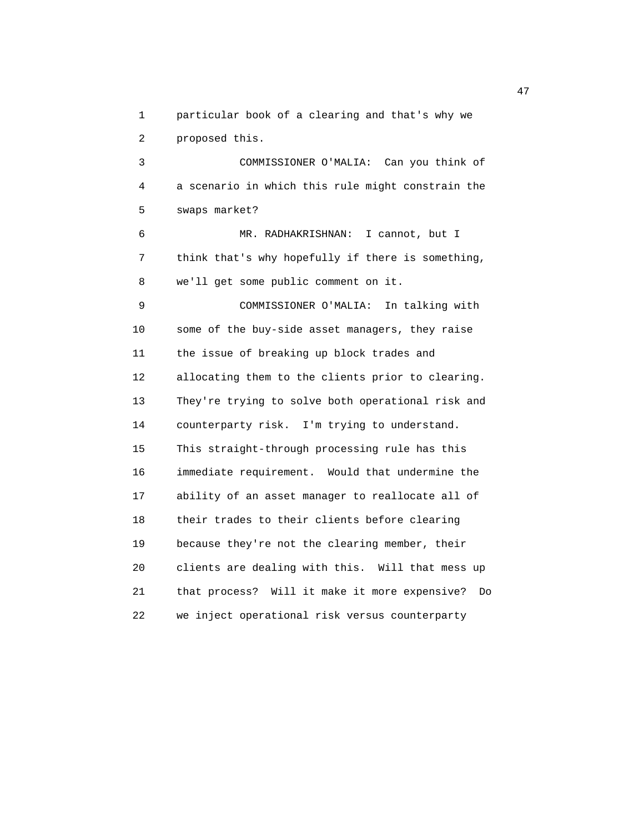1 particular book of a clearing and that's why we

2 proposed this.

 3 COMMISSIONER O'MALIA: Can you think of 4 a scenario in which this rule might constrain the 5 swaps market?

 6 MR. RADHAKRISHNAN: I cannot, but I 7 think that's why hopefully if there is something, 8 we'll get some public comment on it.

 9 COMMISSIONER O'MALIA: In talking with 10 some of the buy-side asset managers, they raise 11 the issue of breaking up block trades and 12 allocating them to the clients prior to clearing. 13 They're trying to solve both operational risk and 14 counterparty risk. I'm trying to understand. 15 This straight-through processing rule has this 16 immediate requirement. Would that undermine the 17 ability of an asset manager to reallocate all of 18 their trades to their clients before clearing 19 because they're not the clearing member, their 20 clients are dealing with this. Will that mess up 21 that process? Will it make it more expensive? Do 22 we inject operational risk versus counterparty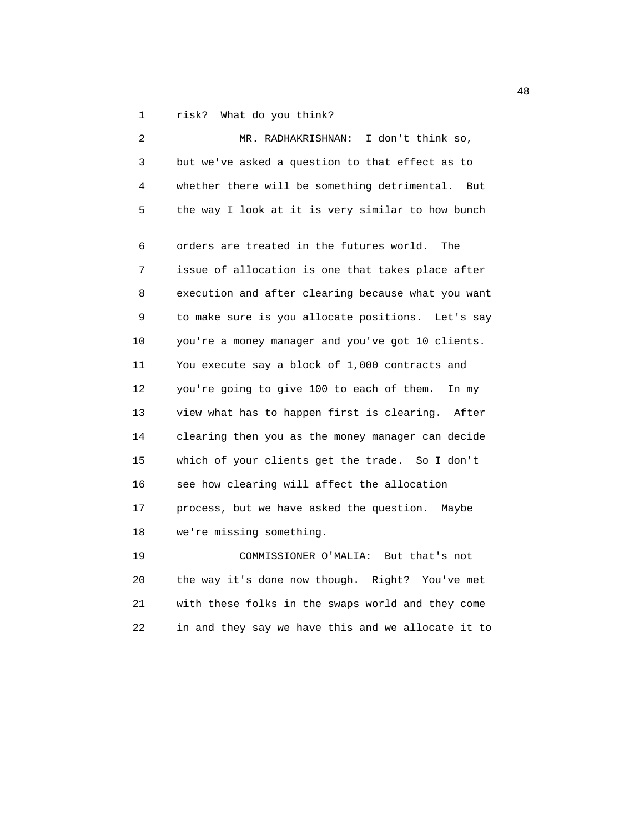1 risk? What do you think?

| $\overline{2}$ | MR. RADHAKRISHNAN: I don't think so,               |
|----------------|----------------------------------------------------|
| 3              | but we've asked a question to that effect as to    |
| 4              | whether there will be something detrimental. But   |
| 5              | the way I look at it is very similar to how bunch  |
| 6              | orders are treated in the futures world.<br>The    |
| 7              | issue of allocation is one that takes place after  |
| 8              | execution and after clearing because what you want |
| 9              | to make sure is you allocate positions. Let's say  |
| 10             | you're a money manager and you've got 10 clients.  |
| 11             | You execute say a block of 1,000 contracts and     |
| 12             | you're going to give 100 to each of them.<br>In my |
| 13             | view what has to happen first is clearing. After   |
| 14             | clearing then you as the money manager can decide  |
| 15             | which of your clients get the trade. So I don't    |
| 16             | see how clearing will affect the allocation        |
| 17             | process, but we have asked the question. Maybe     |
| 18             | we're missing something.                           |
| 19             | COMMISSIONER O'MALIA:<br>But that's not            |
|                |                                                    |

 20 the way it's done now though. Right? You've met 21 with these folks in the swaps world and they come 22 in and they say we have this and we allocate it to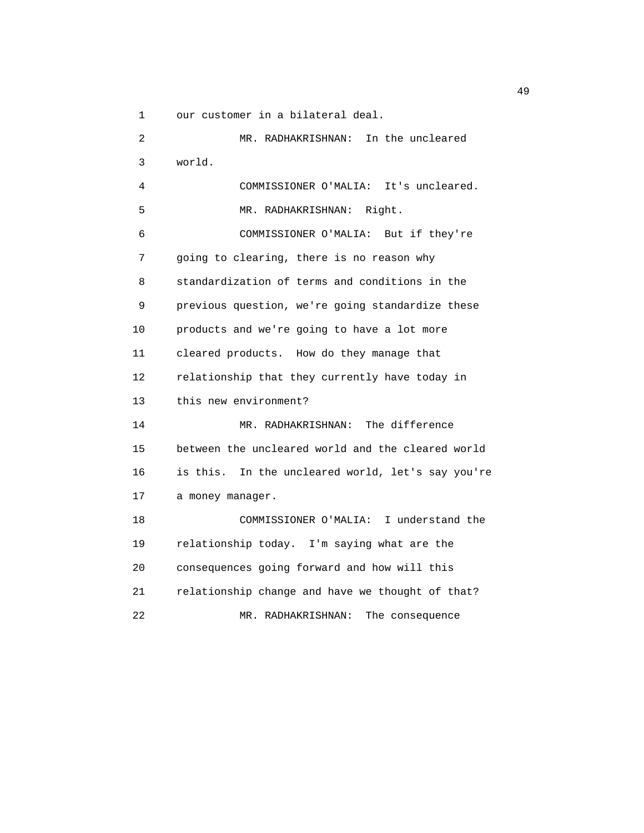1 our customer in a bilateral deal.

 2 MR. RADHAKRISHNAN: In the uncleared 3 world. 4 COMMISSIONER O'MALIA: It's uncleared. 5 MR. RADHAKRISHNAN: Right. 6 COMMISSIONER O'MALIA: But if they're 7 going to clearing, there is no reason why 8 standardization of terms and conditions in the 9 previous question, we're going standardize these 10 products and we're going to have a lot more 11 cleared products. How do they manage that 12 relationship that they currently have today in 13 this new environment? 14 MR. RADHAKRISHNAN: The difference 15 between the uncleared world and the cleared world 16 is this. In the uncleared world, let's say you're 17 a money manager. 18 COMMISSIONER O'MALIA: I understand the 19 relationship today. I'm saying what are the 20 consequences going forward and how will this 21 relationship change and have we thought of that? 22 MR. RADHAKRISHNAN: The consequence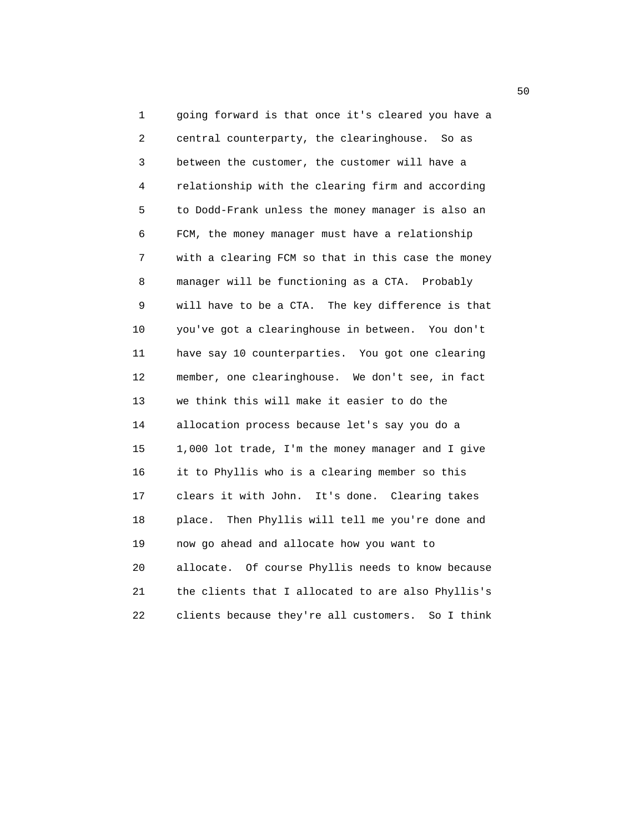1 going forward is that once it's cleared you have a 2 central counterparty, the clearinghouse. So as 3 between the customer, the customer will have a 4 relationship with the clearing firm and according 5 to Dodd-Frank unless the money manager is also an 6 FCM, the money manager must have a relationship 7 with a clearing FCM so that in this case the money 8 manager will be functioning as a CTA. Probably 9 will have to be a CTA. The key difference is that 10 you've got a clearinghouse in between. You don't 11 have say 10 counterparties. You got one clearing 12 member, one clearinghouse. We don't see, in fact 13 we think this will make it easier to do the 14 allocation process because let's say you do a 15 1,000 lot trade, I'm the money manager and I give 16 it to Phyllis who is a clearing member so this 17 clears it with John. It's done. Clearing takes 18 place. Then Phyllis will tell me you're done and 19 now go ahead and allocate how you want to 20 allocate. Of course Phyllis needs to know because 21 the clients that I allocated to are also Phyllis's 22 clients because they're all customers. So I think

 $50<sub>50</sub>$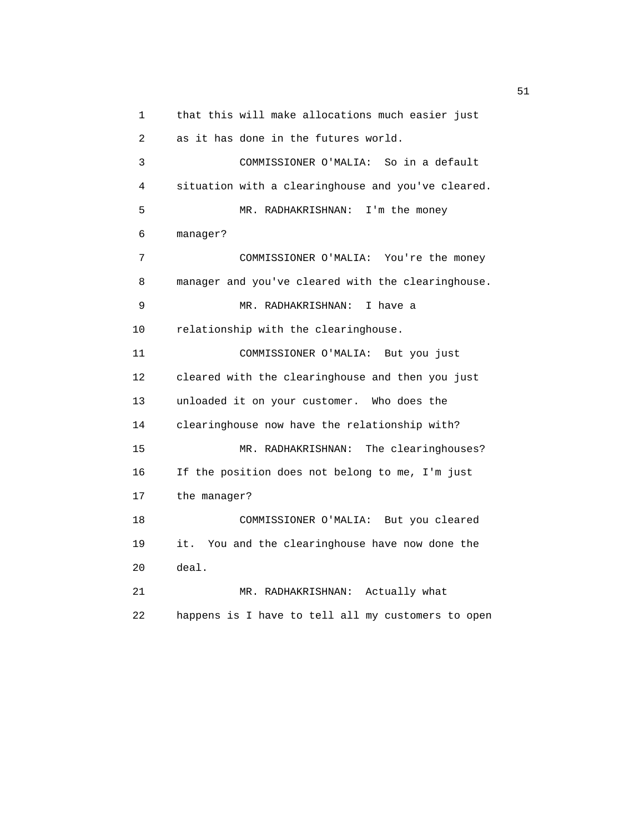1 that this will make allocations much easier just 2 as it has done in the futures world. 3 COMMISSIONER O'MALIA: So in a default 4 situation with a clearinghouse and you've cleared. 5 MR. RADHAKRISHNAN: I'm the money 6 manager? 7 COMMISSIONER O'MALIA: You're the money 8 manager and you've cleared with the clearinghouse. 9 MR. RADHAKRISHNAN: I have a 10 relationship with the clearinghouse. 11 COMMISSIONER O'MALIA: But you just 12 cleared with the clearinghouse and then you just 13 unloaded it on your customer. Who does the 14 clearinghouse now have the relationship with? 15 MR. RADHAKRISHNAN: The clearinghouses? 16 If the position does not belong to me, I'm just 17 the manager? 18 COMMISSIONER O'MALIA: But you cleared 19 it. You and the clearinghouse have now done the 20 deal. 21 MR. RADHAKRISHNAN: Actually what 22 happens is I have to tell all my customers to open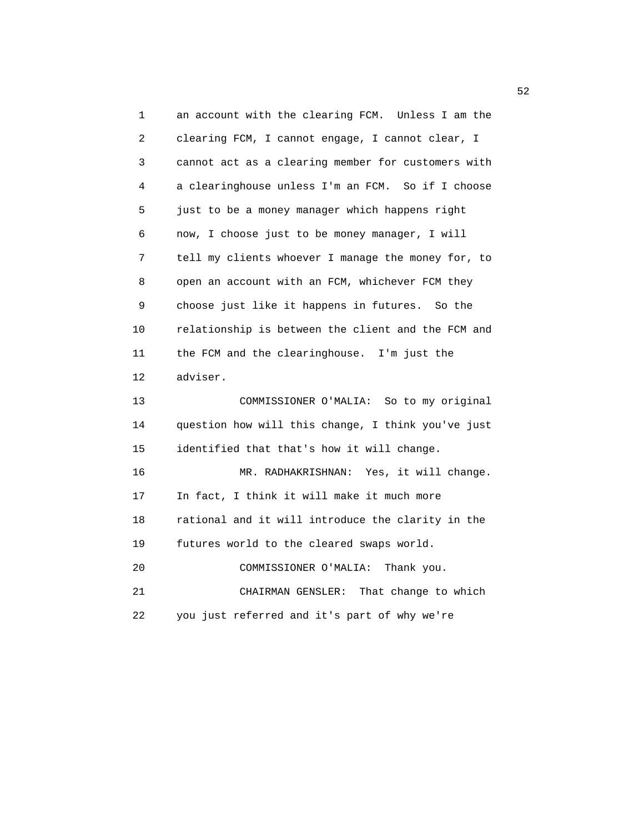1 an account with the clearing FCM. Unless I am the 2 clearing FCM, I cannot engage, I cannot clear, I 3 cannot act as a clearing member for customers with 4 a clearinghouse unless I'm an FCM. So if I choose 5 just to be a money manager which happens right 6 now, I choose just to be money manager, I will 7 tell my clients whoever I manage the money for, to 8 open an account with an FCM, whichever FCM they 9 choose just like it happens in futures. So the 10 relationship is between the client and the FCM and 11 the FCM and the clearinghouse. I'm just the 12 adviser. 13 COMMISSIONER O'MALIA: So to my original 14 question how will this change, I think you've just 15 identified that that's how it will change. 16 MR. RADHAKRISHNAN: Yes, it will change. 17 In fact, I think it will make it much more 18 rational and it will introduce the clarity in the 19 futures world to the cleared swaps world. 20 COMMISSIONER O'MALIA: Thank you. 21 CHAIRMAN GENSLER: That change to which 22 you just referred and it's part of why we're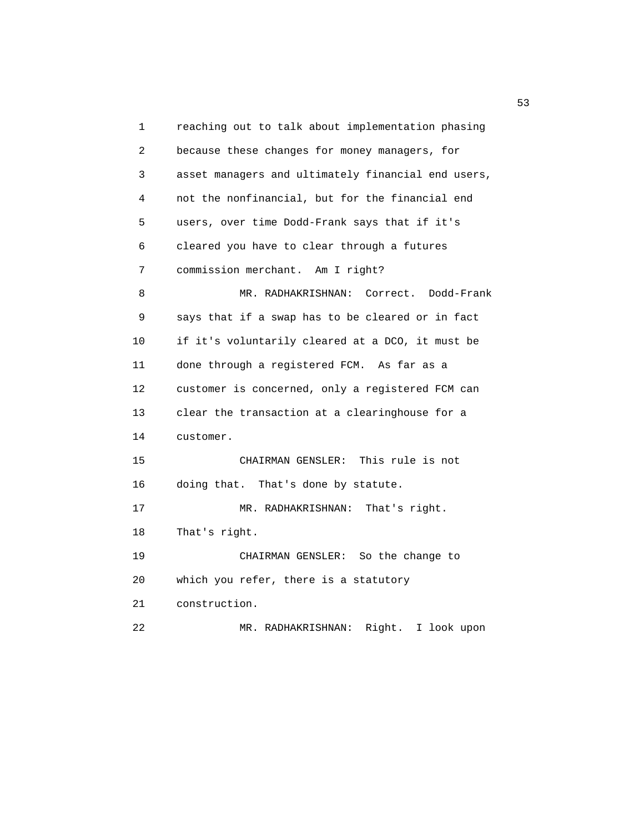1 reaching out to talk about implementation phasing 2 because these changes for money managers, for 3 asset managers and ultimately financial end users, 4 not the nonfinancial, but for the financial end 5 users, over time Dodd-Frank says that if it's 6 cleared you have to clear through a futures 7 commission merchant. Am I right? 8 MR. RADHAKRISHNAN: Correct. Dodd-Frank 9 says that if a swap has to be cleared or in fact 10 if it's voluntarily cleared at a DCO, it must be 11 done through a registered FCM. As far as a 12 customer is concerned, only a registered FCM can 13 clear the transaction at a clearinghouse for a 14 customer. 15 CHAIRMAN GENSLER: This rule is not 16 doing that. That's done by statute. 17 MR. RADHAKRISHNAN: That's right. 18 That's right. 19 CHAIRMAN GENSLER: So the change to 20 which you refer, there is a statutory 21 construction. 22 MR. RADHAKRISHNAN: Right. I look upon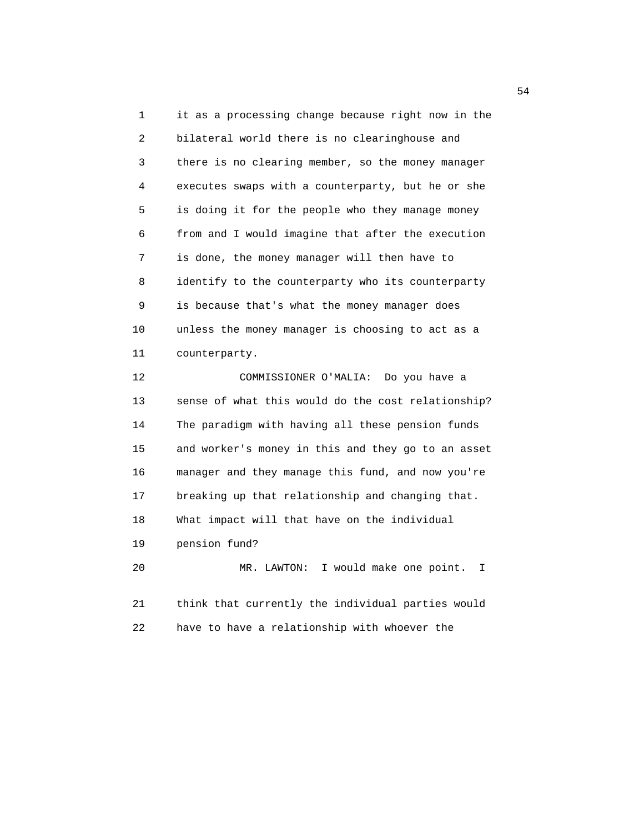1 it as a processing change because right now in the 2 bilateral world there is no clearinghouse and 3 there is no clearing member, so the money manager 4 executes swaps with a counterparty, but he or she 5 is doing it for the people who they manage money 6 from and I would imagine that after the execution 7 is done, the money manager will then have to 8 identify to the counterparty who its counterparty 9 is because that's what the money manager does 10 unless the money manager is choosing to act as a 11 counterparty. 12 COMMISSIONER O'MALIA: Do you have a

 13 sense of what this would do the cost relationship? 14 The paradigm with having all these pension funds 15 and worker's money in this and they go to an asset 16 manager and they manage this fund, and now you're 17 breaking up that relationship and changing that. 18 What impact will that have on the individual 19 pension fund? 20 MR. LAWTON: I would make one point. I

 21 think that currently the individual parties would 22 have to have a relationship with whoever the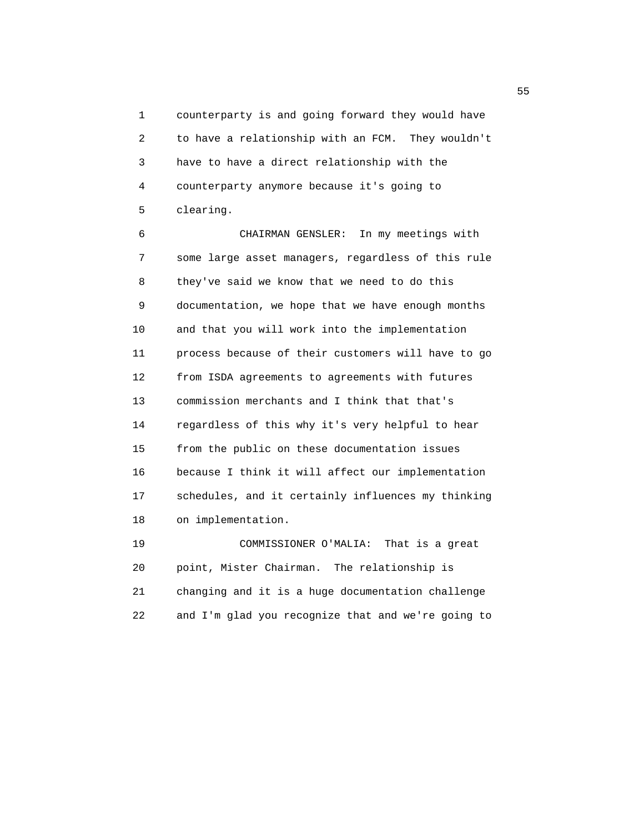1 counterparty is and going forward they would have 2 to have a relationship with an FCM. They wouldn't 3 have to have a direct relationship with the 4 counterparty anymore because it's going to 5 clearing.

 6 CHAIRMAN GENSLER: In my meetings with 7 some large asset managers, regardless of this rule 8 they've said we know that we need to do this 9 documentation, we hope that we have enough months 10 and that you will work into the implementation 11 process because of their customers will have to go 12 from ISDA agreements to agreements with futures 13 commission merchants and I think that that's 14 regardless of this why it's very helpful to hear 15 from the public on these documentation issues 16 because I think it will affect our implementation 17 schedules, and it certainly influences my thinking 18 on implementation.

 19 COMMISSIONER O'MALIA: That is a great 20 point, Mister Chairman. The relationship is 21 changing and it is a huge documentation challenge 22 and I'm glad you recognize that and we're going to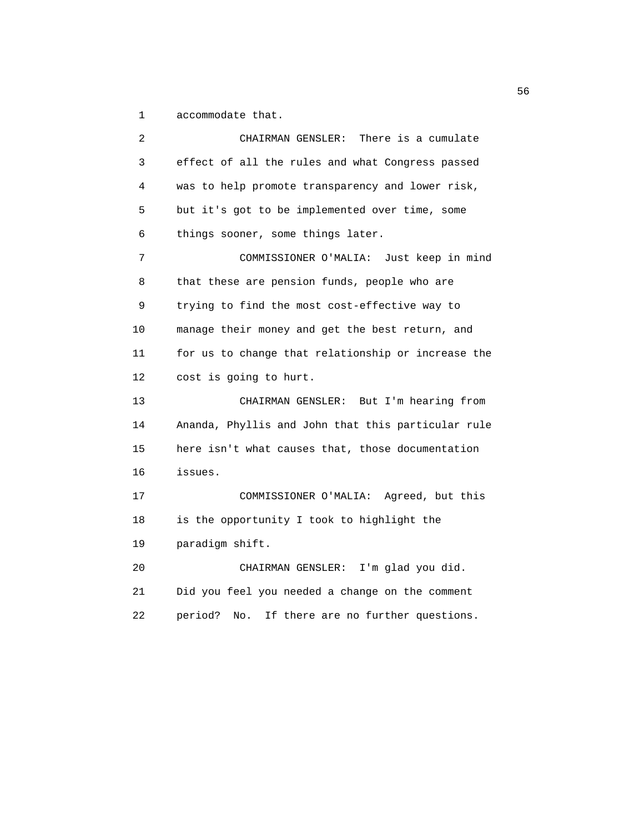1 accommodate that.

 2 CHAIRMAN GENSLER: There is a cumulate 3 effect of all the rules and what Congress passed 4 was to help promote transparency and lower risk, 5 but it's got to be implemented over time, some 6 things sooner, some things later. 7 COMMISSIONER O'MALIA: Just keep in mind 8 that these are pension funds, people who are 9 trying to find the most cost-effective way to 10 manage their money and get the best return, and 11 for us to change that relationship or increase the 12 cost is going to hurt. 13 CHAIRMAN GENSLER: But I'm hearing from 14 Ananda, Phyllis and John that this particular rule 15 here isn't what causes that, those documentation 16 issues. 17 COMMISSIONER O'MALIA: Agreed, but this 18 is the opportunity I took to highlight the 19 paradigm shift. 20 CHAIRMAN GENSLER: I'm glad you did. 21 Did you feel you needed a change on the comment 22 period? No. If there are no further questions.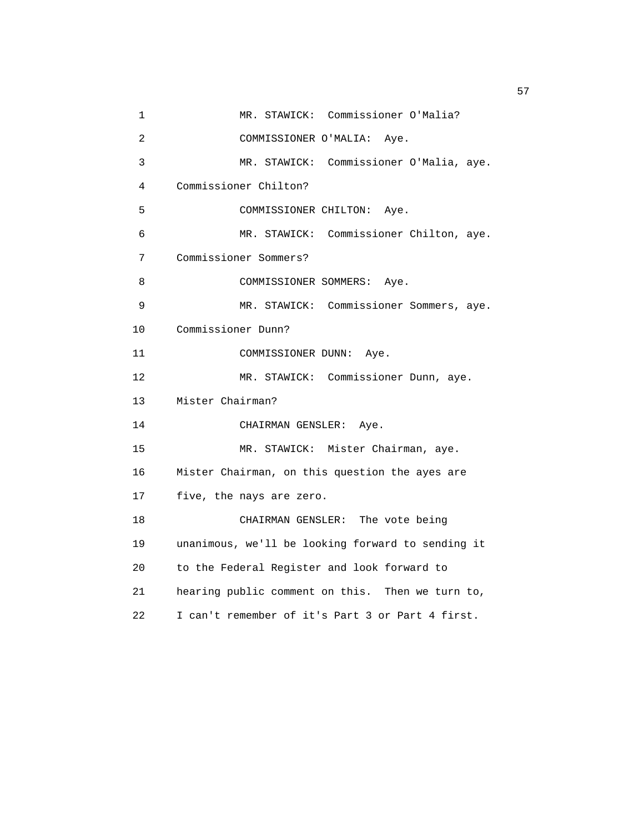1 MR. STAWICK: Commissioner O'Malia? 2 COMMISSIONER O'MALIA: Aye. 3 MR. STAWICK: Commissioner O'Malia, aye. 4 Commissioner Chilton? 5 COMMISSIONER CHILTON: Aye. 6 MR. STAWICK: Commissioner Chilton, aye. 7 Commissioner Sommers? 8 COMMISSIONER SOMMERS: Aye. 9 MR. STAWICK: Commissioner Sommers, aye. 10 Commissioner Dunn? 11 COMMISSIONER DUNN: Aye. 12 MR. STAWICK: Commissioner Dunn, aye. 13 Mister Chairman? 14 CHAIRMAN GENSLER: Aye. 15 MR. STAWICK: Mister Chairman, aye. 16 Mister Chairman, on this question the ayes are 17 five, the nays are zero. 18 CHAIRMAN GENSLER: The vote being 19 unanimous, we'll be looking forward to sending it 20 to the Federal Register and look forward to 21 hearing public comment on this. Then we turn to, 22 I can't remember of it's Part 3 or Part 4 first.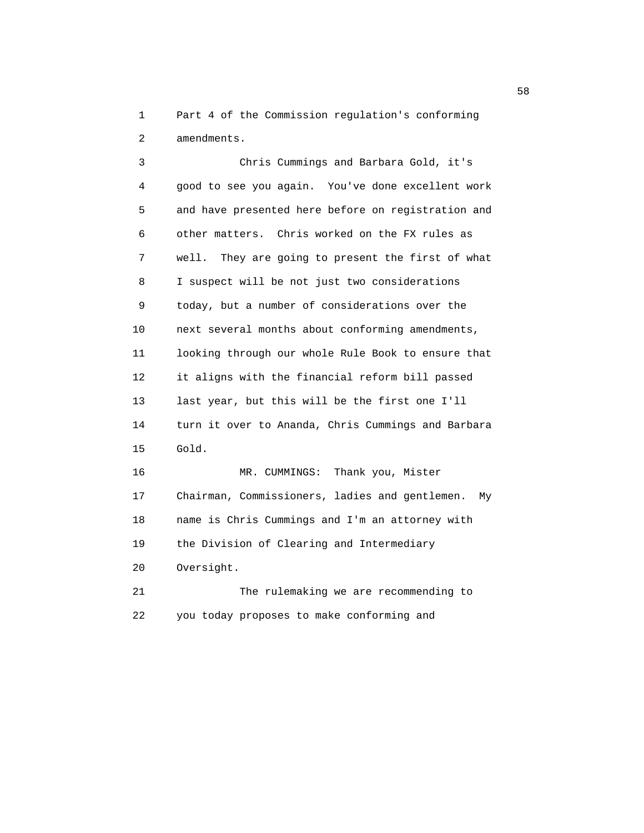1 Part 4 of the Commission regulation's conforming 2 amendments.

 3 Chris Cummings and Barbara Gold, it's 4 good to see you again. You've done excellent work 5 and have presented here before on registration and 6 other matters. Chris worked on the FX rules as 7 well. They are going to present the first of what 8 I suspect will be not just two considerations 9 today, but a number of considerations over the 10 next several months about conforming amendments, 11 looking through our whole Rule Book to ensure that 12 it aligns with the financial reform bill passed 13 last year, but this will be the first one I'll 14 turn it over to Ananda, Chris Cummings and Barbara 15 Gold. 16 MR. CUMMINGS: Thank you, Mister 17 Chairman, Commissioners, ladies and gentlemen. My 18 name is Chris Cummings and I'm an attorney with 19 the Division of Clearing and Intermediary

20 Oversight.

 21 The rulemaking we are recommending to 22 you today proposes to make conforming and

 $58<sub>58</sub>$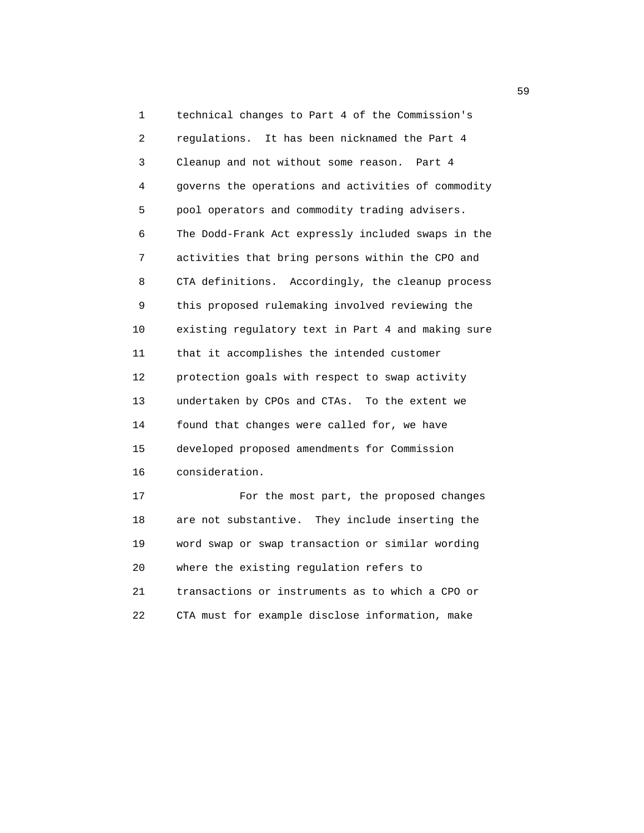1 technical changes to Part 4 of the Commission's 2 regulations. It has been nicknamed the Part 4 3 Cleanup and not without some reason. Part 4 4 governs the operations and activities of commodity 5 pool operators and commodity trading advisers. 6 The Dodd-Frank Act expressly included swaps in the 7 activities that bring persons within the CPO and 8 CTA definitions. Accordingly, the cleanup process 9 this proposed rulemaking involved reviewing the 10 existing regulatory text in Part 4 and making sure 11 that it accomplishes the intended customer 12 protection goals with respect to swap activity 13 undertaken by CPOs and CTAs. To the extent we 14 found that changes were called for, we have 15 developed proposed amendments for Commission 16 consideration. 17 For the most part, the proposed changes

 18 are not substantive. They include inserting the 19 word swap or swap transaction or similar wording 20 where the existing regulation refers to 21 transactions or instruments as to which a CPO or 22 CTA must for example disclose information, make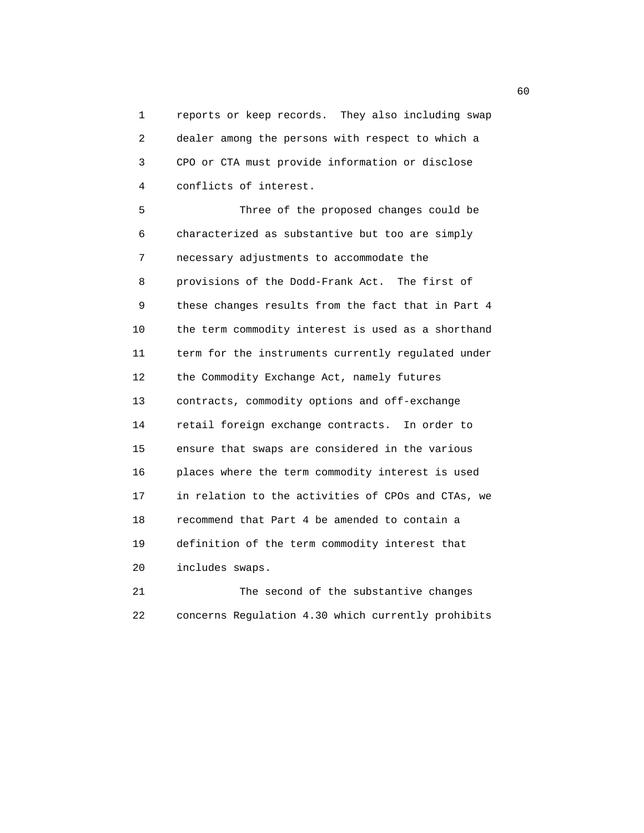1 reports or keep records. They also including swap 2 dealer among the persons with respect to which a 3 CPO or CTA must provide information or disclose 4 conflicts of interest.

 5 Three of the proposed changes could be 6 characterized as substantive but too are simply 7 necessary adjustments to accommodate the 8 provisions of the Dodd-Frank Act. The first of 9 these changes results from the fact that in Part 4 10 the term commodity interest is used as a shorthand 11 term for the instruments currently regulated under 12 the Commodity Exchange Act, namely futures 13 contracts, commodity options and off-exchange 14 retail foreign exchange contracts. In order to 15 ensure that swaps are considered in the various 16 places where the term commodity interest is used 17 in relation to the activities of CPOs and CTAs, we 18 recommend that Part 4 be amended to contain a 19 definition of the term commodity interest that 20 includes swaps.

 21 The second of the substantive changes 22 concerns Regulation 4.30 which currently prohibits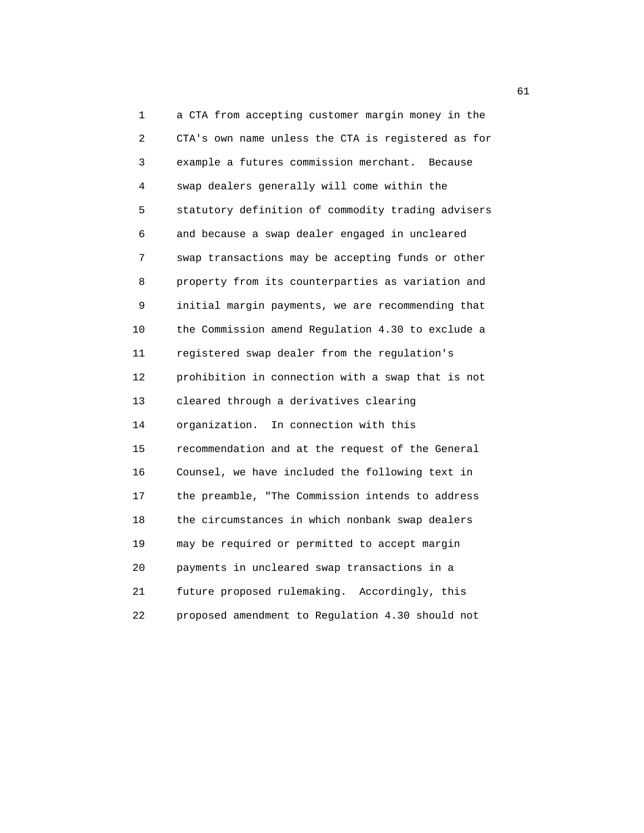1 a CTA from accepting customer margin money in the 2 CTA's own name unless the CTA is registered as for 3 example a futures commission merchant. Because 4 swap dealers generally will come within the 5 statutory definition of commodity trading advisers 6 and because a swap dealer engaged in uncleared 7 swap transactions may be accepting funds or other 8 property from its counterparties as variation and 9 initial margin payments, we are recommending that 10 the Commission amend Regulation 4.30 to exclude a 11 registered swap dealer from the regulation's 12 prohibition in connection with a swap that is not 13 cleared through a derivatives clearing 14 organization. In connection with this 15 recommendation and at the request of the General 16 Counsel, we have included the following text in 17 the preamble, "The Commission intends to address 18 the circumstances in which nonbank swap dealers 19 may be required or permitted to accept margin 20 payments in uncleared swap transactions in a 21 future proposed rulemaking. Accordingly, this 22 proposed amendment to Regulation 4.30 should not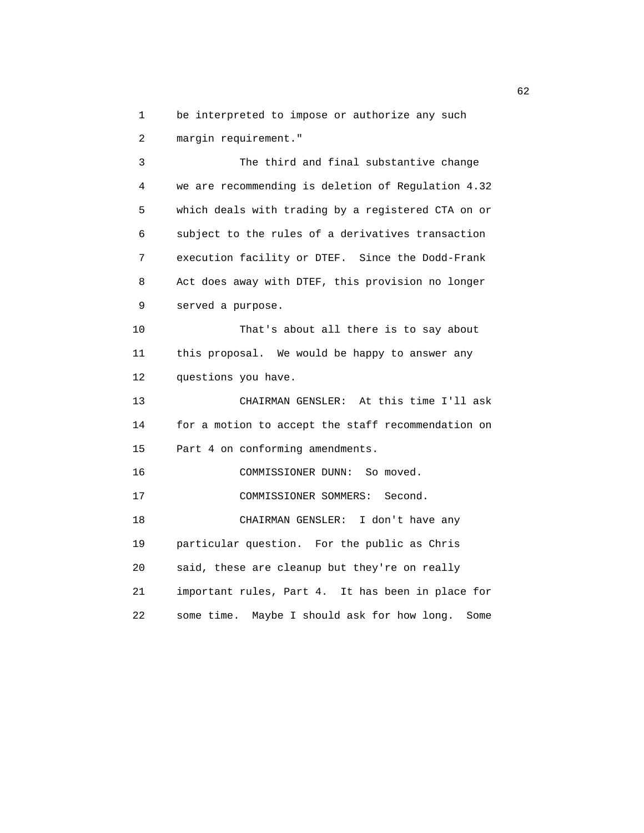1 be interpreted to impose or authorize any such

2 margin requirement."

 3 The third and final substantive change 4 we are recommending is deletion of Regulation 4.32 5 which deals with trading by a registered CTA on or 6 subject to the rules of a derivatives transaction 7 execution facility or DTEF. Since the Dodd-Frank 8 Act does away with DTEF, this provision no longer 9 served a purpose.

 10 That's about all there is to say about 11 this proposal. We would be happy to answer any 12 questions you have.

 13 CHAIRMAN GENSLER: At this time I'll ask 14 for a motion to accept the staff recommendation on 15 Part 4 on conforming amendments.

16 COMMISSIONER DUNN: So moved.

17 COMMISSIONER SOMMERS: Second.

 18 CHAIRMAN GENSLER: I don't have any 19 particular question. For the public as Chris 20 said, these are cleanup but they're on really 21 important rules, Part 4. It has been in place for 22 some time. Maybe I should ask for how long. Some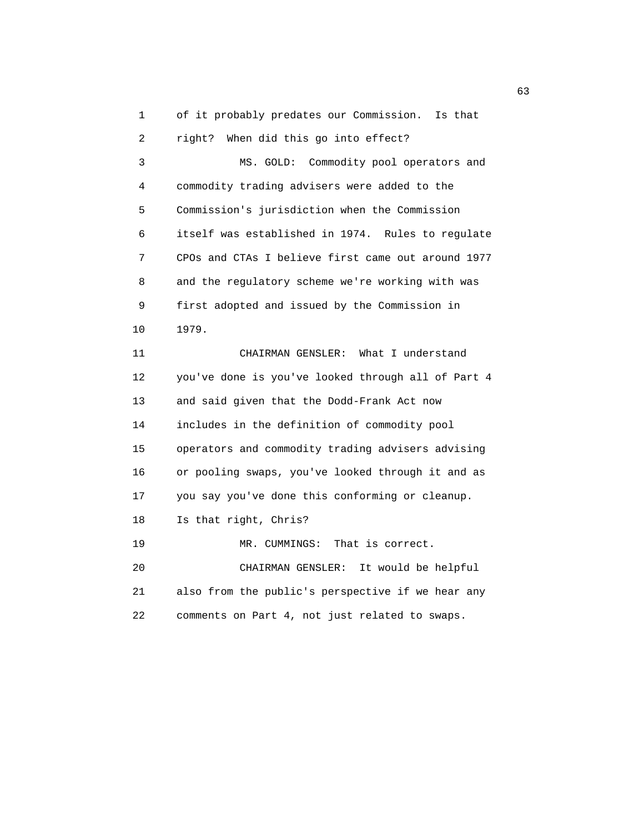1 of it probably predates our Commission. Is that 2 right? When did this go into effect? 3 MS. GOLD: Commodity pool operators and 4 commodity trading advisers were added to the 5 Commission's jurisdiction when the Commission 6 itself was established in 1974. Rules to regulate 7 CPOs and CTAs I believe first came out around 1977 8 and the regulatory scheme we're working with was 9 first adopted and issued by the Commission in 10 1979. 11 CHAIRMAN GENSLER: What I understand 12 you've done is you've looked through all of Part 4 13 and said given that the Dodd-Frank Act now 14 includes in the definition of commodity pool 15 operators and commodity trading advisers advising 16 or pooling swaps, you've looked through it and as 17 you say you've done this conforming or cleanup. 18 Is that right, Chris? 19 MR. CUMMINGS: That is correct. 20 CHAIRMAN GENSLER: It would be helpful 21 also from the public's perspective if we hear any 22 comments on Part 4, not just related to swaps.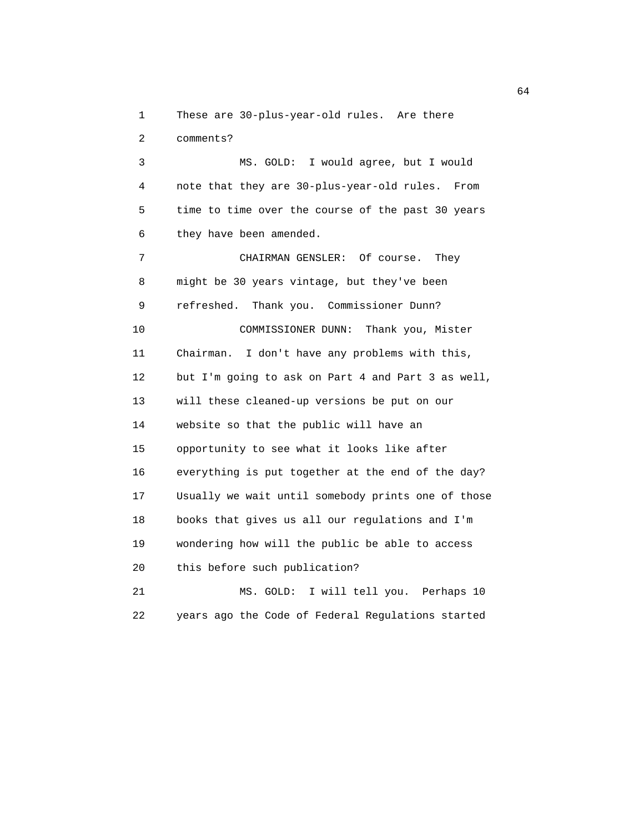1 These are 30-plus-year-old rules. Are there

2 comments?

 3 MS. GOLD: I would agree, but I would 4 note that they are 30-plus-year-old rules. From 5 time to time over the course of the past 30 years 6 they have been amended.

 7 CHAIRMAN GENSLER: Of course. They 8 might be 30 years vintage, but they've been 9 refreshed. Thank you. Commissioner Dunn? 10 COMMISSIONER DUNN: Thank you, Mister 11 Chairman. I don't have any problems with this, 12 but I'm going to ask on Part 4 and Part 3 as well, 13 will these cleaned-up versions be put on our 14 website so that the public will have an 15 opportunity to see what it looks like after 16 everything is put together at the end of the day? 17 Usually we wait until somebody prints one of those 18 books that gives us all our regulations and I'm 19 wondering how will the public be able to access 20 this before such publication? 21 MS. GOLD: I will tell you. Perhaps 10

22 years ago the Code of Federal Regulations started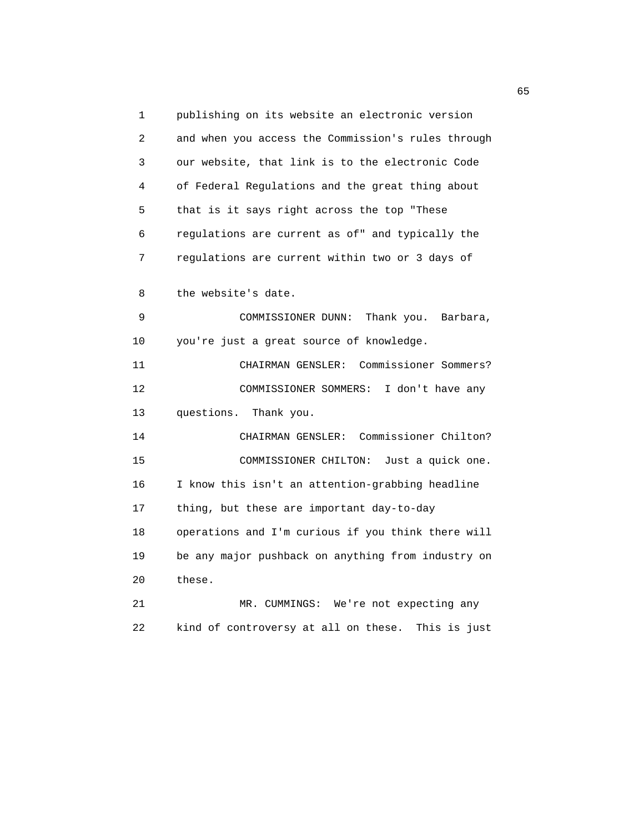1 publishing on its website an electronic version 2 and when you access the Commission's rules through 3 our website, that link is to the electronic Code 4 of Federal Regulations and the great thing about 5 that is it says right across the top "These 6 regulations are current as of" and typically the 7 regulations are current within two or 3 days of 8 the website's date. 9 COMMISSIONER DUNN: Thank you. Barbara, 10 you're just a great source of knowledge. 11 CHAIRMAN GENSLER: Commissioner Sommers? 12 COMMISSIONER SOMMERS: I don't have any 13 questions. Thank you. 14 CHAIRMAN GENSLER: Commissioner Chilton? 15 COMMISSIONER CHILTON: Just a quick one. 16 I know this isn't an attention-grabbing headline 17 thing, but these are important day-to-day 18 operations and I'm curious if you think there will 19 be any major pushback on anything from industry on 20 these. 21 MR. CUMMINGS: We're not expecting any

22 kind of controversy at all on these. This is just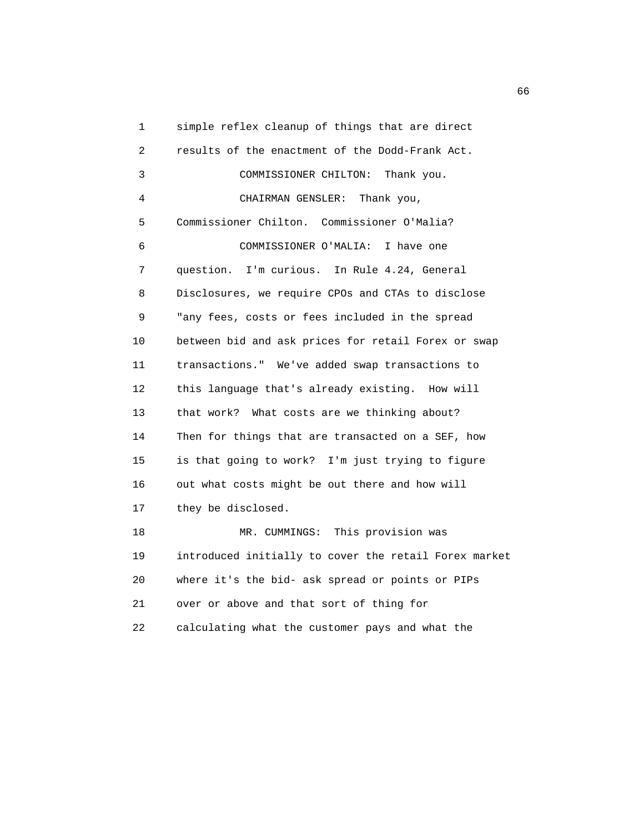1 simple reflex cleanup of things that are direct 2 results of the enactment of the Dodd-Frank Act. 3 COMMISSIONER CHILTON: Thank you. 4 CHAIRMAN GENSLER: Thank you, 5 Commissioner Chilton. Commissioner O'Malia? 6 COMMISSIONER O'MALIA: I have one 7 question. I'm curious. In Rule 4.24, General 8 Disclosures, we require CPOs and CTAs to disclose 9 "any fees, costs or fees included in the spread 10 between bid and ask prices for retail Forex or swap 11 transactions." We've added swap transactions to 12 this language that's already existing. How will 13 that work? What costs are we thinking about? 14 Then for things that are transacted on a SEF, how 15 is that going to work? I'm just trying to figure 16 out what costs might be out there and how will 17 they be disclosed. 18 MR. CUMMINGS: This provision was 19 introduced initially to cover the retail Forex market 20 where it's the bid- ask spread or points or PIPs 21 over or above and that sort of thing for 22 calculating what the customer pays and what the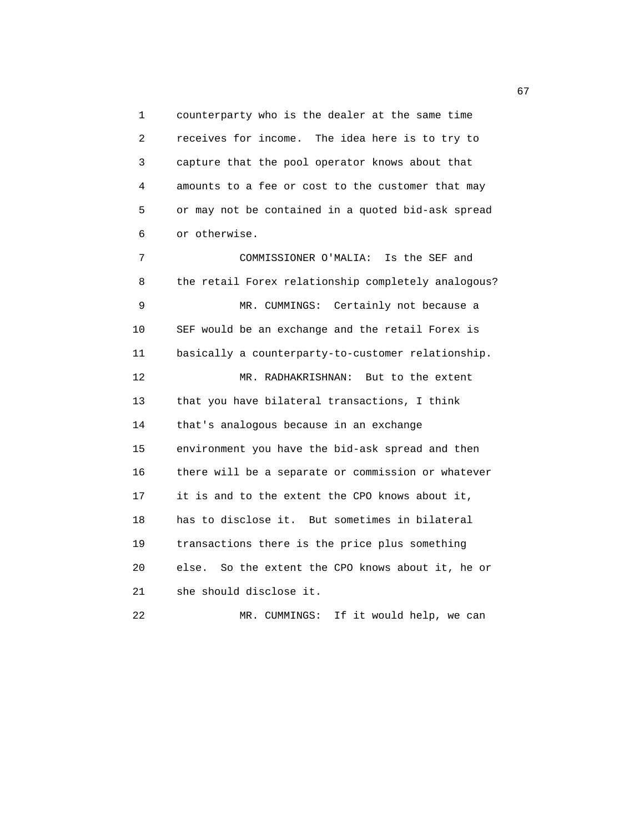1 counterparty who is the dealer at the same time 2 receives for income. The idea here is to try to 3 capture that the pool operator knows about that 4 amounts to a fee or cost to the customer that may 5 or may not be contained in a quoted bid-ask spread 6 or otherwise.

 7 COMMISSIONER O'MALIA: Is the SEF and 8 the retail Forex relationship completely analogous? 9 MR. CUMMINGS: Certainly not because a 10 SEF would be an exchange and the retail Forex is 11 basically a counterparty-to-customer relationship. 12 MR. RADHAKRISHNAN: But to the extent 13 that you have bilateral transactions, I think 14 that's analogous because in an exchange 15 environment you have the bid-ask spread and then 16 there will be a separate or commission or whatever 17 it is and to the extent the CPO knows about it, 18 has to disclose it. But sometimes in bilateral 19 transactions there is the price plus something 20 else. So the extent the CPO knows about it, he or 21 she should disclose it.

22 MR. CUMMINGS: If it would help, we can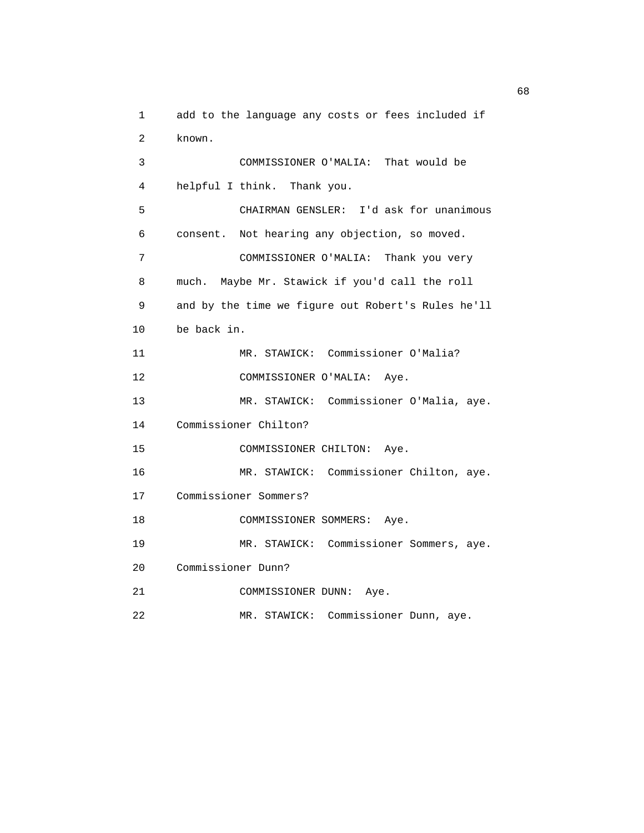1 add to the language any costs or fees included if 2 known. 3 COMMISSIONER O'MALIA: That would be 4 helpful I think. Thank you. 5 CHAIRMAN GENSLER: I'd ask for unanimous 6 consent. Not hearing any objection, so moved. 7 COMMISSIONER O'MALIA: Thank you very 8 much. Maybe Mr. Stawick if you'd call the roll 9 and by the time we figure out Robert's Rules he'll 10 be back in. 11 MR. STAWICK: Commissioner O'Malia? 12 COMMISSIONER O'MALIA: Aye. 13 MR. STAWICK: Commissioner O'Malia, aye. 14 Commissioner Chilton? 15 COMMISSIONER CHILTON: Aye. 16 MR. STAWICK: Commissioner Chilton, aye. 17 Commissioner Sommers? 18 COMMISSIONER SOMMERS: Aye. 19 MR. STAWICK: Commissioner Sommers, aye. 20 Commissioner Dunn? 21 COMMISSIONER DUNN: Aye. 22 MR. STAWICK: Commissioner Dunn, aye.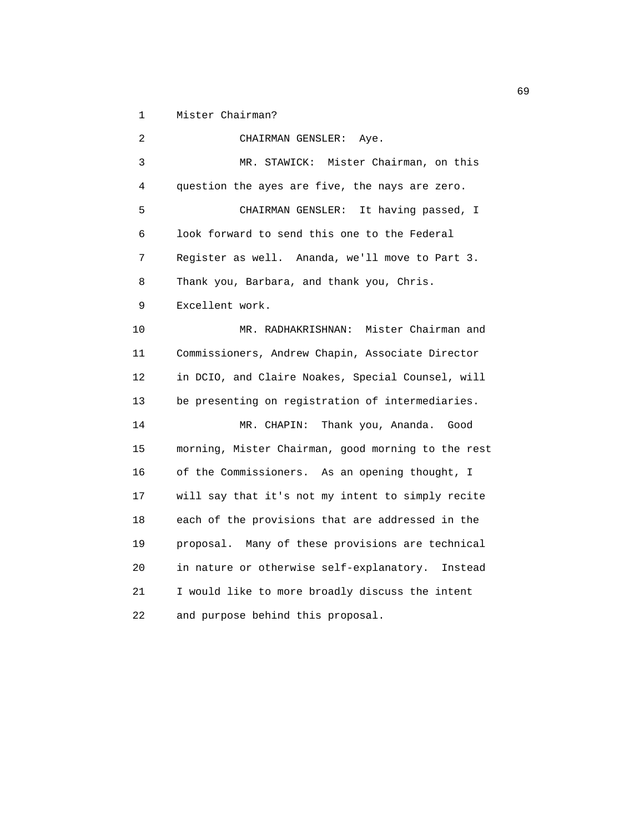1 Mister Chairman?

 2 CHAIRMAN GENSLER: Aye. 3 MR. STAWICK: Mister Chairman, on this 4 question the ayes are five, the nays are zero. 5 CHAIRMAN GENSLER: It having passed, I 6 look forward to send this one to the Federal 7 Register as well. Ananda, we'll move to Part 3. 8 Thank you, Barbara, and thank you, Chris. 9 Excellent work. 10 MR. RADHAKRISHNAN: Mister Chairman and 11 Commissioners, Andrew Chapin, Associate Director 12 in DCIO, and Claire Noakes, Special Counsel, will 13 be presenting on registration of intermediaries. 14 MR. CHAPIN: Thank you, Ananda. Good 15 morning, Mister Chairman, good morning to the rest 16 of the Commissioners. As an opening thought, I 17 will say that it's not my intent to simply recite 18 each of the provisions that are addressed in the 19 proposal. Many of these provisions are technical 20 in nature or otherwise self-explanatory. Instead 21 I would like to more broadly discuss the intent 22 and purpose behind this proposal.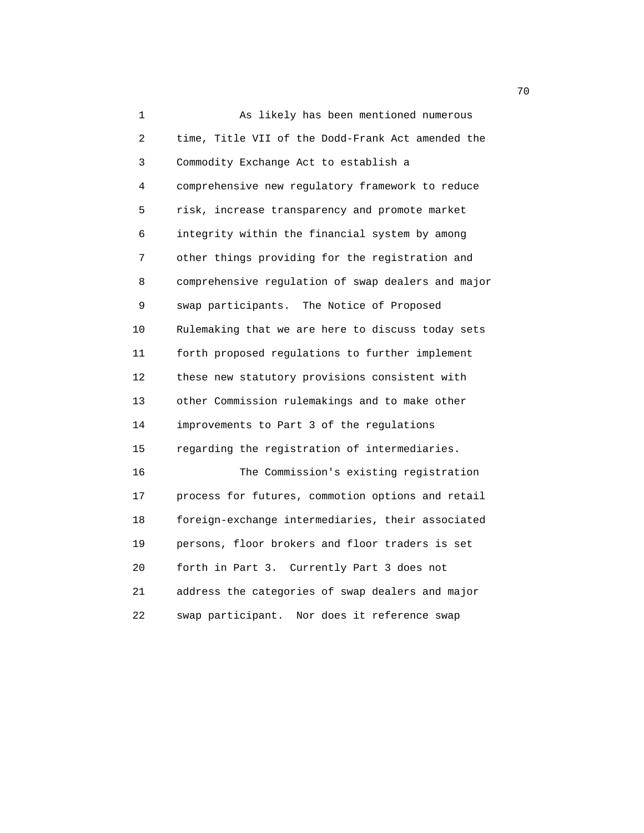1 As likely has been mentioned numerous 2 time, Title VII of the Dodd-Frank Act amended the 3 Commodity Exchange Act to establish a 4 comprehensive new regulatory framework to reduce 5 risk, increase transparency and promote market 6 integrity within the financial system by among 7 other things providing for the registration and 8 comprehensive regulation of swap dealers and major 9 swap participants. The Notice of Proposed 10 Rulemaking that we are here to discuss today sets 11 forth proposed regulations to further implement 12 these new statutory provisions consistent with 13 other Commission rulemakings and to make other 14 improvements to Part 3 of the regulations 15 regarding the registration of intermediaries. 16 The Commission's existing registration 17 process for futures, commotion options and retail 18 foreign-exchange intermediaries, their associated 19 persons, floor brokers and floor traders is set 20 forth in Part 3. Currently Part 3 does not 21 address the categories of swap dealers and major 22 swap participant. Nor does it reference swap

not a construct the contract of the construction of the construction of the construction of the construction of the construction of the construction of the construction of the construction of the construction of the constr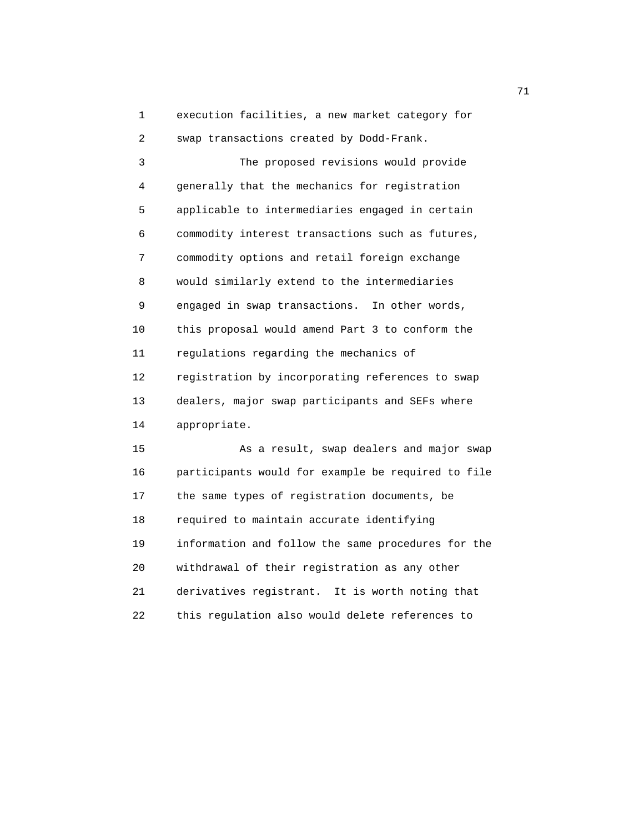1 execution facilities, a new market category for 2 swap transactions created by Dodd-Frank.

 3 The proposed revisions would provide 4 generally that the mechanics for registration 5 applicable to intermediaries engaged in certain 6 commodity interest transactions such as futures, 7 commodity options and retail foreign exchange 8 would similarly extend to the intermediaries 9 engaged in swap transactions. In other words, 10 this proposal would amend Part 3 to conform the 11 regulations regarding the mechanics of 12 registration by incorporating references to swap 13 dealers, major swap participants and SEFs where 14 appropriate.

 15 As a result, swap dealers and major swap 16 participants would for example be required to file 17 the same types of registration documents, be 18 required to maintain accurate identifying 19 information and follow the same procedures for the 20 withdrawal of their registration as any other 21 derivatives registrant. It is worth noting that 22 this regulation also would delete references to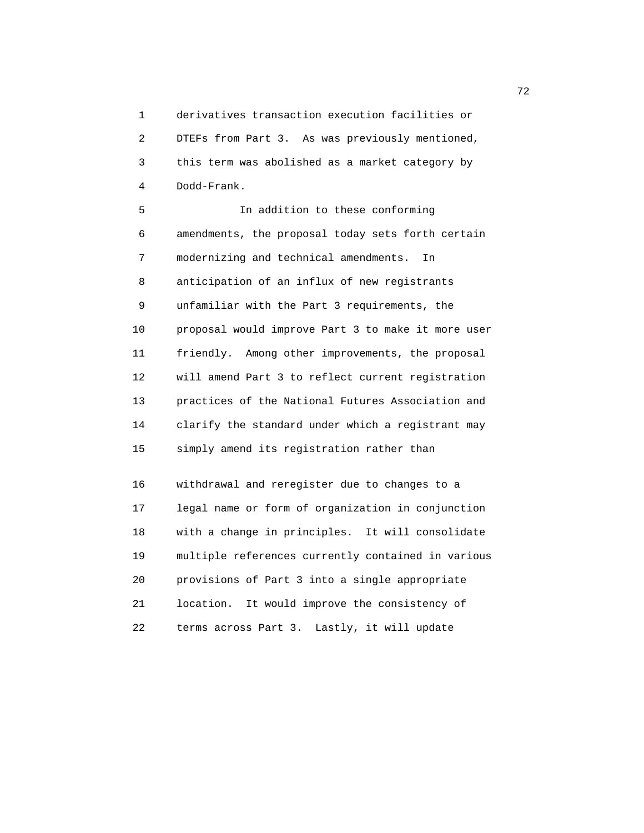1 derivatives transaction execution facilities or 2 DTEFs from Part 3. As was previously mentioned, 3 this term was abolished as a market category by 4 Dodd-Frank.

 5 In addition to these conforming 6 amendments, the proposal today sets forth certain 7 modernizing and technical amendments. In 8 anticipation of an influx of new registrants 9 unfamiliar with the Part 3 requirements, the 10 proposal would improve Part 3 to make it more user 11 friendly. Among other improvements, the proposal 12 will amend Part 3 to reflect current registration 13 practices of the National Futures Association and 14 clarify the standard under which a registrant may 15 simply amend its registration rather than

 16 withdrawal and reregister due to changes to a 17 legal name or form of organization in conjunction 18 with a change in principles. It will consolidate 19 multiple references currently contained in various 20 provisions of Part 3 into a single appropriate 21 location. It would improve the consistency of 22 terms across Part 3. Lastly, it will update

последници производите на 1922 године в 1922 године в 1922 године в 1922 године в 1922 године в 1922 године в <br>В 1922 године в 1922 године в 1922 године в 1922 године в 1922 године в 1922 године в 1922 године в 1922 годин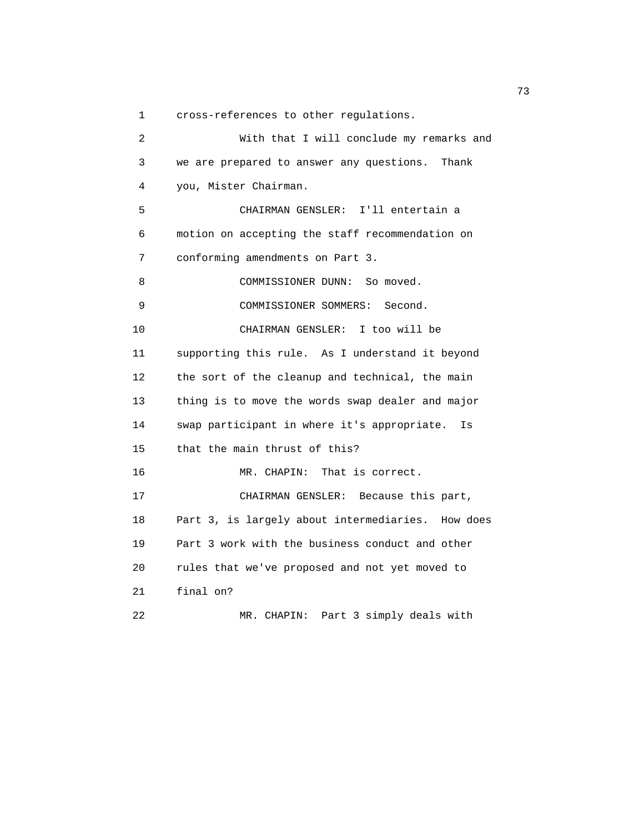1 cross-references to other regulations.

 2 With that I will conclude my remarks and 3 we are prepared to answer any questions. Thank 4 you, Mister Chairman. 5 CHAIRMAN GENSLER: I'll entertain a 6 motion on accepting the staff recommendation on 7 conforming amendments on Part 3. 8 COMMISSIONER DUNN: So moved. 9 COMMISSIONER SOMMERS: Second. 10 CHAIRMAN GENSLER: I too will be 11 supporting this rule. As I understand it beyond 12 the sort of the cleanup and technical, the main 13 thing is to move the words swap dealer and major 14 swap participant in where it's appropriate. Is 15 that the main thrust of this? 16 MR. CHAPIN: That is correct. 17 CHAIRMAN GENSLER: Because this part, 18 Part 3, is largely about intermediaries. How does 19 Part 3 work with the business conduct and other 20 rules that we've proposed and not yet moved to 21 final on? 22 MR. CHAPIN: Part 3 simply deals with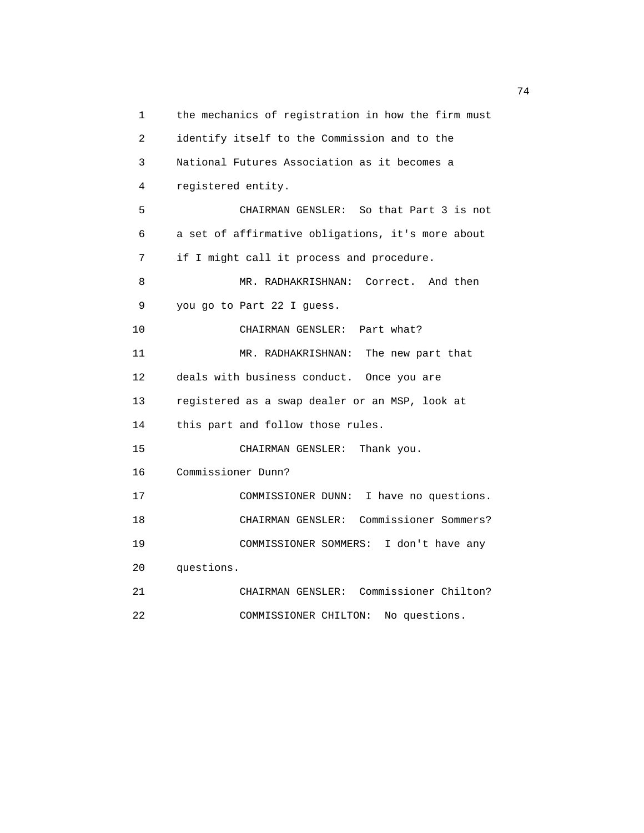1 the mechanics of registration in how the firm must 2 identify itself to the Commission and to the 3 National Futures Association as it becomes a 4 registered entity. 5 CHAIRMAN GENSLER: So that Part 3 is not 6 a set of affirmative obligations, it's more about 7 if I might call it process and procedure. 8 MR. RADHAKRISHNAN: Correct. And then 9 you go to Part 22 I guess. 10 CHAIRMAN GENSLER: Part what? 11 MR. RADHAKRISHNAN: The new part that 12 deals with business conduct. Once you are 13 registered as a swap dealer or an MSP, look at 14 this part and follow those rules. 15 CHAIRMAN GENSLER: Thank you. 16 Commissioner Dunn? 17 COMMISSIONER DUNN: I have no questions. 18 CHAIRMAN GENSLER: Commissioner Sommers? 19 COMMISSIONER SOMMERS: I don't have any 20 questions. 21 CHAIRMAN GENSLER: Commissioner Chilton? 22 COMMISSIONER CHILTON: No questions.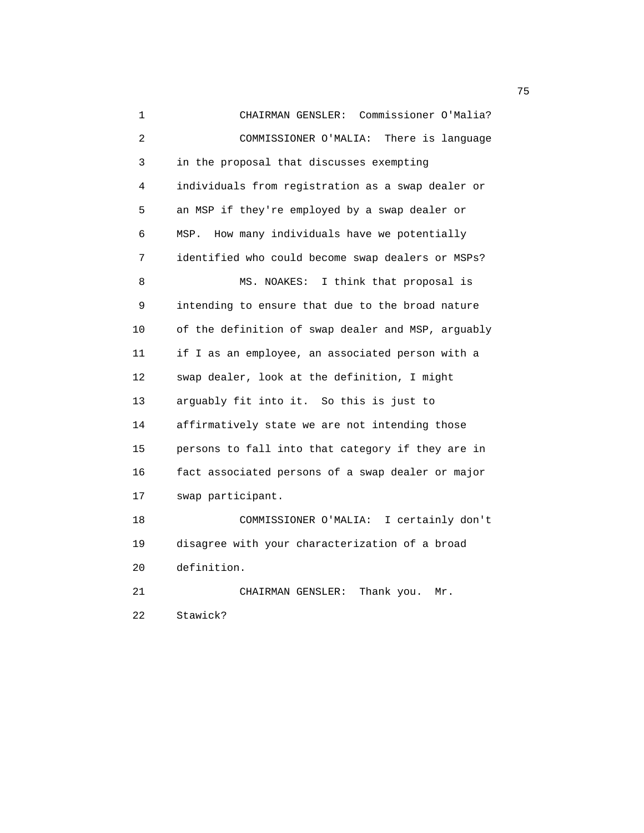1 CHAIRMAN GENSLER: Commissioner O'Malia? 2 COMMISSIONER O'MALIA: There is language 3 in the proposal that discusses exempting 4 individuals from registration as a swap dealer or 5 an MSP if they're employed by a swap dealer or 6 MSP. How many individuals have we potentially 7 identified who could become swap dealers or MSPs? 8 MS. NOAKES: I think that proposal is 9 intending to ensure that due to the broad nature 10 of the definition of swap dealer and MSP, arguably 11 if I as an employee, an associated person with a 12 swap dealer, look at the definition, I might 13 arguably fit into it. So this is just to 14 affirmatively state we are not intending those 15 persons to fall into that category if they are in 16 fact associated persons of a swap dealer or major 17 swap participant. 18 COMMISSIONER O'MALIA: I certainly don't 19 disagree with your characterization of a broad 20 definition. 21 CHAIRMAN GENSLER: Thank you. Mr. 22 Stawick?

na matsay na katalog as na kasang na mga 1950. Ang isang mga 1950 na mga 1950 na mga 1950 na mga 1950 na mga 1<br>Mga 1950 na mga 1950 na mga 1950 na mga 1950 na mga 1950 na mga 1950 na mga 1950 na mga 1950 na mga 1950 na mg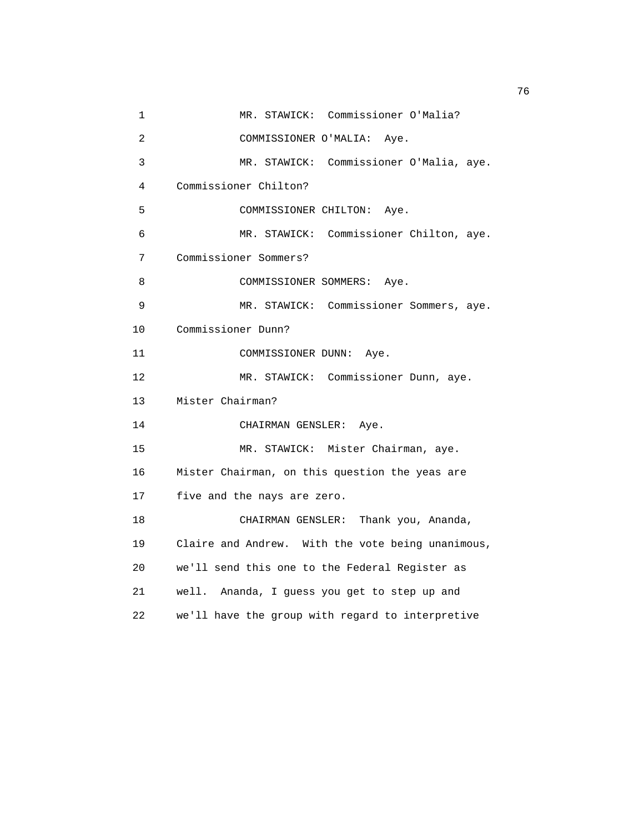1 MR. STAWICK: Commissioner O'Malia? 2 COMMISSIONER O'MALIA: Aye. 3 MR. STAWICK: Commissioner O'Malia, aye. 4 Commissioner Chilton? 5 COMMISSIONER CHILTON: Aye. 6 MR. STAWICK: Commissioner Chilton, aye. 7 Commissioner Sommers? 8 COMMISSIONER SOMMERS: Aye. 9 MR. STAWICK: Commissioner Sommers, aye. 10 Commissioner Dunn? 11 COMMISSIONER DUNN: Aye. 12 MR. STAWICK: Commissioner Dunn, aye. 13 Mister Chairman? 14 CHAIRMAN GENSLER: Aye. 15 MR. STAWICK: Mister Chairman, aye. 16 Mister Chairman, on this question the yeas are 17 five and the nays are zero. 18 CHAIRMAN GENSLER: Thank you, Ananda, 19 Claire and Andrew. With the vote being unanimous, 20 we'll send this one to the Federal Register as 21 well. Ananda, I guess you get to step up and 22 we'll have the group with regard to interpretive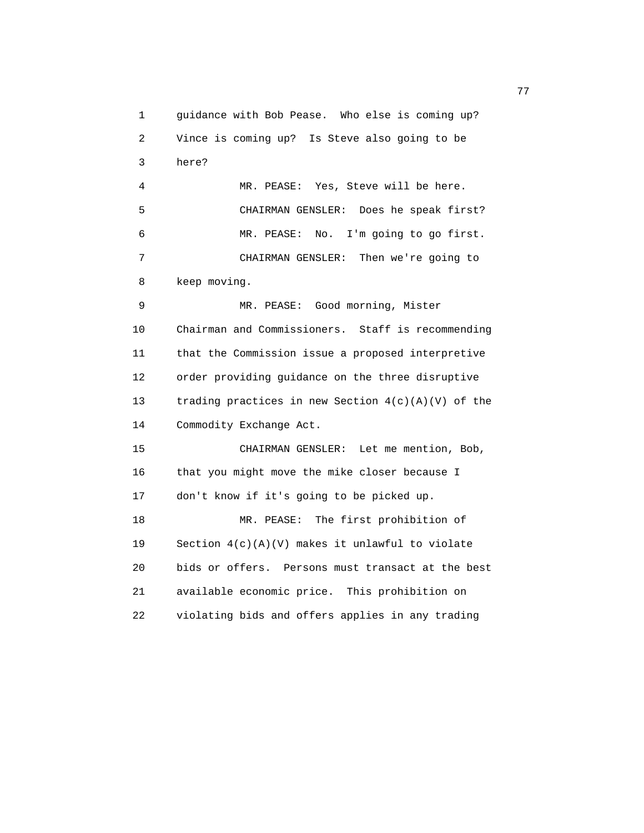1 guidance with Bob Pease. Who else is coming up? 2 Vince is coming up? Is Steve also going to be 3 here? 4 MR. PEASE: Yes, Steve will be here. 5 CHAIRMAN GENSLER: Does he speak first? 6 MR. PEASE: No. I'm going to go first. 7 CHAIRMAN GENSLER: Then we're going to 8 keep moving. 9 MR. PEASE: Good morning, Mister 10 Chairman and Commissioners. Staff is recommending 11 that the Commission issue a proposed interpretive 12 order providing guidance on the three disruptive 13 trading practices in new Section 4(c)(A)(V) of the 14 Commodity Exchange Act. 15 CHAIRMAN GENSLER: Let me mention, Bob, 16 that you might move the mike closer because I 17 don't know if it's going to be picked up. 18 MR. PEASE: The first prohibition of 19 Section 4(c)(A)(V) makes it unlawful to violate 20 bids or offers. Persons must transact at the best 21 available economic price. This prohibition on 22 violating bids and offers applies in any trading

ли в село в село во село во село во село во село во село во село во село во село во село во село во село во се<br>Постојата на селото на селото на селото на селото на селото на селото на селото на селото на селото на селото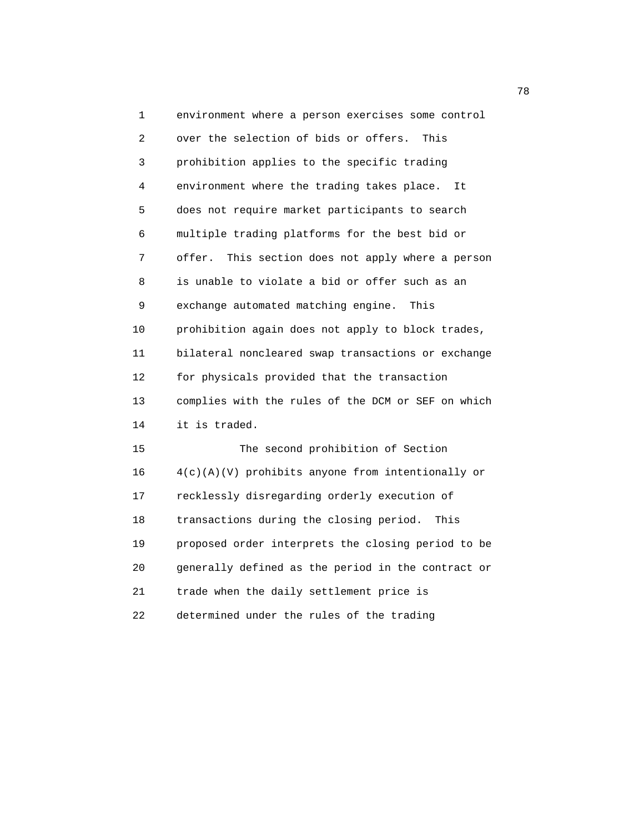1 environment where a person exercises some control 2 over the selection of bids or offers. This 3 prohibition applies to the specific trading 4 environment where the trading takes place. It 5 does not require market participants to search 6 multiple trading platforms for the best bid or 7 offer. This section does not apply where a person 8 is unable to violate a bid or offer such as an 9 exchange automated matching engine. This 10 prohibition again does not apply to block trades, 11 bilateral noncleared swap transactions or exchange 12 for physicals provided that the transaction 13 complies with the rules of the DCM or SEF on which 14 it is traded. 15 The second prohibition of Section 16  $4(c)(A)(V)$  prohibits anyone from intentionally or 17 recklessly disregarding orderly execution of 18 transactions during the closing period. This 19 proposed order interprets the closing period to be 20 generally defined as the period in the contract or

21 trade when the daily settlement price is

22 determined under the rules of the trading

n and the state of the state of the state of the state of the state of the state of the state of the state of the state of the state of the state of the state of the state of the state of the state of the state of the stat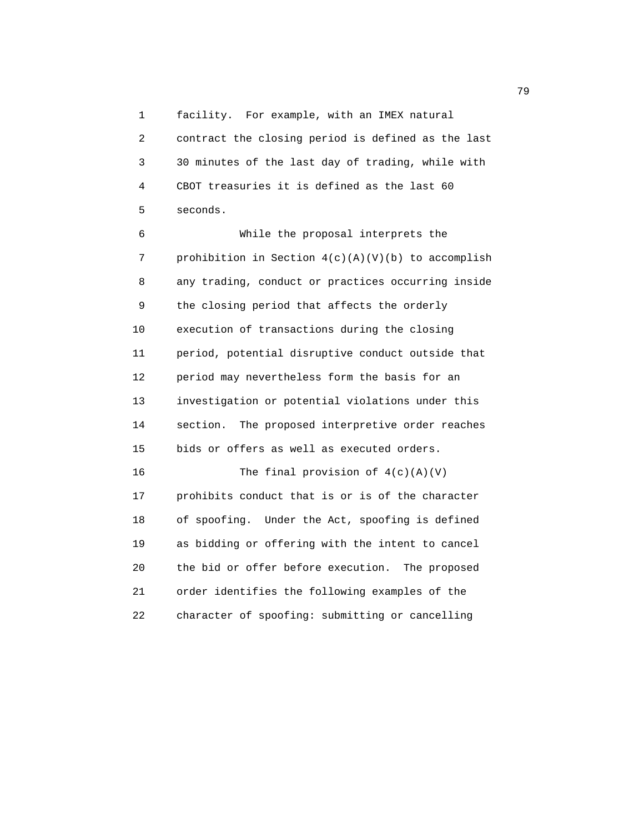1 facility. For example, with an IMEX natural 2 contract the closing period is defined as the last 3 30 minutes of the last day of trading, while with 4 CBOT treasuries it is defined as the last 60 5 seconds.

 6 While the proposal interprets the 7 prohibition in Section 4(c)(A)(V)(b) to accomplish 8 any trading, conduct or practices occurring inside 9 the closing period that affects the orderly 10 execution of transactions during the closing 11 period, potential disruptive conduct outside that 12 period may nevertheless form the basis for an 13 investigation or potential violations under this 14 section. The proposed interpretive order reaches 15 bids or offers as well as executed orders. 16 The final provision of  $4(c)(A)(V)$ 

 17 prohibits conduct that is or is of the character 18 of spoofing. Under the Act, spoofing is defined 19 as bidding or offering with the intent to cancel 20 the bid or offer before execution. The proposed 21 order identifies the following examples of the 22 character of spoofing: submitting or cancelling

ли в село в село во село во село во село во село во село во село во село во село во село во село во село во се<br>Постојата село во село во село во село во село во село во село во село во село во село во село во село во село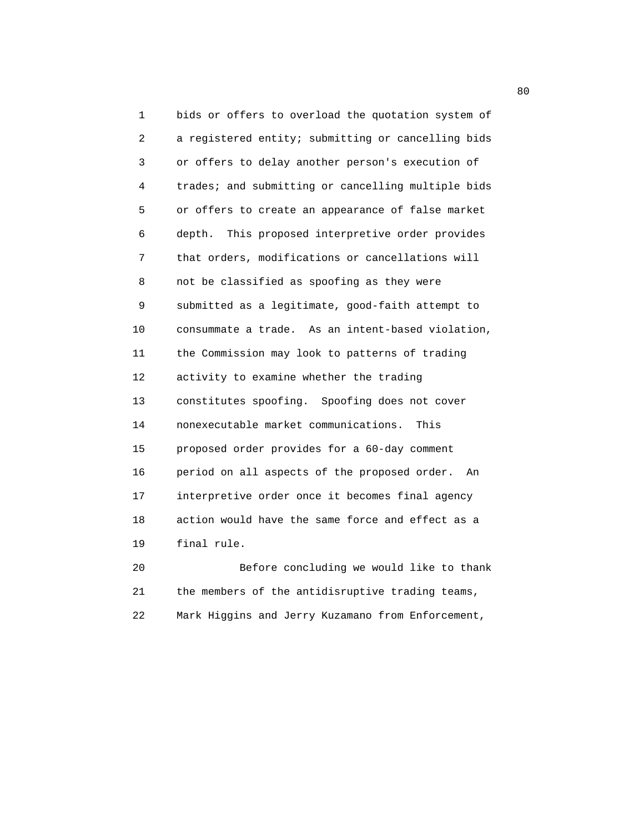1 bids or offers to overload the quotation system of 2 a registered entity; submitting or cancelling bids 3 or offers to delay another person's execution of 4 trades; and submitting or cancelling multiple bids 5 or offers to create an appearance of false market 6 depth. This proposed interpretive order provides 7 that orders, modifications or cancellations will 8 not be classified as spoofing as they were 9 submitted as a legitimate, good-faith attempt to 10 consummate a trade. As an intent-based violation, 11 the Commission may look to patterns of trading 12 activity to examine whether the trading 13 constitutes spoofing. Spoofing does not cover 14 nonexecutable market communications. This 15 proposed order provides for a 60-day comment 16 period on all aspects of the proposed order. An 17 interpretive order once it becomes final agency 18 action would have the same force and effect as a 19 final rule.

 20 Before concluding we would like to thank 21 the members of the antidisruptive trading teams, 22 Mark Higgins and Jerry Kuzamano from Enforcement,

en de la construction de la construction de la construction de la construction de la construction de la constr<br>De la construction de la construction de la construction de la construction de la construction de la construct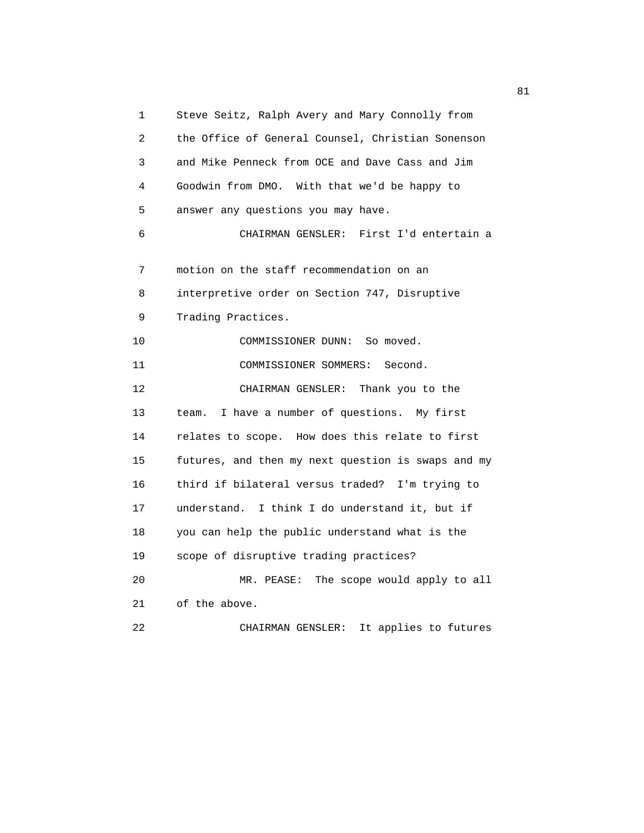1 Steve Seitz, Ralph Avery and Mary Connolly from 2 the Office of General Counsel, Christian Sonenson 3 and Mike Penneck from OCE and Dave Cass and Jim 4 Goodwin from DMO. With that we'd be happy to 5 answer any questions you may have. 6 CHAIRMAN GENSLER: First I'd entertain a 7 motion on the staff recommendation on an 8 interpretive order on Section 747, Disruptive 9 Trading Practices. 10 COMMISSIONER DUNN: So moved. 11 COMMISSIONER SOMMERS: Second. 12 CHAIRMAN GENSLER: Thank you to the 13 team. I have a number of questions. My first 14 relates to scope. How does this relate to first 15 futures, and then my next question is swaps and my 16 third if bilateral versus traded? I'm trying to 17 understand. I think I do understand it, but if 18 you can help the public understand what is the 19 scope of disruptive trading practices? 20 MR. PEASE: The scope would apply to all 21 of the above. 22 CHAIRMAN GENSLER: It applies to futures

experience of the state of the state of the state of the state of the state of the state of the state of the state of the state of the state of the state of the state of the state of the state of the state of the state of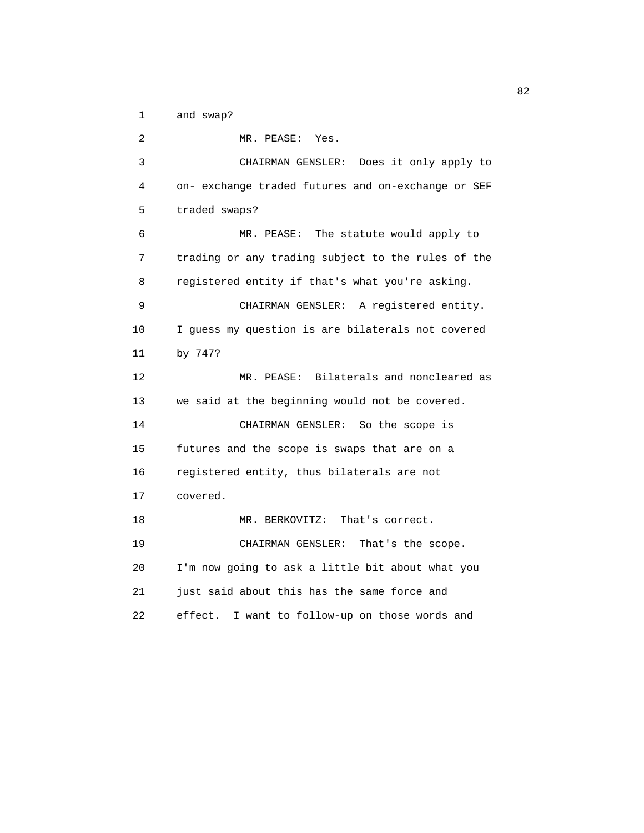1 and swap?

 2 MR. PEASE: Yes. 3 CHAIRMAN GENSLER: Does it only apply to 4 on- exchange traded futures and on-exchange or SEF 5 traded swaps? 6 MR. PEASE: The statute would apply to 7 trading or any trading subject to the rules of the 8 registered entity if that's what you're asking. 9 CHAIRMAN GENSLER: A registered entity. 10 I guess my question is are bilaterals not covered 11 by 747? 12 MR. PEASE: Bilaterals and noncleared as 13 we said at the beginning would not be covered. 14 CHAIRMAN GENSLER: So the scope is 15 futures and the scope is swaps that are on a 16 registered entity, thus bilaterals are not 17 covered. 18 MR. BERKOVITZ: That's correct. 19 CHAIRMAN GENSLER: That's the scope. 20 I'm now going to ask a little bit about what you 21 just said about this has the same force and 22 effect. I want to follow-up on those words and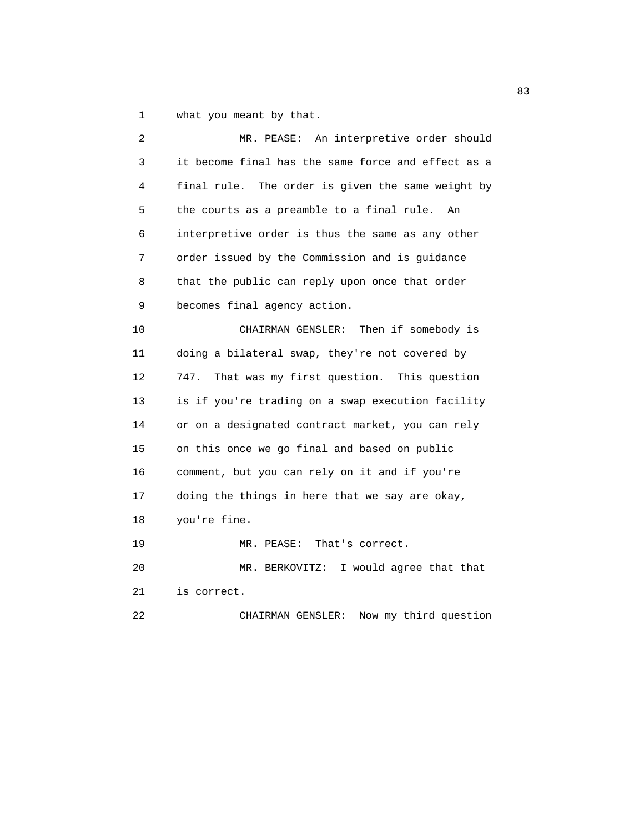1 what you meant by that.

| 2  | MR. PEASE: An interpretive order should            |
|----|----------------------------------------------------|
| 3  | it become final has the same force and effect as a |
| 4  | final rule. The order is given the same weight by  |
| 5  | the courts as a preamble to a final rule.<br>An    |
| 6  | interpretive order is thus the same as any other   |
| 7  | order issued by the Commission and is guidance     |
| 8  | that the public can reply upon once that order     |
| 9  | becomes final agency action.                       |
| 10 | CHAIRMAN GENSLER: Then if somebody is              |
| 11 | doing a bilateral swap, they're not covered by     |
| 12 | 747.<br>That was my first question. This question  |
| 13 | is if you're trading on a swap execution facility  |
| 14 | or on a designated contract market, you can rely   |
| 15 | on this once we go final and based on public       |
| 16 | comment, but you can rely on it and if you're      |
| 17 | doing the things in here that we say are okay,     |
| 18 | you're fine.                                       |
| 19 | MR. PEASE:<br>That's correct.                      |
| 20 | I would agree that that<br>MR. BERKOVITZ:          |
| 21 | is correct.                                        |
| 22 | Now my third question<br>CHAIRMAN GENSLER:         |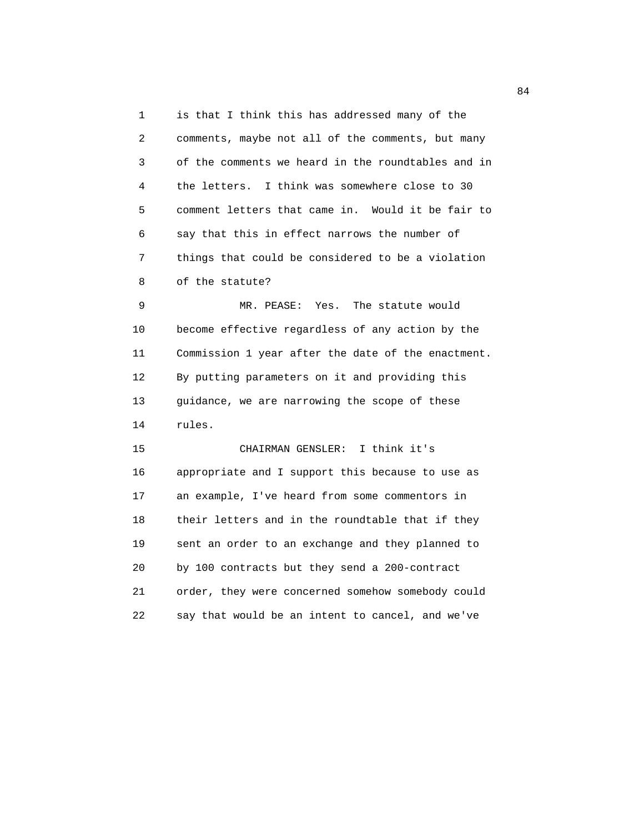1 is that I think this has addressed many of the 2 comments, maybe not all of the comments, but many 3 of the comments we heard in the roundtables and in 4 the letters. I think was somewhere close to 30 5 comment letters that came in. Would it be fair to 6 say that this in effect narrows the number of 7 things that could be considered to be a violation 8 of the statute?

 9 MR. PEASE: Yes. The statute would 10 become effective regardless of any action by the 11 Commission 1 year after the date of the enactment. 12 By putting parameters on it and providing this 13 guidance, we are narrowing the scope of these 14 rules.

 15 CHAIRMAN GENSLER: I think it's 16 appropriate and I support this because to use as 17 an example, I've heard from some commentors in 18 their letters and in the roundtable that if they 19 sent an order to an exchange and they planned to 20 by 100 contracts but they send a 200-contract 21 order, they were concerned somehow somebody could 22 say that would be an intent to cancel, and we've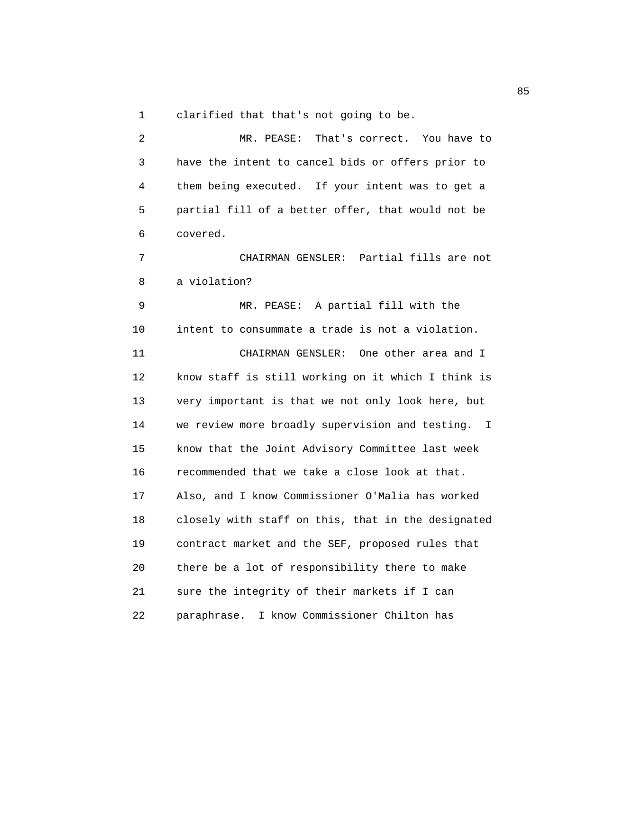1 clarified that that's not going to be.

 2 MR. PEASE: That's correct. You have to 3 have the intent to cancel bids or offers prior to 4 them being executed. If your intent was to get a 5 partial fill of a better offer, that would not be 6 covered. 7 CHAIRMAN GENSLER: Partial fills are not 8 a violation? 9 MR. PEASE: A partial fill with the 10 intent to consummate a trade is not a violation. 11 CHAIRMAN GENSLER: One other area and I 12 know staff is still working on it which I think is 13 very important is that we not only look here, but 14 we review more broadly supervision and testing. I 15 know that the Joint Advisory Committee last week 16 recommended that we take a close look at that. 17 Also, and I know Commissioner O'Malia has worked 18 closely with staff on this, that in the designated 19 contract market and the SEF, proposed rules that 20 there be a lot of responsibility there to make 21 sure the integrity of their markets if I can 22 paraphrase. I know Commissioner Chilton has

en andere de la constantin de la constantin de la constantin de la constantin de la constantin de la constantin<br>En 1930, en la constantin de la constantin de la constantin de la constantin de la constantin de la constantin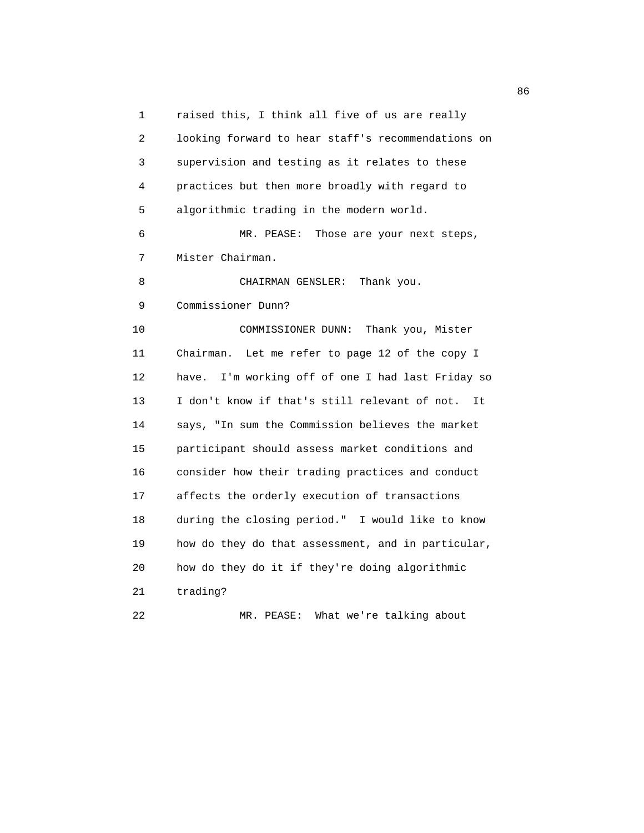1 raised this, I think all five of us are really 2 looking forward to hear staff's recommendations on 3 supervision and testing as it relates to these 4 practices but then more broadly with regard to 5 algorithmic trading in the modern world. 6 MR. PEASE: Those are your next steps, 7 Mister Chairman. 8 CHAIRMAN GENSLER: Thank you. 9 Commissioner Dunn? 10 COMMISSIONER DUNN: Thank you, Mister 11 Chairman. Let me refer to page 12 of the copy I 12 have. I'm working off of one I had last Friday so 13 I don't know if that's still relevant of not. It 14 says, "In sum the Commission believes the market 15 participant should assess market conditions and 16 consider how their trading practices and conduct 17 affects the orderly execution of transactions 18 during the closing period." I would like to know 19 how do they do that assessment, and in particular, 20 how do they do it if they're doing algorithmic 21 trading? 22 MR. PEASE: What we're talking about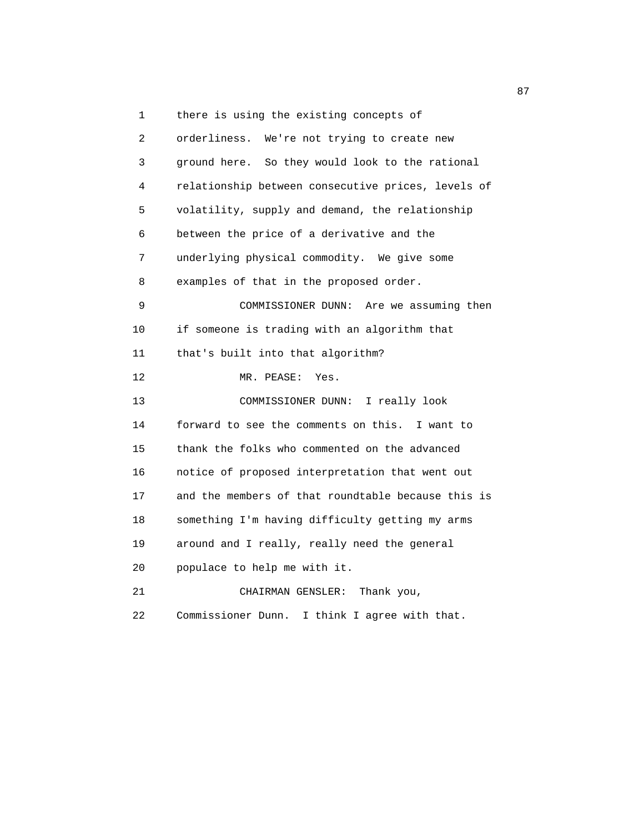1 there is using the existing concepts of 2 orderliness. We're not trying to create new 3 ground here. So they would look to the rational 4 relationship between consecutive prices, levels of 5 volatility, supply and demand, the relationship 6 between the price of a derivative and the 7 underlying physical commodity. We give some 8 examples of that in the proposed order. 9 COMMISSIONER DUNN: Are we assuming then 10 if someone is trading with an algorithm that 11 that's built into that algorithm? 12 MR. PEASE: Yes. 13 COMMISSIONER DUNN: I really look 14 forward to see the comments on this. I want to 15 thank the folks who commented on the advanced 16 notice of proposed interpretation that went out 17 and the members of that roundtable because this is 18 something I'm having difficulty getting my arms 19 around and I really, really need the general 20 populace to help me with it. 21 CHAIRMAN GENSLER: Thank you, 22 Commissioner Dunn. I think I agree with that.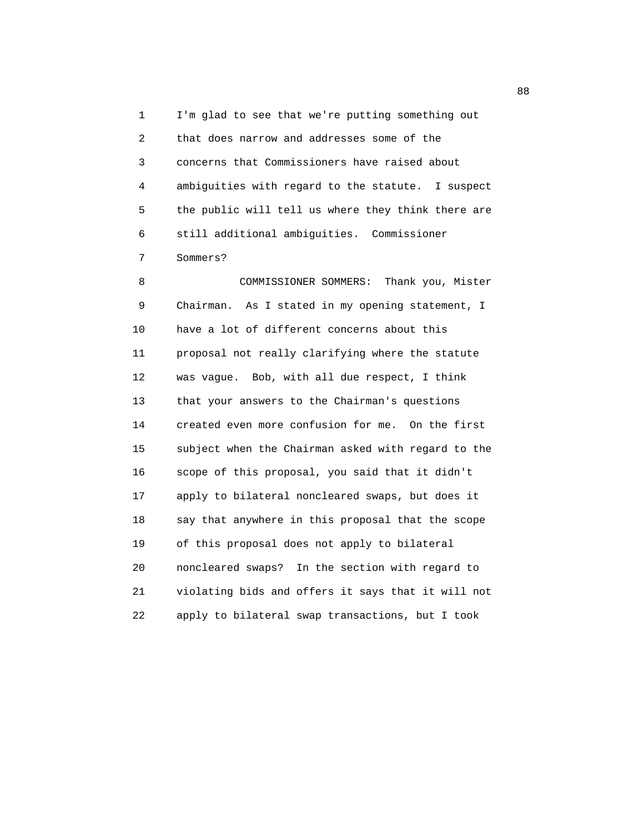1 I'm glad to see that we're putting something out 2 that does narrow and addresses some of the 3 concerns that Commissioners have raised about 4 ambiguities with regard to the statute. I suspect 5 the public will tell us where they think there are 6 still additional ambiguities. Commissioner 7 Sommers?

 8 COMMISSIONER SOMMERS: Thank you, Mister 9 Chairman. As I stated in my opening statement, I 10 have a lot of different concerns about this 11 proposal not really clarifying where the statute 12 was vague. Bob, with all due respect, I think 13 that your answers to the Chairman's questions 14 created even more confusion for me. On the first 15 subject when the Chairman asked with regard to the 16 scope of this proposal, you said that it didn't 17 apply to bilateral noncleared swaps, but does it 18 say that anywhere in this proposal that the scope 19 of this proposal does not apply to bilateral 20 noncleared swaps? In the section with regard to 21 violating bids and offers it says that it will not 22 apply to bilateral swap transactions, but I took

e e a constante de la constantidad de la constantidad de la constantidad de la constantidad de la constantidad<br>En 1888, en la constantidad de la constantidad de la constantidad de la constantidad de la constantidad de la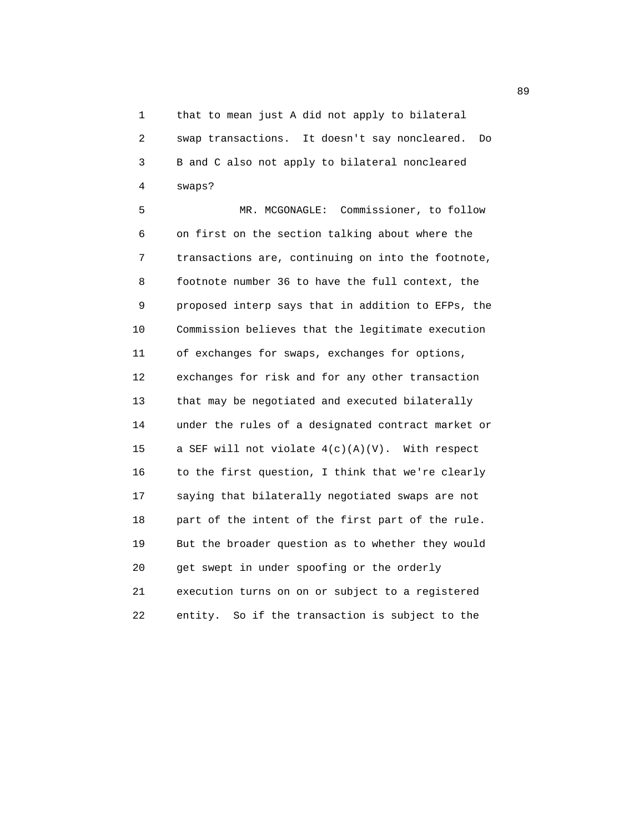1 that to mean just A did not apply to bilateral 2 swap transactions. It doesn't say noncleared. Do 3 B and C also not apply to bilateral noncleared 4 swaps?

 5 MR. MCGONAGLE: Commissioner, to follow 6 on first on the section talking about where the 7 transactions are, continuing on into the footnote, 8 footnote number 36 to have the full context, the 9 proposed interp says that in addition to EFPs, the 10 Commission believes that the legitimate execution 11 of exchanges for swaps, exchanges for options, 12 exchanges for risk and for any other transaction 13 that may be negotiated and executed bilaterally 14 under the rules of a designated contract market or 15 a SEF will not violate 4(c)(A)(V). With respect 16 to the first question, I think that we're clearly 17 saying that bilaterally negotiated swaps are not 18 part of the intent of the first part of the rule. 19 But the broader question as to whether they would 20 get swept in under spoofing or the orderly 21 execution turns on on or subject to a registered 22 entity. So if the transaction is subject to the

en de la construction de la construction de la construction de la construction de la construction de la constr<br>De la construction de la construction de la construction de la construction de la construction de la construct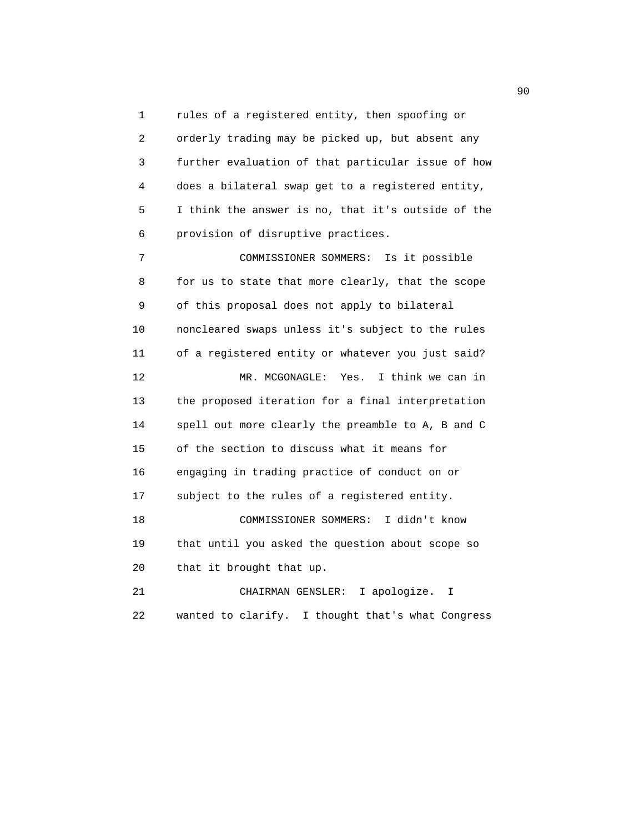1 rules of a registered entity, then spoofing or 2 orderly trading may be picked up, but absent any 3 further evaluation of that particular issue of how 4 does a bilateral swap get to a registered entity, 5 I think the answer is no, that it's outside of the 6 provision of disruptive practices.

 7 COMMISSIONER SOMMERS: Is it possible 8 for us to state that more clearly, that the scope 9 of this proposal does not apply to bilateral 10 noncleared swaps unless it's subject to the rules 11 of a registered entity or whatever you just said? 12 MR. MCGONAGLE: Yes. I think we can in 13 the proposed iteration for a final interpretation 14 spell out more clearly the preamble to A, B and C 15 of the section to discuss what it means for 16 engaging in trading practice of conduct on or 17 subject to the rules of a registered entity. 18 COMMISSIONER SOMMERS: I didn't know 19 that until you asked the question about scope so 20 that it brought that up. 21 CHAIRMAN GENSLER: I apologize. I

22 wanted to clarify. I thought that's what Congress

experience of the contract of the contract of the contract of the contract of the contract of the contract of the contract of the contract of the contract of the contract of the contract of the contract of the contract of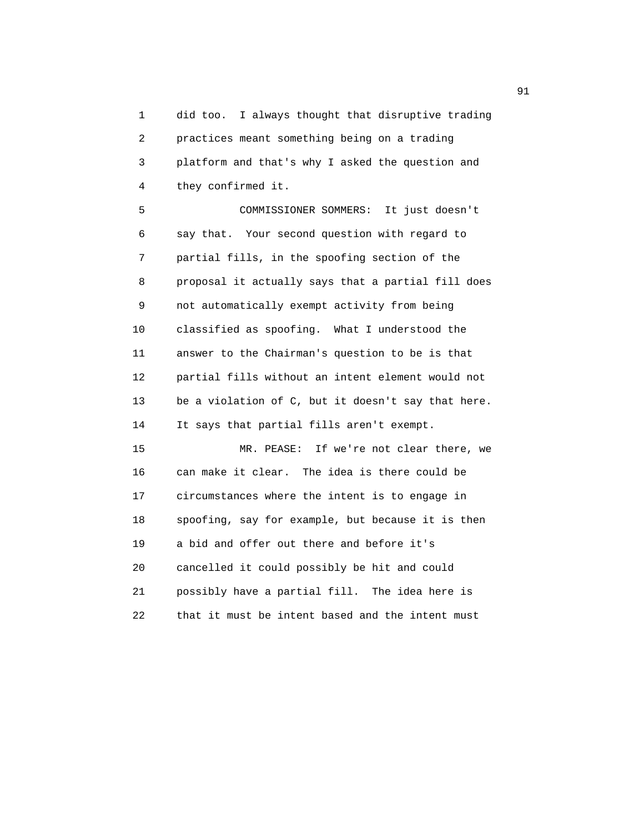1 did too. I always thought that disruptive trading 2 practices meant something being on a trading 3 platform and that's why I asked the question and 4 they confirmed it.

 5 COMMISSIONER SOMMERS: It just doesn't 6 say that. Your second question with regard to 7 partial fills, in the spoofing section of the 8 proposal it actually says that a partial fill does 9 not automatically exempt activity from being 10 classified as spoofing. What I understood the 11 answer to the Chairman's question to be is that 12 partial fills without an intent element would not 13 be a violation of C, but it doesn't say that here. 14 It says that partial fills aren't exempt.

 15 MR. PEASE: If we're not clear there, we 16 can make it clear. The idea is there could be 17 circumstances where the intent is to engage in 18 spoofing, say for example, but because it is then 19 a bid and offer out there and before it's 20 cancelled it could possibly be hit and could 21 possibly have a partial fill. The idea here is 22 that it must be intent based and the intent must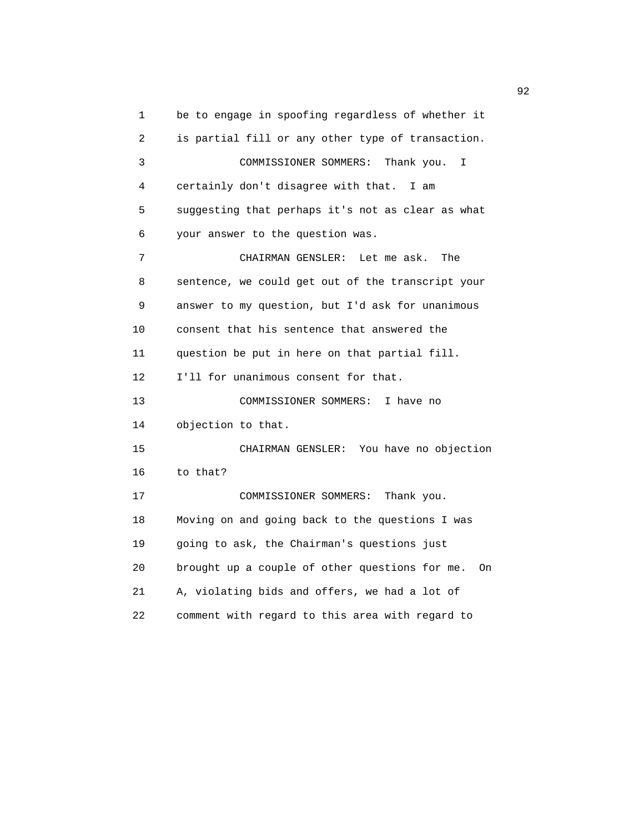1 be to engage in spoofing regardless of whether it 2 is partial fill or any other type of transaction. 3 COMMISSIONER SOMMERS: Thank you. I 4 certainly don't disagree with that. I am 5 suggesting that perhaps it's not as clear as what 6 your answer to the question was. 7 CHAIRMAN GENSLER: Let me ask. The 8 sentence, we could get out of the transcript your 9 answer to my question, but I'd ask for unanimous 10 consent that his sentence that answered the 11 question be put in here on that partial fill. 12 I'll for unanimous consent for that. 13 COMMISSIONER SOMMERS: I have no 14 objection to that. 15 CHAIRMAN GENSLER: You have no objection 16 to that? 17 COMMISSIONER SOMMERS: Thank you. 18 Moving on and going back to the questions I was 19 going to ask, the Chairman's questions just 20 brought up a couple of other questions for me. On 21 A, violating bids and offers, we had a lot of 22 comment with regard to this area with regard to

 $\overline{92}$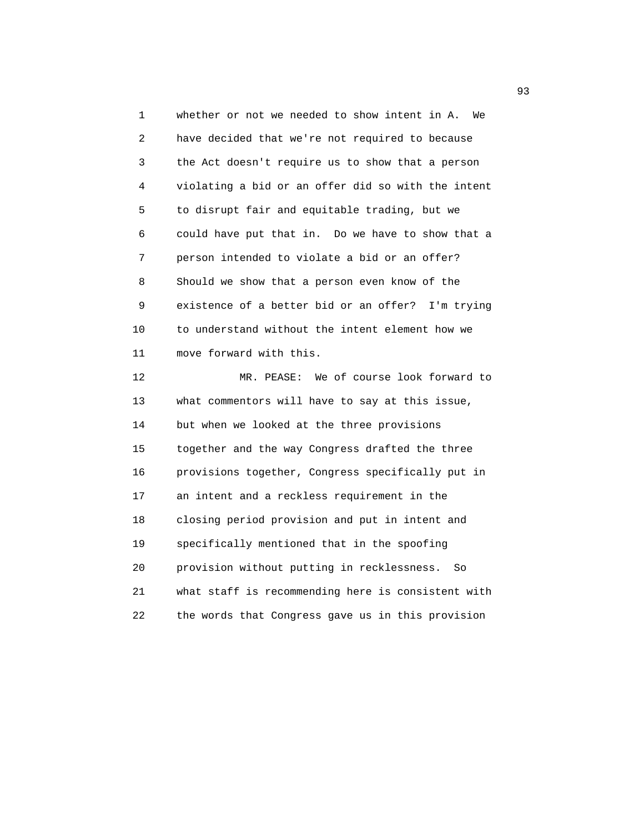1 whether or not we needed to show intent in A. We 2 have decided that we're not required to because 3 the Act doesn't require us to show that a person 4 violating a bid or an offer did so with the intent 5 to disrupt fair and equitable trading, but we 6 could have put that in. Do we have to show that a 7 person intended to violate a bid or an offer? 8 Should we show that a person even know of the 9 existence of a better bid or an offer? I'm trying 10 to understand without the intent element how we 11 move forward with this. 12 MR. PEASE: We of course look forward to

 13 what commentors will have to say at this issue, 14 but when we looked at the three provisions 15 together and the way Congress drafted the three 16 provisions together, Congress specifically put in 17 an intent and a reckless requirement in the 18 closing period provision and put in intent and 19 specifically mentioned that in the spoofing 20 provision without putting in recklessness. So 21 what staff is recommending here is consistent with 22 the words that Congress gave us in this provision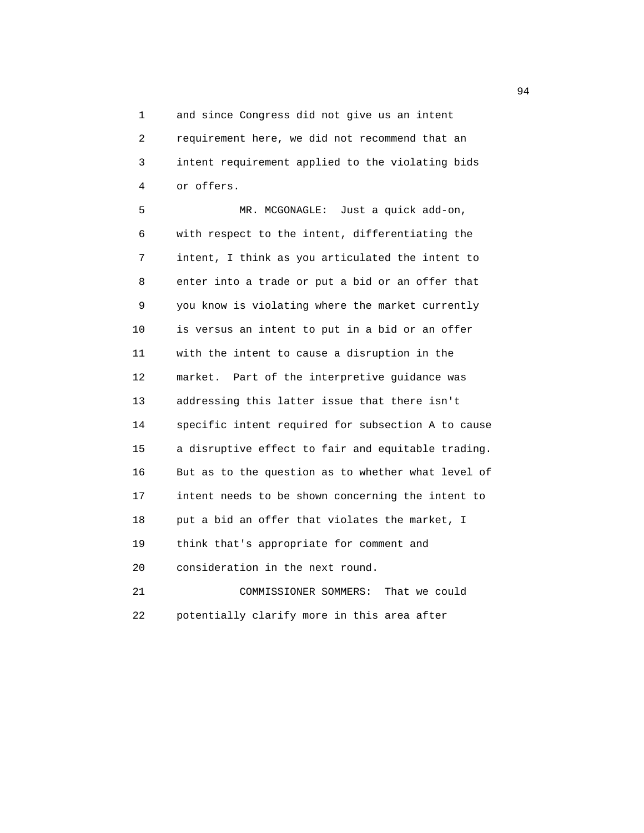1 and since Congress did not give us an intent 2 requirement here, we did not recommend that an 3 intent requirement applied to the violating bids 4 or offers.

 5 MR. MCGONAGLE: Just a quick add-on, 6 with respect to the intent, differentiating the 7 intent, I think as you articulated the intent to 8 enter into a trade or put a bid or an offer that 9 you know is violating where the market currently 10 is versus an intent to put in a bid or an offer 11 with the intent to cause a disruption in the 12 market. Part of the interpretive guidance was 13 addressing this latter issue that there isn't 14 specific intent required for subsection A to cause 15 a disruptive effect to fair and equitable trading. 16 But as to the question as to whether what level of 17 intent needs to be shown concerning the intent to 18 put a bid an offer that violates the market, I 19 think that's appropriate for comment and 20 consideration in the next round. 21 COMMISSIONER SOMMERS: That we could

22 potentially clarify more in this area after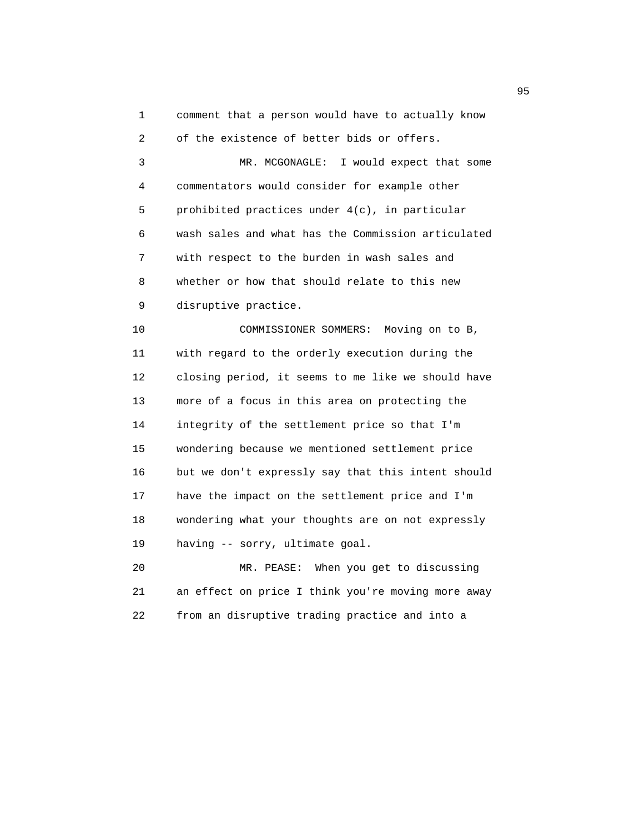1 comment that a person would have to actually know

 2 of the existence of better bids or offers. 3 MR. MCGONAGLE: I would expect that some 4 commentators would consider for example other 5 prohibited practices under 4(c), in particular 6 wash sales and what has the Commission articulated 7 with respect to the burden in wash sales and 8 whether or how that should relate to this new 9 disruptive practice. 10 COMMISSIONER SOMMERS: Moving on to B, 11 with regard to the orderly execution during the 12 closing period, it seems to me like we should have 13 more of a focus in this area on protecting the 14 integrity of the settlement price so that I'm 15 wondering because we mentioned settlement price

 16 but we don't expressly say that this intent should 17 have the impact on the settlement price and I'm 18 wondering what your thoughts are on not expressly 19 having -- sorry, ultimate goal.

 20 MR. PEASE: When you get to discussing 21 an effect on price I think you're moving more away 22 from an disruptive trading practice and into a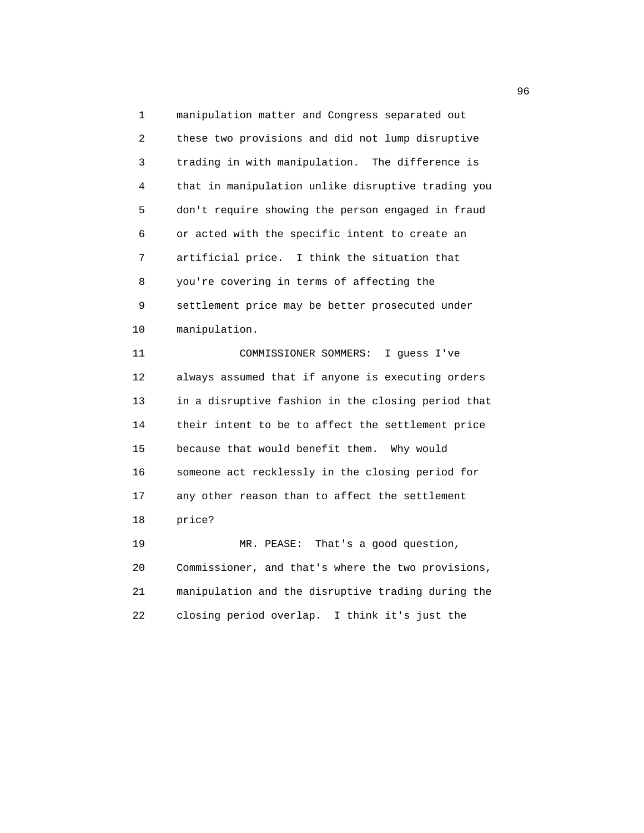1 manipulation matter and Congress separated out 2 these two provisions and did not lump disruptive 3 trading in with manipulation. The difference is 4 that in manipulation unlike disruptive trading you 5 don't require showing the person engaged in fraud 6 or acted with the specific intent to create an 7 artificial price. I think the situation that 8 you're covering in terms of affecting the 9 settlement price may be better prosecuted under 10 manipulation. 11 COMMISSIONER SOMMERS: I guess I've 12 always assumed that if anyone is executing orders 13 in a disruptive fashion in the closing period that 14 their intent to be to affect the settlement price 15 because that would benefit them. Why would 16 someone act recklessly in the closing period for 17 any other reason than to affect the settlement 18 price? 19 MR. PEASE: That's a good question, 20 Commissioner, and that's where the two provisions, 21 manipulation and the disruptive trading during the

22 closing period overlap. I think it's just the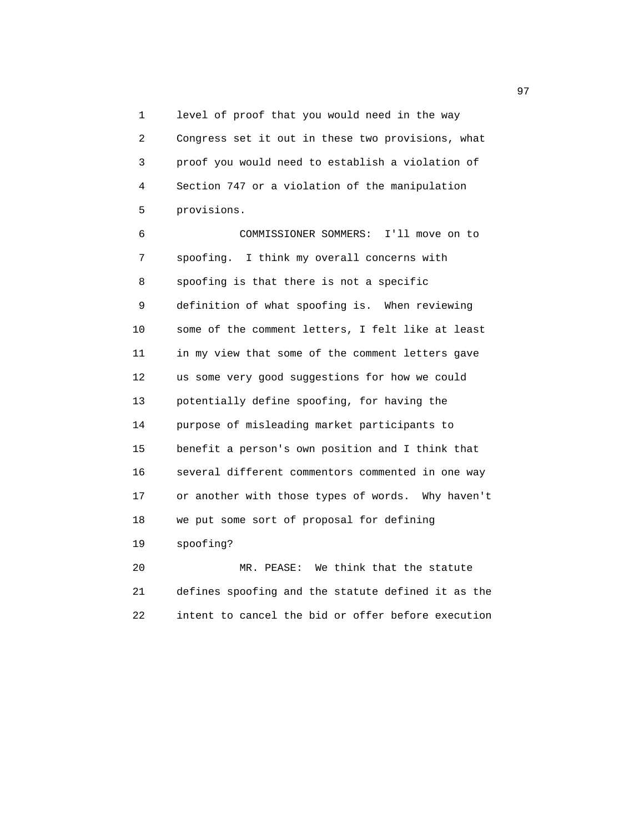1 level of proof that you would need in the way 2 Congress set it out in these two provisions, what 3 proof you would need to establish a violation of 4 Section 747 or a violation of the manipulation 5 provisions.

 6 COMMISSIONER SOMMERS: I'll move on to 7 spoofing. I think my overall concerns with 8 spoofing is that there is not a specific 9 definition of what spoofing is. When reviewing 10 some of the comment letters, I felt like at least 11 in my view that some of the comment letters gave 12 us some very good suggestions for how we could 13 potentially define spoofing, for having the 14 purpose of misleading market participants to 15 benefit a person's own position and I think that 16 several different commentors commented in one way 17 or another with those types of words. Why haven't 18 we put some sort of proposal for defining 19 spoofing?

 20 MR. PEASE: We think that the statute 21 defines spoofing and the statute defined it as the 22 intent to cancel the bid or offer before execution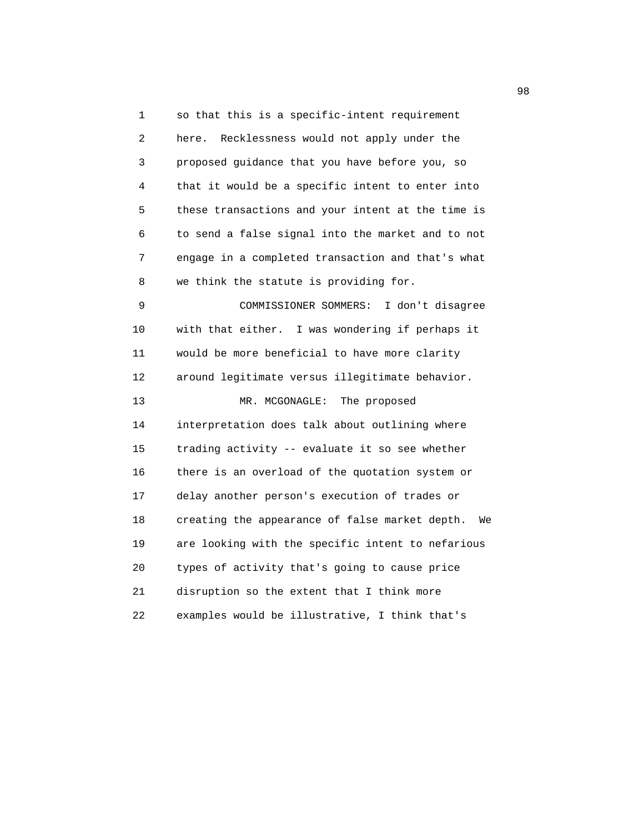1 so that this is a specific-intent requirement 2 here. Recklessness would not apply under the 3 proposed guidance that you have before you, so 4 that it would be a specific intent to enter into 5 these transactions and your intent at the time is 6 to send a false signal into the market and to not 7 engage in a completed transaction and that's what 8 we think the statute is providing for. 9 COMMISSIONER SOMMERS: I don't disagree 10 with that either. I was wondering if perhaps it 11 would be more beneficial to have more clarity 12 around legitimate versus illegitimate behavior. 13 MR. MCGONAGLE: The proposed 14 interpretation does talk about outlining where 15 trading activity -- evaluate it so see whether 16 there is an overload of the quotation system or 17 delay another person's execution of trades or 18 creating the appearance of false market depth. We 19 are looking with the specific intent to nefarious 20 types of activity that's going to cause price 21 disruption so the extent that I think more 22 examples would be illustrative, I think that's

98 and 2012 and 2012 and 2012 and 2012 and 2012 and 2012 and 2012 and 2012 and 2012 and 2012 and 201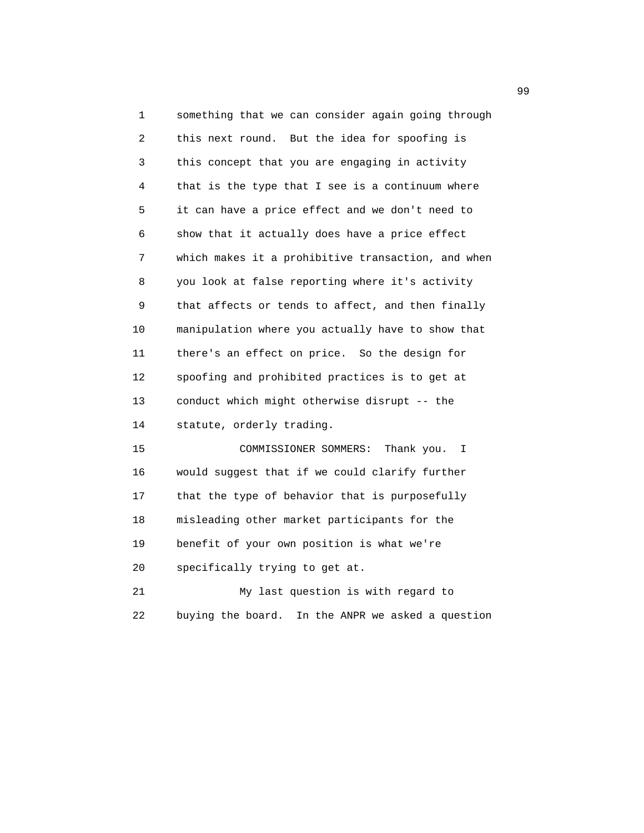1 something that we can consider again going through 2 this next round. But the idea for spoofing is 3 this concept that you are engaging in activity 4 that is the type that I see is a continuum where 5 it can have a price effect and we don't need to 6 show that it actually does have a price effect 7 which makes it a prohibitive transaction, and when 8 you look at false reporting where it's activity 9 that affects or tends to affect, and then finally 10 manipulation where you actually have to show that 11 there's an effect on price. So the design for 12 spoofing and prohibited practices is to get at 13 conduct which might otherwise disrupt -- the 14 statute, orderly trading.

 15 COMMISSIONER SOMMERS: Thank you. I 16 would suggest that if we could clarify further 17 that the type of behavior that is purposefully 18 misleading other market participants for the 19 benefit of your own position is what we're 20 specifically trying to get at.

 21 My last question is with regard to 22 buying the board. In the ANPR we asked a question

99 and the contract of the contract of the contract of the contract of the contract of the contract of the contract of the contract of the contract of the contract of the contract of the contract of the contract of the con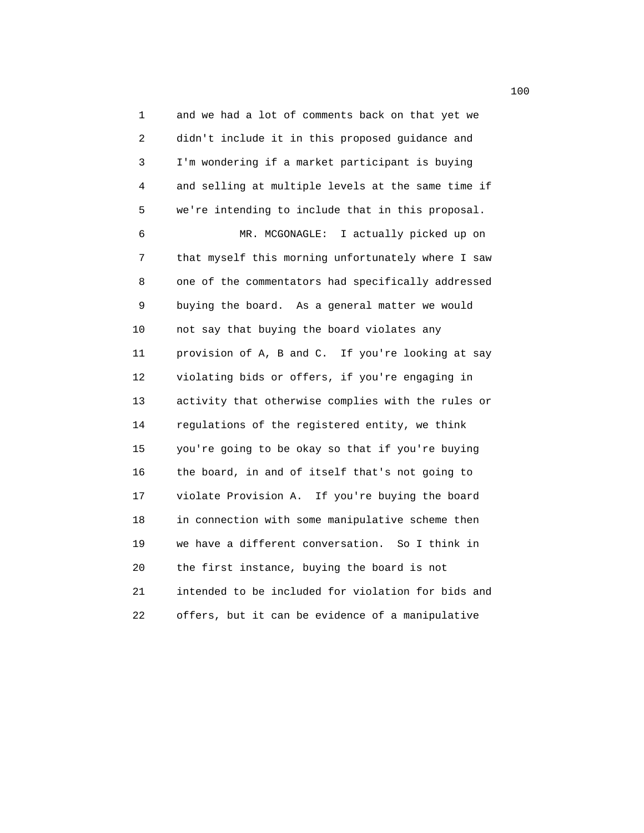1 and we had a lot of comments back on that yet we 2 didn't include it in this proposed guidance and 3 I'm wondering if a market participant is buying 4 and selling at multiple levels at the same time if 5 we're intending to include that in this proposal. 6 MR. MCGONAGLE: I actually picked up on 7 that myself this morning unfortunately where I saw 8 one of the commentators had specifically addressed 9 buying the board. As a general matter we would 10 not say that buying the board violates any 11 provision of A, B and C. If you're looking at say 12 violating bids or offers, if you're engaging in 13 activity that otherwise complies with the rules or 14 regulations of the registered entity, we think 15 you're going to be okay so that if you're buying 16 the board, in and of itself that's not going to 17 violate Provision A. If you're buying the board 18 in connection with some manipulative scheme then 19 we have a different conversation. So I think in 20 the first instance, buying the board is not 21 intended to be included for violation for bids and 22 offers, but it can be evidence of a manipulative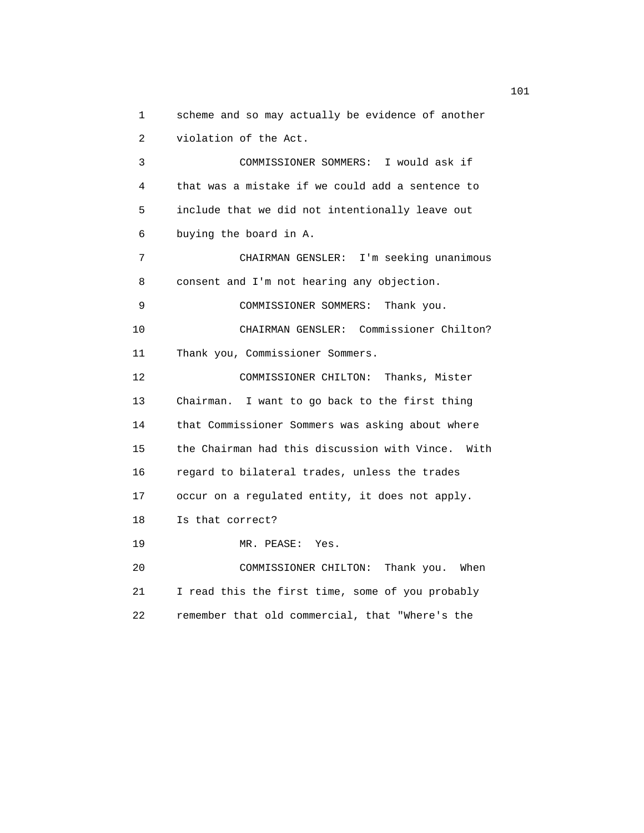1 scheme and so may actually be evidence of another 2 violation of the Act. 3 COMMISSIONER SOMMERS: I would ask if

 4 that was a mistake if we could add a sentence to 5 include that we did not intentionally leave out 6 buying the board in A.

 7 CHAIRMAN GENSLER: I'm seeking unanimous 8 consent and I'm not hearing any objection.

9 COMMISSIONER SOMMERS: Thank you.

10 CHAIRMAN GENSLER: Commissioner Chilton?

11 Thank you, Commissioner Sommers.

 12 COMMISSIONER CHILTON: Thanks, Mister 13 Chairman. I want to go back to the first thing 14 that Commissioner Sommers was asking about where 15 the Chairman had this discussion with Vince. With 16 regard to bilateral trades, unless the trades 17 occur on a regulated entity, it does not apply. 18 Is that correct? 19 MR. PEASE: Yes. 20 COMMISSIONER CHILTON: Thank you. When

 21 I read this the first time, some of you probably 22 remember that old commercial, that "Where's the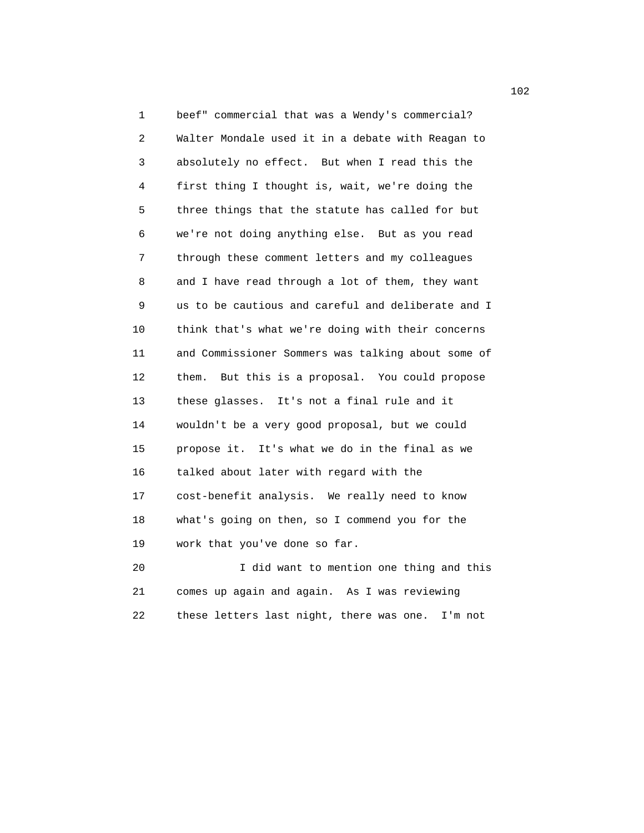1 beef" commercial that was a Wendy's commercial? 2 Walter Mondale used it in a debate with Reagan to 3 absolutely no effect. But when I read this the 4 first thing I thought is, wait, we're doing the 5 three things that the statute has called for but 6 we're not doing anything else. But as you read 7 through these comment letters and my colleagues 8 and I have read through a lot of them, they want 9 us to be cautious and careful and deliberate and I 10 think that's what we're doing with their concerns 11 and Commissioner Sommers was talking about some of 12 them. But this is a proposal. You could propose 13 these glasses. It's not a final rule and it 14 wouldn't be a very good proposal, but we could 15 propose it. It's what we do in the final as we 16 talked about later with regard with the 17 cost-benefit analysis. We really need to know 18 what's going on then, so I commend you for the 19 work that you've done so far. 20 I did want to mention one thing and this

 21 comes up again and again. As I was reviewing 22 these letters last night, there was one. I'm not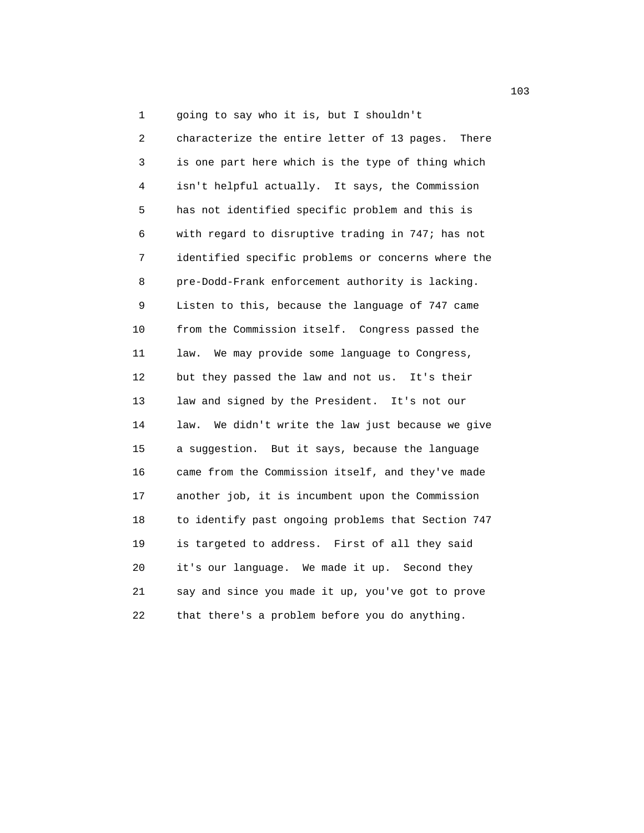1 going to say who it is, but I shouldn't

 2 characterize the entire letter of 13 pages. There 3 is one part here which is the type of thing which 4 isn't helpful actually. It says, the Commission 5 has not identified specific problem and this is 6 with regard to disruptive trading in 747; has not 7 identified specific problems or concerns where the 8 pre-Dodd-Frank enforcement authority is lacking. 9 Listen to this, because the language of 747 came 10 from the Commission itself. Congress passed the 11 law. We may provide some language to Congress, 12 but they passed the law and not us. It's their 13 law and signed by the President. It's not our 14 law. We didn't write the law just because we give 15 a suggestion. But it says, because the language 16 came from the Commission itself, and they've made 17 another job, it is incumbent upon the Commission 18 to identify past ongoing problems that Section 747 19 is targeted to address. First of all they said 20 it's our language. We made it up. Second they 21 say and since you made it up, you've got to prove 22 that there's a problem before you do anything.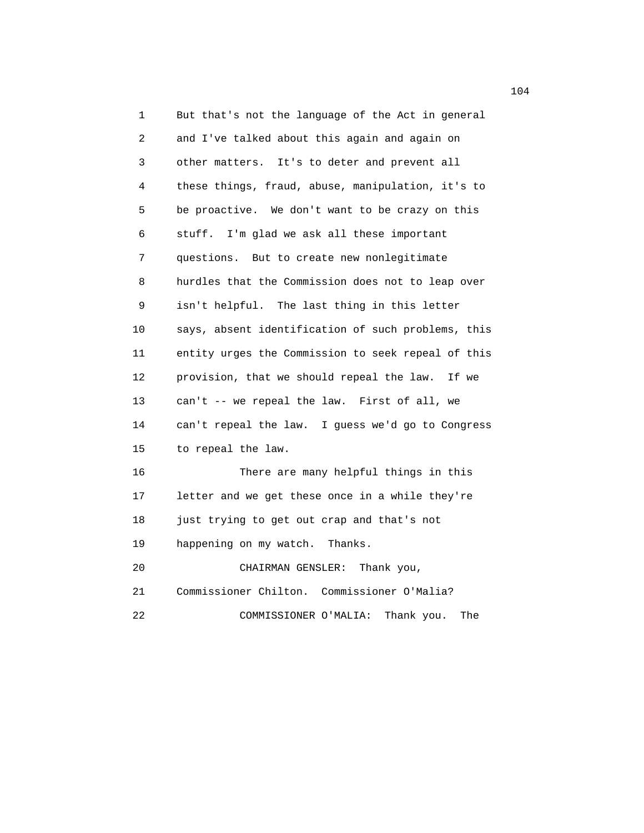1 But that's not the language of the Act in general 2 and I've talked about this again and again on 3 other matters. It's to deter and prevent all 4 these things, fraud, abuse, manipulation, it's to 5 be proactive. We don't want to be crazy on this 6 stuff. I'm glad we ask all these important 7 questions. But to create new nonlegitimate 8 hurdles that the Commission does not to leap over 9 isn't helpful. The last thing in this letter 10 says, absent identification of such problems, this 11 entity urges the Commission to seek repeal of this 12 provision, that we should repeal the law. If we 13 can't -- we repeal the law. First of all, we 14 can't repeal the law. I guess we'd go to Congress 15 to repeal the law. 16 There are many helpful things in this 17 letter and we get these once in a while they're 18 just trying to get out crap and that's not 19 happening on my watch. Thanks. 20 CHAIRMAN GENSLER: Thank you, 21 Commissioner Chilton. Commissioner O'Malia? 22 COMMISSIONER O'MALIA: Thank you. The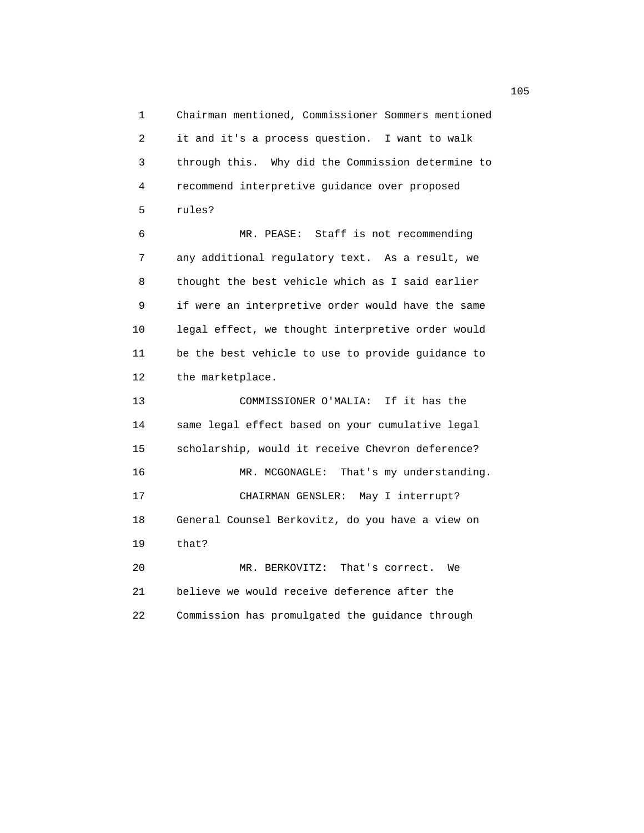1 Chairman mentioned, Commissioner Sommers mentioned 2 it and it's a process question. I want to walk 3 through this. Why did the Commission determine to 4 recommend interpretive guidance over proposed 5 rules? 6 MR. PEASE: Staff is not recommending 7 any additional regulatory text. As a result, we 8 thought the best vehicle which as I said earlier 9 if were an interpretive order would have the same 10 legal effect, we thought interpretive order would 11 be the best vehicle to use to provide guidance to 12 the marketplace. 13 COMMISSIONER O'MALIA: If it has the

 14 same legal effect based on your cumulative legal 15 scholarship, would it receive Chevron deference? 16 MR. MCGONAGLE: That's my understanding. 17 CHAIRMAN GENSLER: May I interrupt? 18 General Counsel Berkovitz, do you have a view on 19 that? 20 MR. BERKOVITZ: That's correct. We 21 believe we would receive deference after the

22 Commission has promulgated the guidance through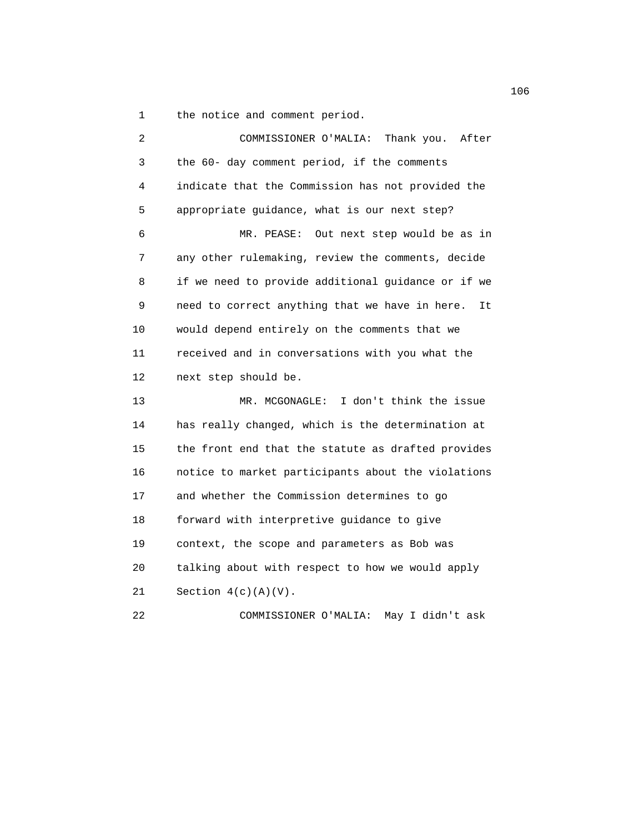1 the notice and comment period.

| 2  | COMMISSIONER O'MALIA: Thank you. After               |
|----|------------------------------------------------------|
| 3  | the 60- day comment period, if the comments          |
| 4  | indicate that the Commission has not provided the    |
| 5  | appropriate guidance, what is our next step?         |
| 6  | MR. PEASE:<br>Out next step would be as in           |
| 7  | any other rulemaking, review the comments, decide    |
| 8  | if we need to provide additional guidance or if we   |
| 9  | need to correct anything that we have in here.<br>It |
| 10 | would depend entirely on the comments that we        |
| 11 | received and in conversations with you what the      |
| 12 | next step should be.                                 |
| 13 | I don't think the issue<br>MR. MCGONAGLE:            |
| 14 | has really changed, which is the determination at    |
| 15 | the front end that the statute as drafted provides   |
| 16 | notice to market participants about the violations   |
| 17 | and whether the Commission determines to go          |
| 18 | forward with interpretive guidance to give           |
| 19 | context, the scope and parameters as Bob was         |
| 20 | talking about with respect to how we would apply     |
| 21 | Section $4(c)(A)(V)$ .                               |
| 22 | May I didn't ask<br>COMMISSIONER O'MALIA:            |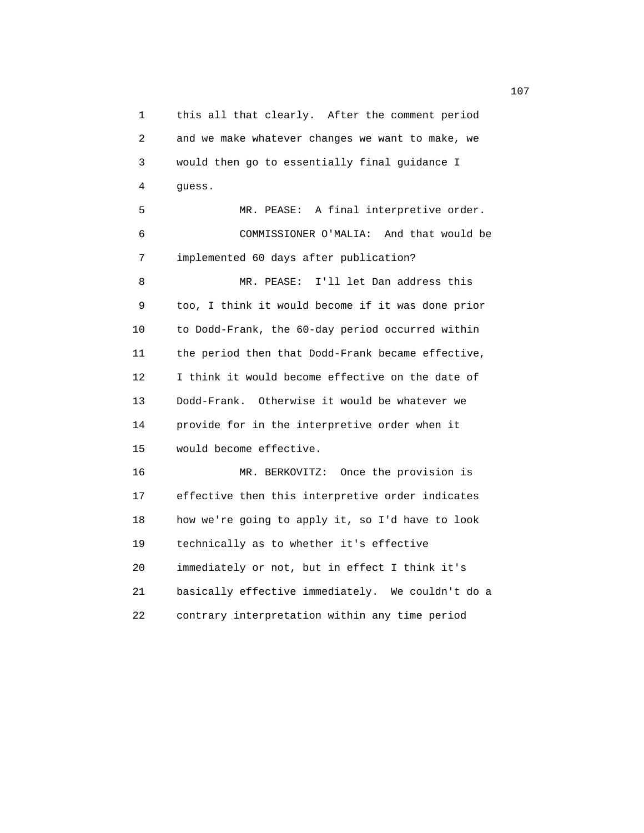1 this all that clearly. After the comment period 2 and we make whatever changes we want to make, we 3 would then go to essentially final guidance I 4 guess. 5 MR. PEASE: A final interpretive order. 6 COMMISSIONER O'MALIA: And that would be 7 implemented 60 days after publication? 8 MR. PEASE: I'll let Dan address this 9 too, I think it would become if it was done prior 10 to Dodd-Frank, the 60-day period occurred within 11 the period then that Dodd-Frank became effective, 12 I think it would become effective on the date of 13 Dodd-Frank. Otherwise it would be whatever we 14 provide for in the interpretive order when it 15 would become effective. 16 MR. BERKOVITZ: Once the provision is 17 effective then this interpretive order indicates 18 how we're going to apply it, so I'd have to look 19 technically as to whether it's effective 20 immediately or not, but in effect I think it's

21 basically effective immediately. We couldn't do a

22 contrary interpretation within any time period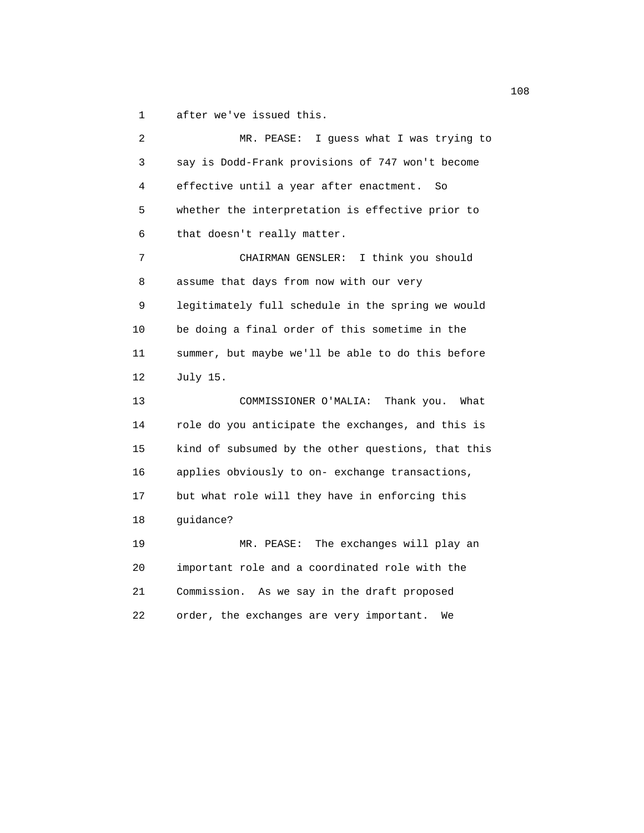1 after we've issued this.

 2 MR. PEASE: I guess what I was trying to 3 say is Dodd-Frank provisions of 747 won't become 4 effective until a year after enactment. So 5 whether the interpretation is effective prior to 6 that doesn't really matter. 7 CHAIRMAN GENSLER: I think you should 8 assume that days from now with our very 9 legitimately full schedule in the spring we would 10 be doing a final order of this sometime in the 11 summer, but maybe we'll be able to do this before 12 July 15. 13 COMMISSIONER O'MALIA: Thank you. What 14 role do you anticipate the exchanges, and this is 15 kind of subsumed by the other questions, that this 16 applies obviously to on- exchange transactions, 17 but what role will they have in enforcing this 18 guidance? 19 MR. PEASE: The exchanges will play an 20 important role and a coordinated role with the 21 Commission. As we say in the draft proposed 22 order, the exchanges are very important. We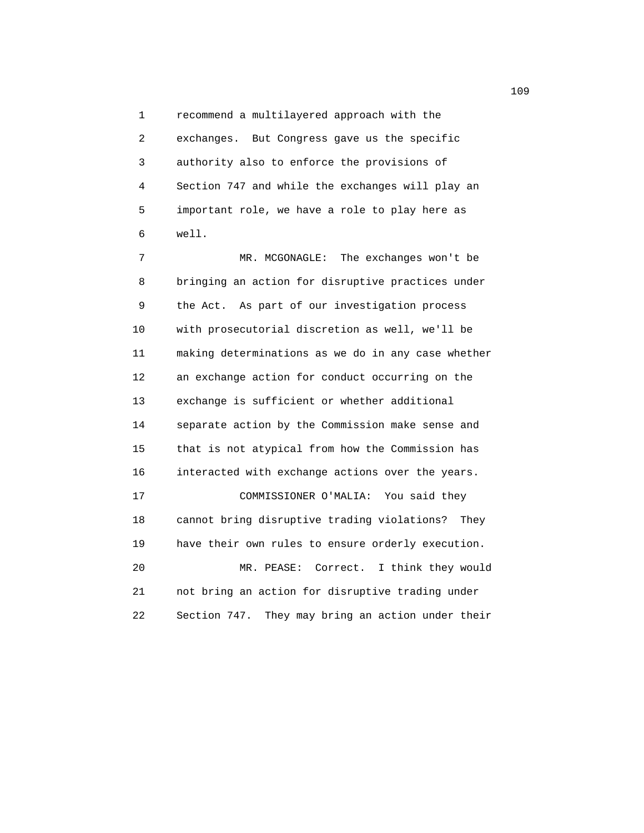1 recommend a multilayered approach with the 2 exchanges. But Congress gave us the specific 3 authority also to enforce the provisions of 4 Section 747 and while the exchanges will play an 5 important role, we have a role to play here as 6 well.

 7 MR. MCGONAGLE: The exchanges won't be 8 bringing an action for disruptive practices under 9 the Act. As part of our investigation process 10 with prosecutorial discretion as well, we'll be 11 making determinations as we do in any case whether 12 an exchange action for conduct occurring on the 13 exchange is sufficient or whether additional 14 separate action by the Commission make sense and 15 that is not atypical from how the Commission has 16 interacted with exchange actions over the years. 17 COMMISSIONER O'MALIA: You said they 18 cannot bring disruptive trading violations? They 19 have their own rules to ensure orderly execution. 20 MR. PEASE: Correct. I think they would 21 not bring an action for disruptive trading under 22 Section 747. They may bring an action under their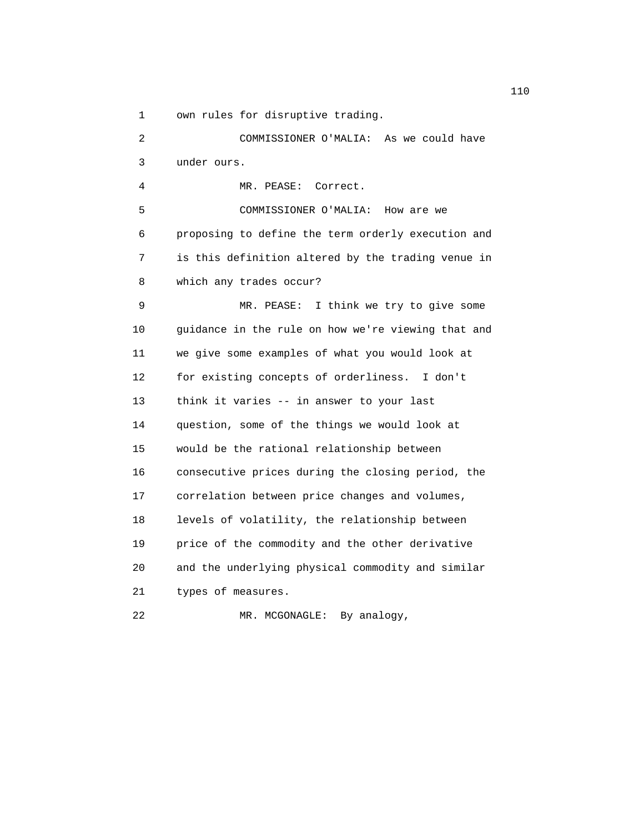1 own rules for disruptive trading.

 2 COMMISSIONER O'MALIA: As we could have 3 under ours. 4 MR. PEASE: Correct. 5 COMMISSIONER O'MALIA: How are we 6 proposing to define the term orderly execution and 7 is this definition altered by the trading venue in 8 which any trades occur? 9 MR. PEASE: I think we try to give some 10 guidance in the rule on how we're viewing that and 11 we give some examples of what you would look at 12 for existing concepts of orderliness. I don't 13 think it varies -- in answer to your last 14 question, some of the things we would look at 15 would be the rational relationship between 16 consecutive prices during the closing period, the 17 correlation between price changes and volumes, 18 levels of volatility, the relationship between 19 price of the commodity and the other derivative 20 and the underlying physical commodity and similar 21 types of measures. 22 MR. MCGONAGLE: By analogy,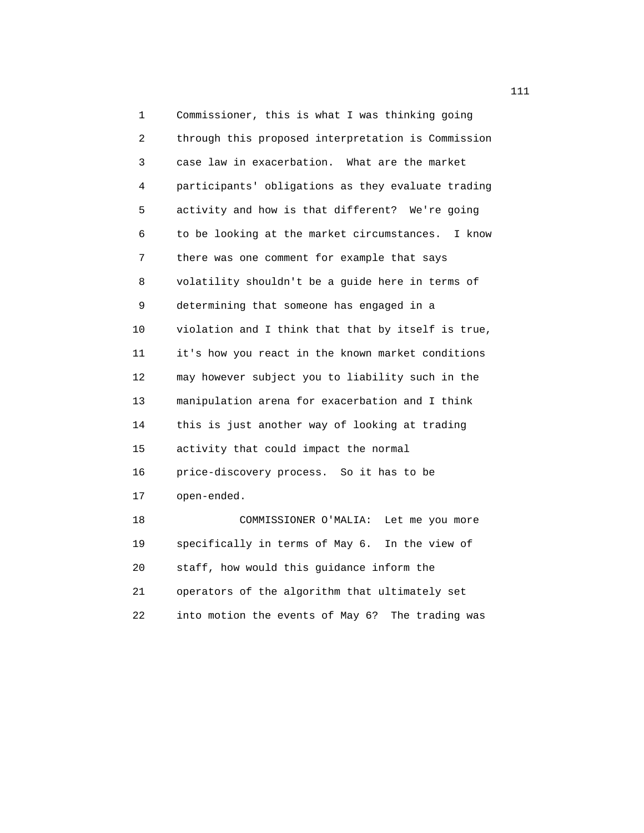1 Commissioner, this is what I was thinking going 2 through this proposed interpretation is Commission 3 case law in exacerbation. What are the market 4 participants' obligations as they evaluate trading 5 activity and how is that different? We're going 6 to be looking at the market circumstances. I know 7 there was one comment for example that says 8 volatility shouldn't be a guide here in terms of 9 determining that someone has engaged in a 10 violation and I think that that by itself is true, 11 it's how you react in the known market conditions 12 may however subject you to liability such in the 13 manipulation arena for exacerbation and I think 14 this is just another way of looking at trading 15 activity that could impact the normal 16 price-discovery process. So it has to be 17 open-ended. 18 COMMISSIONER O'MALIA: Let me you more 19 specifically in terms of May 6. In the view of 20 staff, how would this guidance inform the

 21 operators of the algorithm that ultimately set 22 into motion the events of May 6? The trading was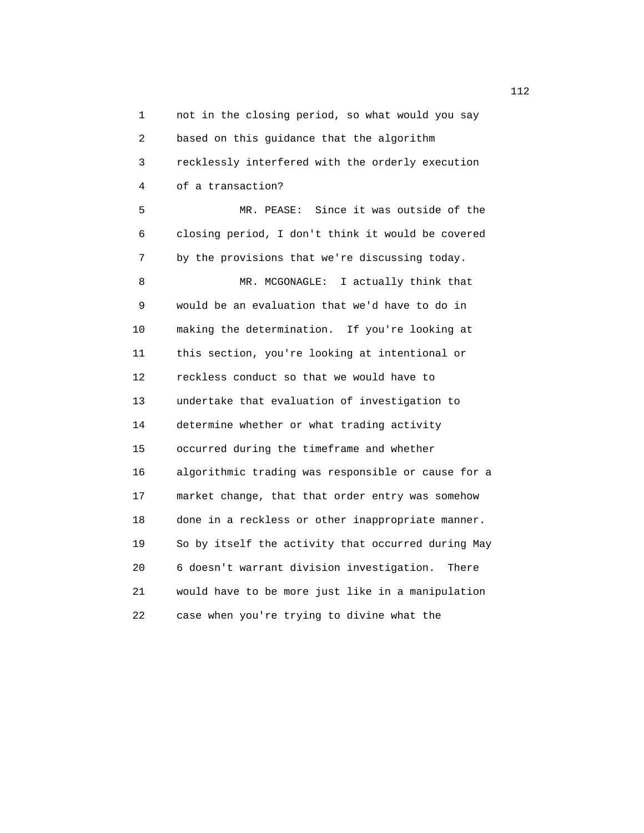1 not in the closing period, so what would you say 2 based on this guidance that the algorithm 3 recklessly interfered with the orderly execution 4 of a transaction? 5 MR. PEASE: Since it was outside of the

 6 closing period, I don't think it would be covered 7 by the provisions that we're discussing today. 8 MR. MCGONAGLE: I actually think that 9 would be an evaluation that we'd have to do in 10 making the determination. If you're looking at 11 this section, you're looking at intentional or 12 reckless conduct so that we would have to 13 undertake that evaluation of investigation to 14 determine whether or what trading activity 15 occurred during the timeframe and whether 16 algorithmic trading was responsible or cause for a 17 market change, that that order entry was somehow 18 done in a reckless or other inappropriate manner. 19 So by itself the activity that occurred during May 20 6 doesn't warrant division investigation. There 21 would have to be more just like in a manipulation 22 case when you're trying to divine what the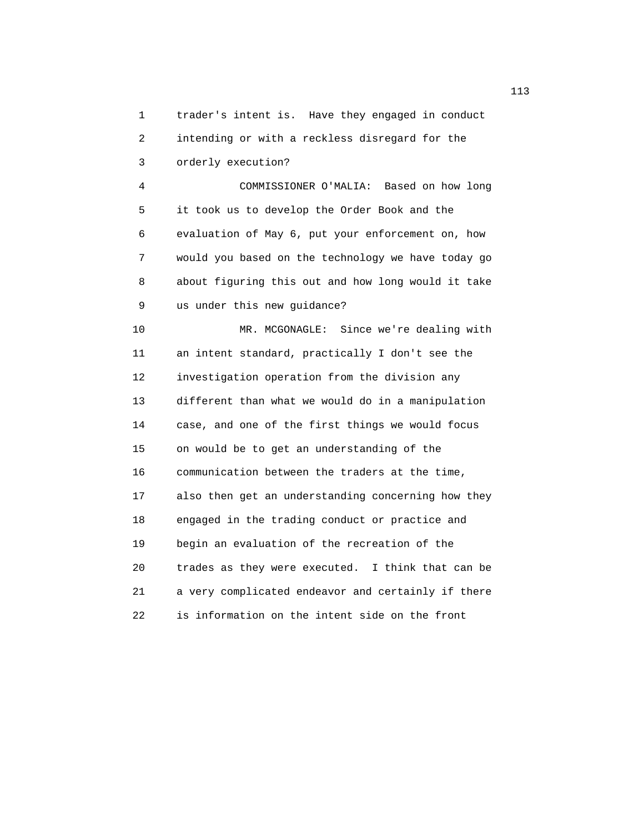1 trader's intent is. Have they engaged in conduct 2 intending or with a reckless disregard for the 3 orderly execution?

 4 COMMISSIONER O'MALIA: Based on how long 5 it took us to develop the Order Book and the 6 evaluation of May 6, put your enforcement on, how 7 would you based on the technology we have today go 8 about figuring this out and how long would it take 9 us under this new guidance?

 10 MR. MCGONAGLE: Since we're dealing with 11 an intent standard, practically I don't see the 12 investigation operation from the division any 13 different than what we would do in a manipulation 14 case, and one of the first things we would focus 15 on would be to get an understanding of the 16 communication between the traders at the time, 17 also then get an understanding concerning how they 18 engaged in the trading conduct or practice and 19 begin an evaluation of the recreation of the 20 trades as they were executed. I think that can be 21 a very complicated endeavor and certainly if there 22 is information on the intent side on the front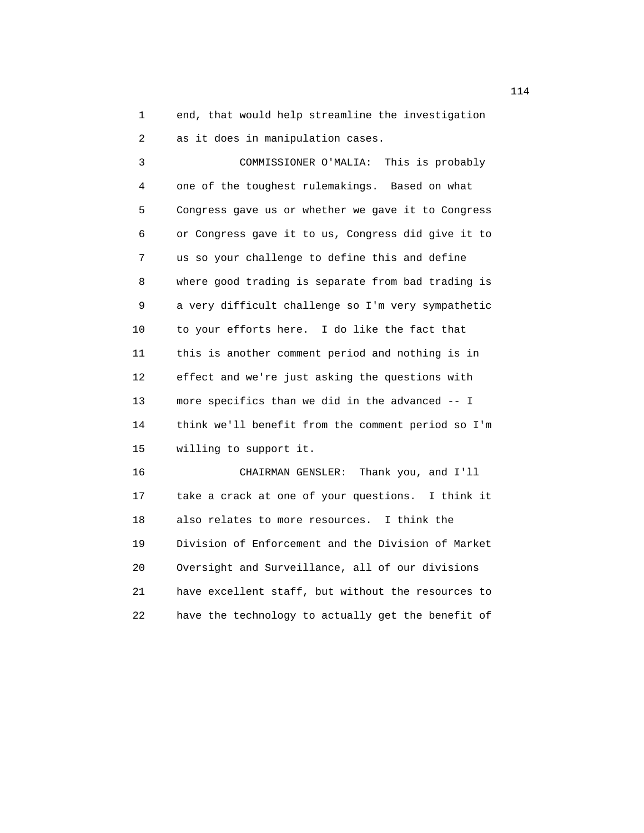1 end, that would help streamline the investigation 2 as it does in manipulation cases.

 3 COMMISSIONER O'MALIA: This is probably 4 one of the toughest rulemakings. Based on what 5 Congress gave us or whether we gave it to Congress 6 or Congress gave it to us, Congress did give it to 7 us so your challenge to define this and define 8 where good trading is separate from bad trading is 9 a very difficult challenge so I'm very sympathetic 10 to your efforts here. I do like the fact that 11 this is another comment period and nothing is in 12 effect and we're just asking the questions with 13 more specifics than we did in the advanced -- I 14 think we'll benefit from the comment period so I'm 15 willing to support it.

 16 CHAIRMAN GENSLER: Thank you, and I'll 17 take a crack at one of your questions. I think it 18 also relates to more resources. I think the 19 Division of Enforcement and the Division of Market 20 Oversight and Surveillance, all of our divisions 21 have excellent staff, but without the resources to 22 have the technology to actually get the benefit of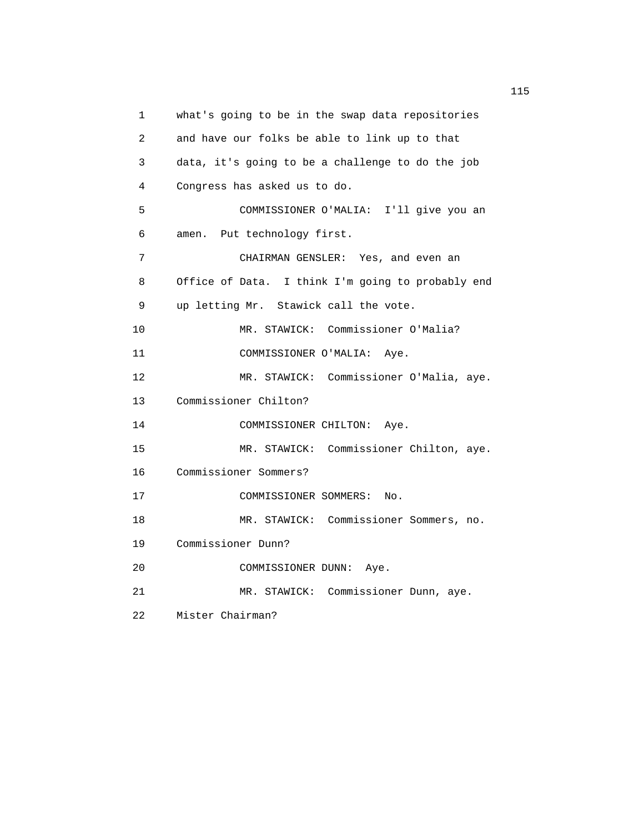1 what's going to be in the swap data repositories 2 and have our folks be able to link up to that 3 data, it's going to be a challenge to do the job 4 Congress has asked us to do. 5 COMMISSIONER O'MALIA: I'll give you an 6 amen. Put technology first. 7 CHAIRMAN GENSLER: Yes, and even an 8 Office of Data. I think I'm going to probably end 9 up letting Mr. Stawick call the vote. 10 MR. STAWICK: Commissioner O'Malia? 11 COMMISSIONER O'MALIA: Aye. 12 MR. STAWICK: Commissioner O'Malia, aye. 13 Commissioner Chilton? 14 COMMISSIONER CHILTON: Aye. 15 MR. STAWICK: Commissioner Chilton, aye. 16 Commissioner Sommers? 17 COMMISSIONER SOMMERS: No. 18 MR. STAWICK: Commissioner Sommers, no. 19 Commissioner Dunn? 20 COMMISSIONER DUNN: Aye. 21 MR. STAWICK: Commissioner Dunn, aye. 22 Mister Chairman?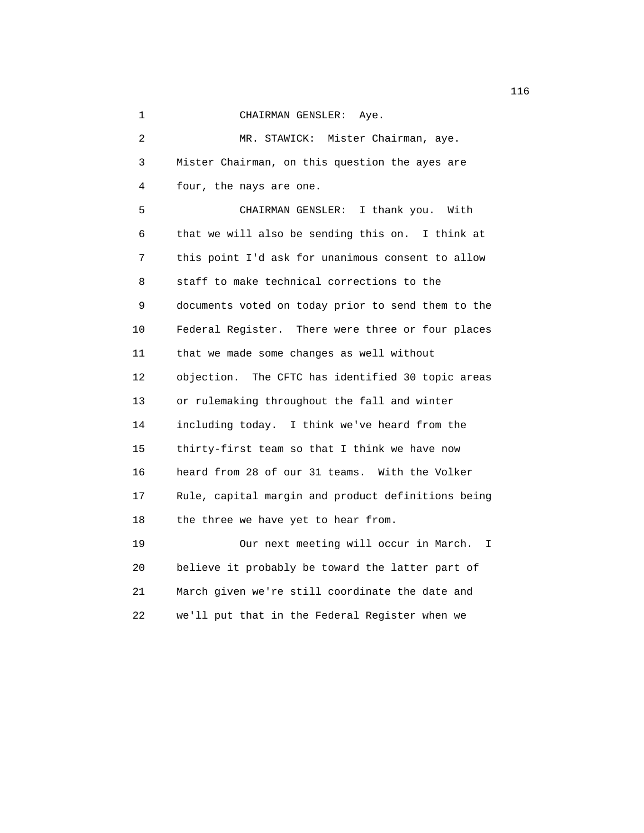1 CHAIRMAN GENSLER: Aye.

 2 MR. STAWICK: Mister Chairman, aye. 3 Mister Chairman, on this question the ayes are 4 four, the nays are one. 5 CHAIRMAN GENSLER: I thank you. With 6 that we will also be sending this on. I think at 7 this point I'd ask for unanimous consent to allow 8 staff to make technical corrections to the 9 documents voted on today prior to send them to the 10 Federal Register. There were three or four places 11 that we made some changes as well without 12 objection. The CFTC has identified 30 topic areas 13 or rulemaking throughout the fall and winter 14 including today. I think we've heard from the 15 thirty-first team so that I think we have now 16 heard from 28 of our 31 teams. With the Volker 17 Rule, capital margin and product definitions being 18 the three we have yet to hear from. 19 Our next meeting will occur in March. I 20 believe it probably be toward the latter part of

 21 March given we're still coordinate the date and 22 we'll put that in the Federal Register when we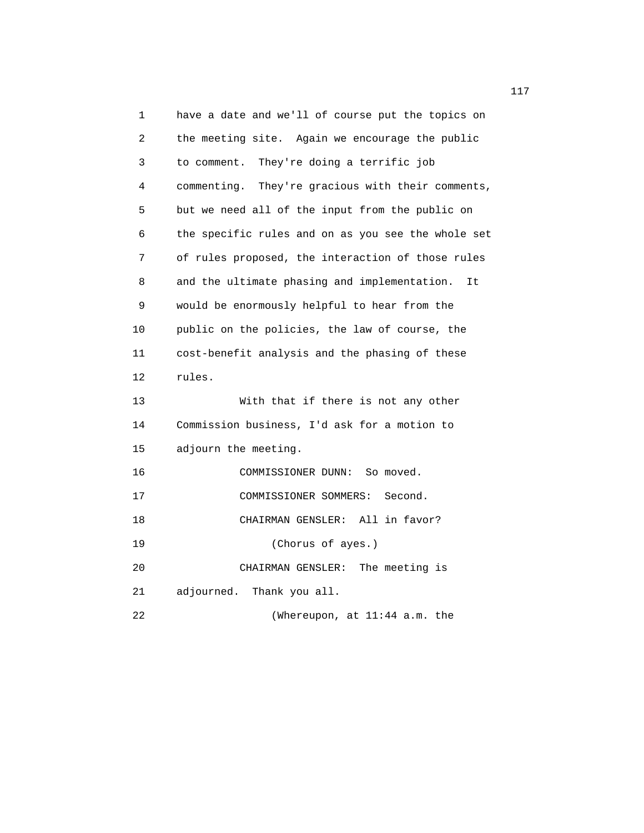1 have a date and we'll of course put the topics on 2 the meeting site. Again we encourage the public 3 to comment. They're doing a terrific job 4 commenting. They're gracious with their comments, 5 but we need all of the input from the public on 6 the specific rules and on as you see the whole set 7 of rules proposed, the interaction of those rules 8 and the ultimate phasing and implementation. It 9 would be enormously helpful to hear from the 10 public on the policies, the law of course, the 11 cost-benefit analysis and the phasing of these 12 rules. 13 With that if there is not any other 14 Commission business, I'd ask for a motion to 15 adjourn the meeting. 16 COMMISSIONER DUNN: So moved. 17 COMMISSIONER SOMMERS: Second. 18 CHAIRMAN GENSLER: All in favor? 19 (Chorus of ayes.) 20 CHAIRMAN GENSLER: The meeting is 21 adjourned. Thank you all. 22 (Whereupon, at 11:44 a.m. the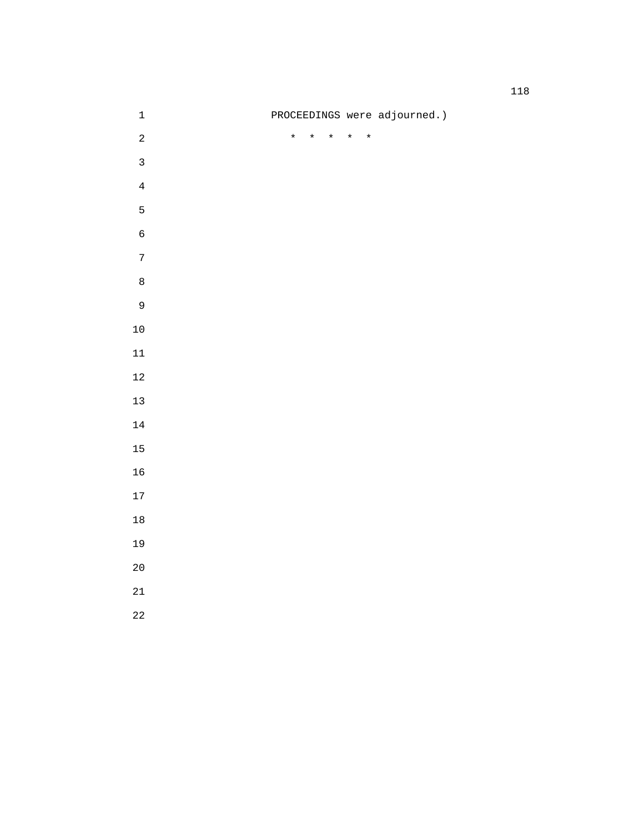|                |  |         |  |                                 |                              |  | 118 |
|----------------|--|---------|--|---------------------------------|------------------------------|--|-----|
| $\mathbf 1$    |  |         |  |                                 | PROCEEDINGS were adjourned.) |  |     |
| $\sqrt{2}$     |  | $\star$ |  | $\star$ $\star$ $\star$ $\star$ |                              |  |     |
| $\mathbf{3}$   |  |         |  |                                 |                              |  |     |
| $\overline{4}$ |  |         |  |                                 |                              |  |     |
| $\mathsf S$    |  |         |  |                                 |                              |  |     |
| $\epsilon$     |  |         |  |                                 |                              |  |     |
| $\sqrt{ }$     |  |         |  |                                 |                              |  |     |
| $\,8\,$        |  |         |  |                                 |                              |  |     |
| $\mathsf 9$    |  |         |  |                                 |                              |  |     |
| $1\,0$         |  |         |  |                                 |                              |  |     |
| $11\,$         |  |         |  |                                 |                              |  |     |
| $1\,2$         |  |         |  |                                 |                              |  |     |
| $13$           |  |         |  |                                 |                              |  |     |

- 
- 

- 
- 
- 
- 
- 
- 
-